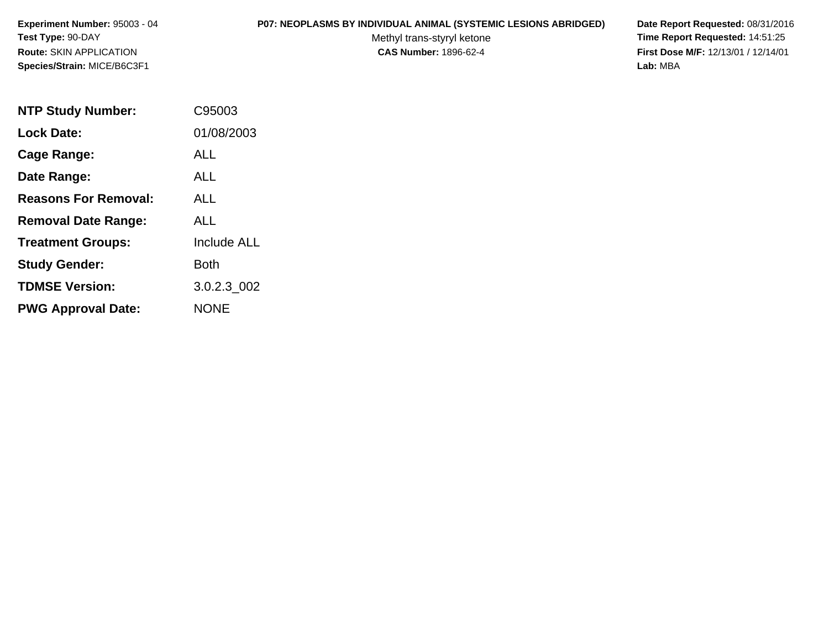# **P07: NEOPLASMS BY INDIVIDUAL ANIMAL (SYSTEMIC LESIONS ABRIDGED) Date Report Requested:** 08/31/2016

Methyl trans-styryl ketone<br>CAS Number: 1896-62-4

| <b>NTP Study Number:</b>    | C95003             |
|-----------------------------|--------------------|
| Lock Date:                  | 01/08/2003         |
| Cage Range:                 | ALL                |
| Date Range:                 | AI I               |
| <b>Reasons For Removal:</b> | <b>ALL</b>         |
| <b>Removal Date Range:</b>  | ALL                |
| <b>Treatment Groups:</b>    | <b>Include ALL</b> |
| <b>Study Gender:</b>        | Both               |
| <b>TDMSE Version:</b>       | 3.0.2.3 002        |
| <b>PWG Approval Date:</b>   | <b>NONE</b>        |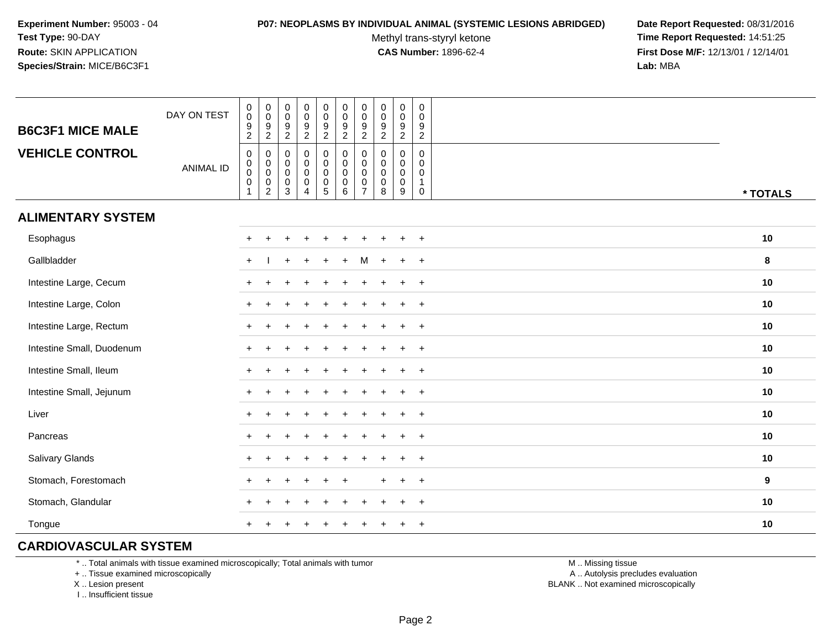#### **P07: NEOPLASMS BY INDIVIDUAL ANIMAL (SYSTEMIC LESIONS ABRIDGED) Date Report Requested:** 08/31/2016

Methyl trans-styryl ketone<br>CAS Number: 1896-62-4

 **Time Report Requested:** 14:51:25 **First Dose M/F:** 12/13/01 / 12/14/01<br>**Lab:** MBA **Lab:** MBA

| <b>B6C3F1 MICE MALE</b>   | DAY ON TEST      | $\begin{smallmatrix} 0\\0 \end{smallmatrix}$<br>$\boldsymbol{9}$<br>$\overline{a}$ | $_{\rm 0}^{\rm 0}$<br>$\frac{9}{2}$                                         | $\pmb{0}$<br>$\ddot{\mathbf{0}}$<br>$9\,$<br>$\overline{2}$ | $\begin{array}{c} 0 \\ 0 \\ 9 \\ 2 \end{array}$                         | $\pmb{0}$<br>$\mathsf{O}\xspace$<br>$\boldsymbol{9}$<br>$\overline{2}$ | $\pmb{0}$<br>$\mathsf{O}\xspace$<br>9<br>$\overline{2}$                      | $\pmb{0}$<br>$\ddot{\mathbf{0}}$<br>9<br>$\overline{2}$                  | $\pmb{0}$<br>$\pmb{0}$<br>$\boldsymbol{9}$<br>$\overline{2}$ | $_{\rm 0}^{\rm 0}$<br>$\boldsymbol{9}$<br>$\overline{2}$          | 0<br>0<br>$\boldsymbol{9}$<br>$\sqrt{2}$               |          |
|---------------------------|------------------|------------------------------------------------------------------------------------|-----------------------------------------------------------------------------|-------------------------------------------------------------|-------------------------------------------------------------------------|------------------------------------------------------------------------|------------------------------------------------------------------------------|--------------------------------------------------------------------------|--------------------------------------------------------------|-------------------------------------------------------------------|--------------------------------------------------------|----------|
| <b>VEHICLE CONTROL</b>    | <b>ANIMAL ID</b> | $\pmb{0}$<br>$_{\rm 0}^{\rm 0}$<br>$\pmb{0}$<br>$\mathbf{1}$                       | 0<br>$\boldsymbol{0}$<br>$\ddot{\mathbf{0}}$<br>$\pmb{0}$<br>$\overline{2}$ | 0<br>0<br>$\mathsf{O}\xspace$<br>$\mathbf 0$<br>3           | $\pmb{0}$<br>$\pmb{0}$<br>$\overline{0}$<br>$\pmb{0}$<br>$\overline{4}$ | 0<br>$\mathbf 0$<br>$\ddot{\mathbf{0}}$<br>$\pmb{0}$<br>5              | $\pmb{0}$<br>$\mathsf{O}\xspace$<br>$\mathsf{O}\xspace$<br>$\mathsf{O}$<br>6 | $\mathbf 0$<br>$\mathbf 0$<br>$\pmb{0}$<br>$\mathbf 0$<br>$\overline{7}$ | $\mathbf 0$<br>0<br>$\pmb{0}$<br>$\pmb{0}$<br>8              | $\mathbf 0$<br>$\pmb{0}$<br>$\ddot{\mathbf{0}}$<br>$\pmb{0}$<br>9 | $\mathbf 0$<br>$\mathbf 0$<br>0<br>$\overline{1}$<br>0 | * TOTALS |
| <b>ALIMENTARY SYSTEM</b>  |                  |                                                                                    |                                                                             |                                                             |                                                                         |                                                                        |                                                                              |                                                                          |                                                              |                                                                   |                                                        |          |
| Esophagus                 |                  | $\pm$                                                                              | $\div$                                                                      |                                                             |                                                                         |                                                                        |                                                                              |                                                                          |                                                              |                                                                   | $+$                                                    | 10       |
| Gallbladder               |                  | $+$                                                                                |                                                                             |                                                             |                                                                         |                                                                        |                                                                              |                                                                          |                                                              |                                                                   | $^{+}$                                                 | 8        |
| Intestine Large, Cecum    |                  |                                                                                    |                                                                             |                                                             |                                                                         |                                                                        |                                                                              |                                                                          |                                                              |                                                                   | $\ddot{}$                                              | 10       |
| Intestine Large, Colon    |                  |                                                                                    |                                                                             |                                                             |                                                                         |                                                                        |                                                                              |                                                                          |                                                              |                                                                   | $\ddot{}$                                              | 10       |
| Intestine Large, Rectum   |                  |                                                                                    |                                                                             |                                                             |                                                                         |                                                                        |                                                                              |                                                                          |                                                              |                                                                   | $\ddot{}$                                              | 10       |
| Intestine Small, Duodenum |                  |                                                                                    |                                                                             |                                                             |                                                                         |                                                                        |                                                                              |                                                                          |                                                              |                                                                   | $+$                                                    | 10       |
| Intestine Small, Ileum    |                  |                                                                                    |                                                                             |                                                             |                                                                         |                                                                        |                                                                              |                                                                          |                                                              |                                                                   | $\ddot{}$                                              | 10       |
| Intestine Small, Jejunum  |                  |                                                                                    |                                                                             |                                                             |                                                                         |                                                                        |                                                                              |                                                                          |                                                              |                                                                   | $\overline{+}$                                         | 10       |
| Liver                     |                  | $+$                                                                                |                                                                             |                                                             |                                                                         |                                                                        |                                                                              |                                                                          |                                                              |                                                                   | $\ddot{}$                                              | 10       |
| Pancreas                  |                  |                                                                                    | $\ddot{}$                                                                   |                                                             |                                                                         |                                                                        |                                                                              |                                                                          |                                                              |                                                                   | $\ddot{}$                                              | 10       |
| Salivary Glands           |                  |                                                                                    |                                                                             |                                                             |                                                                         |                                                                        |                                                                              |                                                                          |                                                              |                                                                   | $\overline{+}$                                         | 10       |
| Stomach, Forestomach      |                  |                                                                                    |                                                                             |                                                             |                                                                         |                                                                        |                                                                              |                                                                          |                                                              |                                                                   | $\ddot{}$                                              | 9        |
| Stomach, Glandular        |                  |                                                                                    |                                                                             |                                                             |                                                                         |                                                                        |                                                                              |                                                                          |                                                              |                                                                   | $+$                                                    | 10       |
| Tongue                    |                  |                                                                                    |                                                                             |                                                             |                                                                         |                                                                        |                                                                              |                                                                          |                                                              |                                                                   | $+$                                                    | 10       |

# **CARDIOVASCULAR SYSTEM**

\* .. Total animals with tissue examined microscopically; Total animals with tumor

+ .. Tissue examined microscopically

X .. Lesion present

I .. Insufficient tissue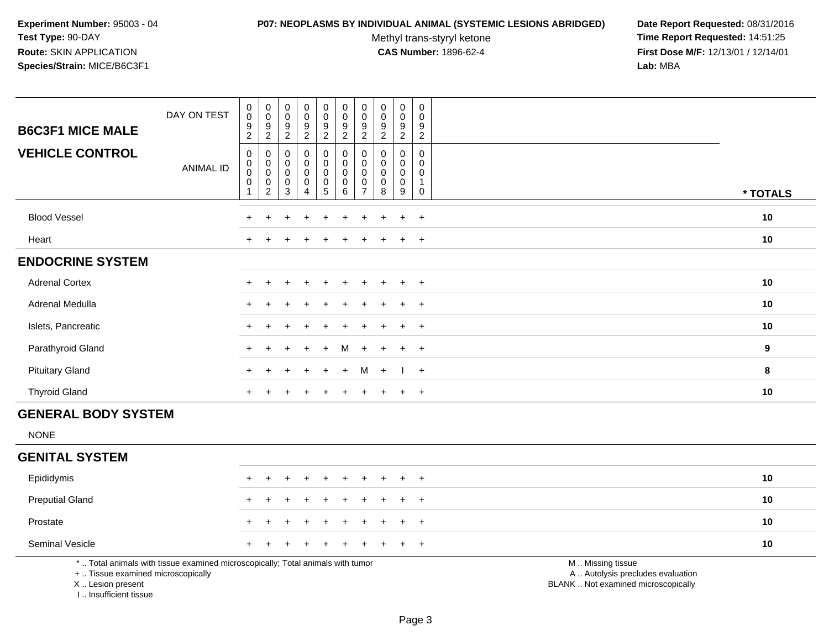#### **P07: NEOPLASMS BY INDIVIDUAL ANIMAL (SYSTEMIC LESIONS ABRIDGED) Date Report Requested:** 08/31/2016

Methyl trans-styryl ketone<br>CAS Number: 1896-62-4

| <b>B6C3F1 MICE MALE</b>                                                           | DAY ON TEST                                                                     | $_{\rm 0}^{\rm 0}$<br>$\boldsymbol{9}$<br>$\overline{c}$                           | $_{\rm 0}^{\rm 0}$<br>9<br>$\overline{a}$                      | $_{\rm 0}^{\rm 0}$<br>$\frac{9}{2}$                       | $_{\rm 0}^{\rm 0}$<br>$\frac{9}{2}$                       | $\begin{smallmatrix}0\0\0\end{smallmatrix}$<br>$\boldsymbol{9}$<br>$\overline{2}$ | $\begin{smallmatrix} 0\\0 \end{smallmatrix}$<br>$\frac{9}{2}$ | $\pmb{0}$<br>$\mathbf 0$<br>9<br>$\overline{c}$               | $\pmb{0}$<br>$\mathbf 0$<br>$\boldsymbol{9}$<br>$\overline{2}$ | $\pmb{0}$<br>$\pmb{0}$<br>9<br>$\overline{2}$             | $\mathbf 0$<br>$\Omega$<br>9<br>$\sqrt{2}$                     |                                                                                               |          |
|-----------------------------------------------------------------------------------|---------------------------------------------------------------------------------|------------------------------------------------------------------------------------|----------------------------------------------------------------|-----------------------------------------------------------|-----------------------------------------------------------|-----------------------------------------------------------------------------------|---------------------------------------------------------------|---------------------------------------------------------------|----------------------------------------------------------------|-----------------------------------------------------------|----------------------------------------------------------------|-----------------------------------------------------------------------------------------------|----------|
| <b>VEHICLE CONTROL</b>                                                            | <b>ANIMAL ID</b>                                                                | $\boldsymbol{0}$<br>$\mathbf 0$<br>$\mathbf 0$<br>$\boldsymbol{0}$<br>$\mathbf{1}$ | 0<br>$\mathsf 0$<br>$\pmb{0}$<br>$\mathbf 0$<br>$\overline{c}$ | $\mathbf 0$<br>$\mathbf 0$<br>$\pmb{0}$<br>$\pmb{0}$<br>3 | $\pmb{0}$<br>$\mathbf 0$<br>$\pmb{0}$<br>$\mathbf 0$<br>4 | 0<br>$\mathbf 0$<br>$\mathbf 0$<br>$\mathbf 0$<br>5                               | $\pmb{0}$<br>$\mathbf 0$<br>$\pmb{0}$<br>$\pmb{0}$<br>$\,6\,$ | 0<br>$\Omega$<br>$\mathbf 0$<br>$\mathbf 0$<br>$\overline{7}$ | $\Omega$<br>$\Omega$<br>$\pmb{0}$<br>0<br>8                    | 0<br>$\mathbf 0$<br>$\mathsf{O}\xspace$<br>$\pmb{0}$<br>9 | $\mathbf 0$<br>$\mathbf 0$<br>0<br>$\overline{1}$<br>$\pmb{0}$ |                                                                                               | * TOTALS |
| <b>Blood Vessel</b>                                                               |                                                                                 |                                                                                    |                                                                |                                                           |                                                           |                                                                                   |                                                               |                                                               |                                                                |                                                           | $\ddot{}$                                                      |                                                                                               | 10       |
| Heart                                                                             |                                                                                 |                                                                                    |                                                                |                                                           |                                                           |                                                                                   |                                                               |                                                               |                                                                | $\div$                                                    | $+$                                                            |                                                                                               | 10       |
| <b>ENDOCRINE SYSTEM</b>                                                           |                                                                                 |                                                                                    |                                                                |                                                           |                                                           |                                                                                   |                                                               |                                                               |                                                                |                                                           |                                                                |                                                                                               |          |
| <b>Adrenal Cortex</b>                                                             |                                                                                 |                                                                                    |                                                                |                                                           |                                                           |                                                                                   |                                                               |                                                               |                                                                |                                                           | $\ddot{}$                                                      |                                                                                               | $10$     |
| Adrenal Medulla                                                                   |                                                                                 |                                                                                    |                                                                |                                                           |                                                           |                                                                                   |                                                               |                                                               |                                                                | $\ddot{}$                                                 | $+$                                                            |                                                                                               | 10       |
| Islets, Pancreatic                                                                |                                                                                 |                                                                                    |                                                                |                                                           |                                                           |                                                                                   |                                                               |                                                               |                                                                |                                                           | $\ddot{}$                                                      |                                                                                               | 10       |
| Parathyroid Gland                                                                 |                                                                                 |                                                                                    |                                                                |                                                           |                                                           |                                                                                   | м                                                             |                                                               |                                                                |                                                           | $\ddot{}$                                                      |                                                                                               | 9        |
| <b>Pituitary Gland</b>                                                            |                                                                                 | $\div$                                                                             |                                                                |                                                           | $\div$                                                    | $\div$                                                                            | $\ddot{}$                                                     | M                                                             | $+$                                                            | - 1                                                       | $+$                                                            |                                                                                               | 8        |
| <b>Thyroid Gland</b>                                                              |                                                                                 | $\pm$                                                                              | ÷.                                                             |                                                           | $\ddot{}$                                                 | $\ddot{}$                                                                         | $\ddot{}$                                                     | $\ddot{}$                                                     | $\ddot{}$                                                      | $\ddot{}$                                                 | $+$                                                            |                                                                                               | 10       |
| <b>GENERAL BODY SYSTEM</b>                                                        |                                                                                 |                                                                                    |                                                                |                                                           |                                                           |                                                                                   |                                                               |                                                               |                                                                |                                                           |                                                                |                                                                                               |          |
| <b>NONE</b>                                                                       |                                                                                 |                                                                                    |                                                                |                                                           |                                                           |                                                                                   |                                                               |                                                               |                                                                |                                                           |                                                                |                                                                                               |          |
| <b>GENITAL SYSTEM</b>                                                             |                                                                                 |                                                                                    |                                                                |                                                           |                                                           |                                                                                   |                                                               |                                                               |                                                                |                                                           |                                                                |                                                                                               |          |
| Epididymis                                                                        |                                                                                 | $\pm$                                                                              | $\div$                                                         |                                                           | $\div$                                                    | $\ddot{}$                                                                         |                                                               |                                                               |                                                                | $\ddot{}$                                                 | $+$                                                            |                                                                                               | 10       |
| <b>Preputial Gland</b>                                                            |                                                                                 |                                                                                    |                                                                |                                                           |                                                           |                                                                                   |                                                               |                                                               |                                                                |                                                           | $\div$                                                         |                                                                                               | 10       |
| Prostate                                                                          |                                                                                 |                                                                                    |                                                                |                                                           |                                                           |                                                                                   |                                                               |                                                               |                                                                |                                                           | $\ddot{}$                                                      |                                                                                               | 10       |
| Seminal Vesicle                                                                   |                                                                                 |                                                                                    |                                                                |                                                           |                                                           |                                                                                   |                                                               |                                                               |                                                                |                                                           | $\ddot{}$                                                      |                                                                                               | 10       |
| +  Tissue examined microscopically<br>X Lesion present<br>I., Insufficient tissue | *  Total animals with tissue examined microscopically; Total animals with tumor |                                                                                    |                                                                |                                                           |                                                           |                                                                                   |                                                               |                                                               |                                                                |                                                           |                                                                | M  Missing tissue<br>A  Autolysis precludes evaluation<br>BLANK  Not examined microscopically |          |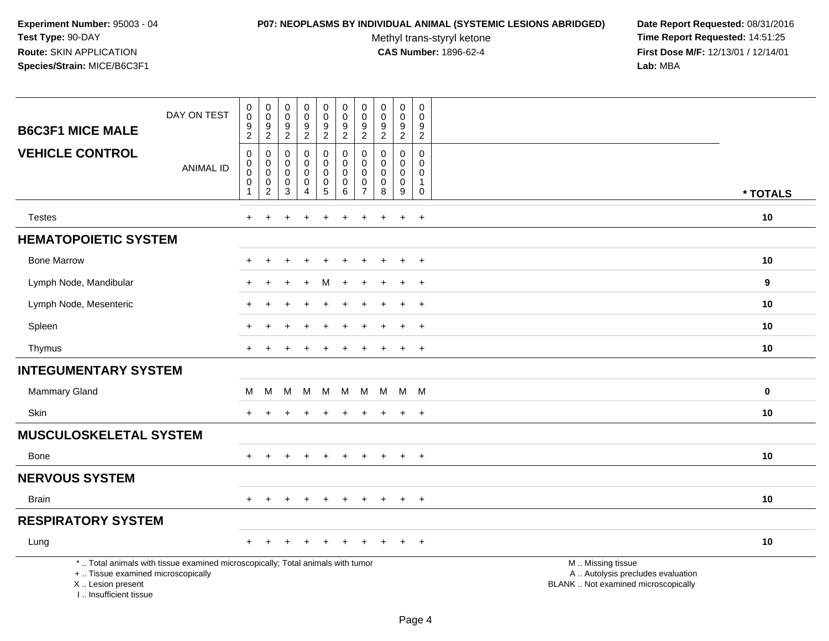#### **P07: NEOPLASMS BY INDIVIDUAL ANIMAL (SYSTEMIC LESIONS ABRIDGED) Date Report Requested:** 08/31/2016

Methyl trans-styryl ketone<br>CAS Number: 1896-62-4

| <b>B6C3F1 MICE MALE</b>                                                          | DAY ON TEST                                                                     | $\pmb{0}$<br>$\pmb{0}$<br>9                 | $\pmb{0}$<br>$\mathbf 0$<br>9      | 0<br>$\mathbf 0$<br>9            | $\pmb{0}$<br>$\pmb{0}$<br>$\boldsymbol{9}$     | $\pmb{0}$<br>$\pmb{0}$<br>$\boldsymbol{9}$ | $\mathbf 0$<br>$\mathbf 0$<br>9              | $\pmb{0}$<br>$\mathbf 0$<br>9      | $\mathbf 0$<br>0<br>9                   | $\pmb{0}$<br>$\mathsf{O}\xspace$<br>$\boldsymbol{9}$ | $\mathbf 0$<br>$\mathbf 0$<br>9            |                                                                                               |          |
|----------------------------------------------------------------------------------|---------------------------------------------------------------------------------|---------------------------------------------|------------------------------------|----------------------------------|------------------------------------------------|--------------------------------------------|----------------------------------------------|------------------------------------|-----------------------------------------|------------------------------------------------------|--------------------------------------------|-----------------------------------------------------------------------------------------------|----------|
| <b>VEHICLE CONTROL</b>                                                           |                                                                                 | $\sqrt{2}$<br>$\boldsymbol{0}$<br>$\pmb{0}$ | $\overline{c}$<br>$\mathbf 0$<br>0 | $\sqrt{2}$<br>0<br>0             | $\boldsymbol{2}$<br>$\mathbf 0$<br>$\mathbf 0$ | $\overline{2}$<br>$\pmb{0}$<br>$\mathbf 0$ | $\overline{2}$<br>$\mathbf 0$<br>$\mathbf 0$ | $\overline{c}$<br>0<br>0           | $\overline{2}$<br>0<br>$\Omega$         | $\overline{2}$<br>$\mathsf{O}\xspace$<br>$\mathbf 0$ | $\overline{2}$<br>$\mathbf 0$<br>$\Omega$  |                                                                                               |          |
|                                                                                  | <b>ANIMAL ID</b>                                                                | $\pmb{0}$<br>$\mathbf 0$<br>$\mathbf{1}$    | $\pmb{0}$<br>0<br>$\sqrt{2}$       | $\mathsf 0$<br>0<br>$\mathbf{3}$ | $\pmb{0}$<br>$\pmb{0}$<br>$\overline{4}$       | $\pmb{0}$<br>$\mathbf 0$<br>$\overline{5}$ | $\mathsf 0$<br>$\mathbf 0$<br>$6\phantom{1}$ | $\mathbf 0$<br>0<br>$\overline{7}$ | $\mathsf{O}\xspace$<br>$\mathbf 0$<br>8 | $\mathsf{O}\xspace$<br>$\pmb{0}$<br>$\boldsymbol{9}$ | $\mathbf 0$<br>$\mathbf{1}$<br>$\mathbf 0$ |                                                                                               | * TOTALS |
| <b>Testes</b>                                                                    |                                                                                 | $+$                                         | ÷                                  |                                  | ٠                                              | $\ddot{}$                                  | $\div$                                       | $\ddot{}$                          |                                         | $\ddot{}$                                            | $+$                                        |                                                                                               | 10       |
| <b>HEMATOPOIETIC SYSTEM</b>                                                      |                                                                                 |                                             |                                    |                                  |                                                |                                            |                                              |                                    |                                         |                                                      |                                            |                                                                                               |          |
| <b>Bone Marrow</b>                                                               |                                                                                 |                                             |                                    |                                  |                                                |                                            |                                              |                                    |                                         | $\ddot{}$                                            | $+$                                        |                                                                                               | 10       |
| Lymph Node, Mandibular                                                           |                                                                                 |                                             |                                    |                                  |                                                | M                                          |                                              |                                    |                                         | $\ddot{}$                                            | $^{+}$                                     |                                                                                               | 9        |
| Lymph Node, Mesenteric                                                           |                                                                                 |                                             |                                    |                                  |                                                |                                            |                                              |                                    |                                         | $\ddot{}$                                            | $+$                                        |                                                                                               | 10       |
| Spleen                                                                           |                                                                                 |                                             |                                    |                                  |                                                |                                            |                                              |                                    |                                         |                                                      | $\overline{ }$                             |                                                                                               | 10       |
| Thymus                                                                           |                                                                                 |                                             |                                    |                                  |                                                |                                            |                                              |                                    |                                         | $\ddot{}$                                            | $^{+}$                                     |                                                                                               | 10       |
| <b>INTEGUMENTARY SYSTEM</b>                                                      |                                                                                 |                                             |                                    |                                  |                                                |                                            |                                              |                                    |                                         |                                                      |                                            |                                                                                               |          |
| Mammary Gland                                                                    |                                                                                 | M                                           | M                                  | м                                | М                                              | М                                          | M                                            | M                                  | M                                       | M M                                                  |                                            |                                                                                               | $\bf{0}$ |
| Skin                                                                             |                                                                                 |                                             |                                    |                                  |                                                |                                            |                                              |                                    |                                         |                                                      | $+$                                        |                                                                                               | 10       |
| <b>MUSCULOSKELETAL SYSTEM</b>                                                    |                                                                                 |                                             |                                    |                                  |                                                |                                            |                                              |                                    |                                         |                                                      |                                            |                                                                                               |          |
| <b>Bone</b>                                                                      |                                                                                 | $+$                                         | $\pm$                              | $+$                              | $\overline{+}$                                 | $\overline{+}$                             | $\overline{+}$                               | $\ddot{}$                          | $\ddot{}$                               | $+$                                                  | $+$                                        |                                                                                               | 10       |
| <b>NERVOUS SYSTEM</b>                                                            |                                                                                 |                                             |                                    |                                  |                                                |                                            |                                              |                                    |                                         |                                                      |                                            |                                                                                               |          |
| <b>Brain</b>                                                                     |                                                                                 | $+$                                         | $\pm$                              | $\pm$                            | $\div$                                         | $\pm$                                      | $\pm$                                        | $\ddot{}$                          | $\pm$                                   | $+$                                                  | $\overline{ }$                             |                                                                                               | 10       |
| <b>RESPIRATORY SYSTEM</b>                                                        |                                                                                 |                                             |                                    |                                  |                                                |                                            |                                              |                                    |                                         |                                                      |                                            |                                                                                               |          |
| Lung                                                                             |                                                                                 |                                             |                                    |                                  |                                                |                                            |                                              |                                    |                                         |                                                      | $\overline{+}$                             |                                                                                               | 10       |
| +  Tissue examined microscopically<br>X  Lesion present<br>I Insufficient tissue | *  Total animals with tissue examined microscopically; Total animals with tumor |                                             |                                    |                                  |                                                |                                            |                                              |                                    |                                         |                                                      |                                            | M  Missing tissue<br>A  Autolysis precludes evaluation<br>BLANK  Not examined microscopically |          |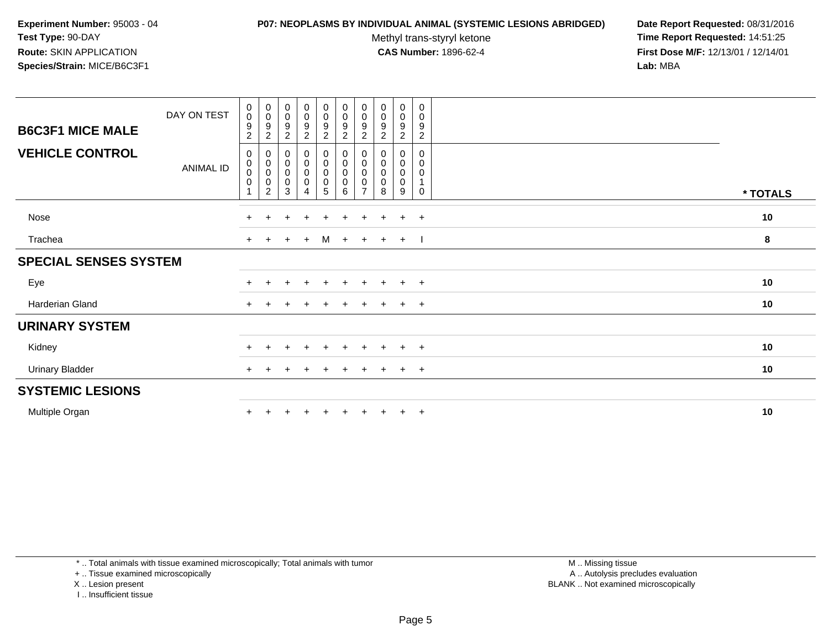#### **P07: NEOPLASMS BY INDIVIDUAL ANIMAL (SYSTEMIC LESIONS ABRIDGED) Date Report Requested:** 08/31/2016

Methyl trans-styryl ketone<br>CAS Number: 1896-62-4

 **Time Report Requested:** 14:51:25 **First Dose M/F:** 12/13/01 / 12/14/01<br>**Lab:** MBA **Lab:** MBA

| <b>B6C3F1 MICE MALE</b>      | DAY ON TEST      | $\begin{smallmatrix}0\\0\end{smallmatrix}$<br>$\boldsymbol{9}$<br>$\overline{c}$ | $_{\rm 0}^{\rm 0}$<br>9<br>$\overline{c}$                                 | $\begin{smallmatrix} 0\\0 \end{smallmatrix}$<br>9<br>$\overline{c}$ | $_0^0$<br>9<br>$\overline{a}$                     | $_{\rm 0}^{\rm 0}$<br>$\overline{9}$<br>$\overline{c}$ | $\begin{smallmatrix} 0\\0 \end{smallmatrix}$<br>$\overline{9}$<br>$\overline{a}$ | $\begin{smallmatrix} 0\\0 \end{smallmatrix}$<br>9<br>$\overline{c}$ | $\begin{smallmatrix}0\\0\end{smallmatrix}$<br>9<br>$\overline{c}$ | $\begin{smallmatrix}0\0\0\end{smallmatrix}$<br>9<br>$\overline{a}$ | 0<br>0<br>9<br>$\overline{c}$             |          |
|------------------------------|------------------|----------------------------------------------------------------------------------|---------------------------------------------------------------------------|---------------------------------------------------------------------|---------------------------------------------------|--------------------------------------------------------|----------------------------------------------------------------------------------|---------------------------------------------------------------------|-------------------------------------------------------------------|--------------------------------------------------------------------|-------------------------------------------|----------|
| <b>VEHICLE CONTROL</b>       | <b>ANIMAL ID</b> | 0<br>$\pmb{0}$<br>$\pmb{0}$<br>0                                                 | $\boldsymbol{0}$<br>$\pmb{0}$<br>$\pmb{0}$<br>$\pmb{0}$<br>$\overline{2}$ | 0<br>$\pmb{0}$<br>$\pmb{0}$<br>$\mathbf 0$<br>3                     | 0<br>$\mathbf 0$<br>$\pmb{0}$<br>$\mathbf 0$<br>4 | $_{\rm 0}^{\rm 0}$<br>$\pmb{0}$<br>$\pmb{0}$<br>5      | $_{\rm 0}^{\rm 0}$<br>$\pmb{0}$<br>$\mathbf 0$<br>6                              | 0<br>0<br>$\pmb{0}$<br>0<br>$\overline{ }$                          | 0<br>0<br>0<br>8                                                  | 0<br>0<br>0<br>0<br>9                                              | 0<br>0<br>0<br>$\overline{1}$<br>$\Omega$ | * TOTALS |
| Nose                         |                  | $+$                                                                              | $\div$                                                                    | ÷                                                                   | $\ddot{}$                                         | $+$                                                    | $\ddot{}$                                                                        | $\pm$                                                               | $\pm$                                                             | $\ddot{}$                                                          | $+$                                       | 10       |
| Trachea                      |                  | $+$                                                                              |                                                                           | $+$                                                                 | $+$                                               | M                                                      | $+$                                                                              | $+$                                                                 | $+$ $+$                                                           |                                                                    |                                           | 8        |
| <b>SPECIAL SENSES SYSTEM</b> |                  |                                                                                  |                                                                           |                                                                     |                                                   |                                                        |                                                                                  |                                                                     |                                                                   |                                                                    |                                           |          |
| Eye                          |                  | $+$                                                                              |                                                                           | $\pm$                                                               | $\div$                                            | $+$                                                    | $\pm$                                                                            | $+$                                                                 | $+$                                                               | $+$                                                                | $+$                                       | 10       |
| Harderian Gland              |                  | $+$                                                                              |                                                                           |                                                                     |                                                   |                                                        |                                                                                  |                                                                     | $\pm$                                                             | $\pm$                                                              | $+$                                       | 10       |
| <b>URINARY SYSTEM</b>        |                  |                                                                                  |                                                                           |                                                                     |                                                   |                                                        |                                                                                  |                                                                     |                                                                   |                                                                    |                                           |          |
| Kidney                       |                  | $+$                                                                              |                                                                           |                                                                     |                                                   | $+$                                                    | $\ddot{}$                                                                        | $\ddot{}$                                                           | $\pm$                                                             | $\ddot{}$                                                          | $+$                                       | 10       |
| <b>Urinary Bladder</b>       |                  | $\pm$                                                                            |                                                                           |                                                                     |                                                   |                                                        |                                                                                  |                                                                     |                                                                   | $\pm$                                                              | $+$                                       | 10       |
| <b>SYSTEMIC LESIONS</b>      |                  |                                                                                  |                                                                           |                                                                     |                                                   |                                                        |                                                                                  |                                                                     |                                                                   |                                                                    |                                           |          |
| Multiple Organ               |                  |                                                                                  |                                                                           |                                                                     |                                                   |                                                        |                                                                                  |                                                                     | $+$                                                               | $\ddot{}$                                                          | $+$                                       | 10       |

\* .. Total animals with tissue examined microscopically; Total animals with tumor

+ .. Tissue examined microscopically

X .. Lesion present

I .. Insufficient tissue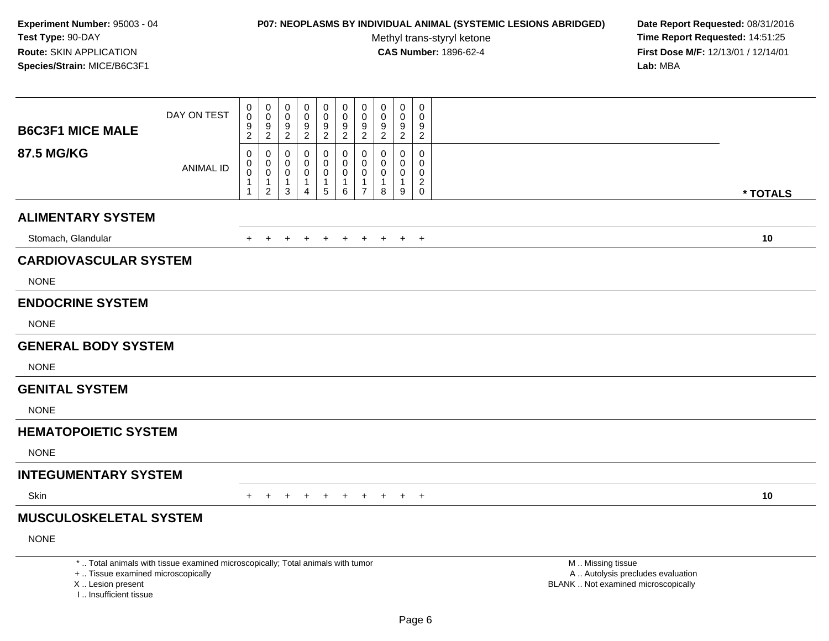## **P07: NEOPLASMS BY INDIVIDUAL ANIMAL (SYSTEMIC LESIONS ABRIDGED) Date Report Requested:** 08/31/2016

Methyl trans-styryl ketone<br>CAS Number: 1896-62-4

|                                                                                  | DAY ON TEST                                                                     | $\pmb{0}$<br>$\ddot{\mathbf{0}}$<br>$\boldsymbol{9}$ | $\mathbf 0$<br>$\mathbf 0$<br>9                                   | $\pmb{0}$<br>0<br>9                     | $\mathsf 0$<br>$\mathbf 0$<br>$\boldsymbol{9}$                    | $\pmb{0}$<br>$\mathbf 0$<br>$\boldsymbol{9}$         | $\mathbf 0$<br>$\mathbf 0$<br>9            | $\mathbf 0$<br>$\mathbf 0$<br>9 | $\mathbf 0$<br>0<br>9                             | $\mathbf 0$<br>$\mathbf 0$<br>9  | $\pmb{0}$<br>$\Omega$<br>9                                       |                                                                                               |          |
|----------------------------------------------------------------------------------|---------------------------------------------------------------------------------|------------------------------------------------------|-------------------------------------------------------------------|-----------------------------------------|-------------------------------------------------------------------|------------------------------------------------------|--------------------------------------------|---------------------------------|---------------------------------------------------|----------------------------------|------------------------------------------------------------------|-----------------------------------------------------------------------------------------------|----------|
| <b>B6C3F1 MICE MALE</b>                                                          |                                                                                 | $\overline{2}$                                       | $\overline{2}$                                                    | $\overline{c}$                          | $\overline{2}$                                                    | $\overline{2}$                                       | $\overline{2}$                             | $\overline{c}$                  | $\overline{2}$                                    | $\overline{2}$                   | $\overline{2}$                                                   |                                                                                               |          |
| <b>87.5 MG/KG</b>                                                                | <b>ANIMAL ID</b>                                                                | 0<br>$\pmb{0}$<br>$\overline{0}$<br>1<br>1           | 0<br>$\mathbf 0$<br>$\mathbf 0$<br>$\mathbf{1}$<br>$\overline{2}$ | 0<br>$\Omega$<br>0<br>$\mathbf{1}$<br>3 | $\mathbf 0$<br>$\mathbf 0$<br>0<br>$\mathbf{1}$<br>$\overline{4}$ | 0<br>$\mathbf 0$<br>$\mathbf 0$<br>$\mathbf{1}$<br>5 | 0<br>$\mathbf 0$<br>0<br>$\mathbf{1}$<br>6 | 0<br>0<br>0<br>1<br>7           | $\mathbf 0$<br>$\Omega$<br>0<br>$\mathbf{1}$<br>8 | 0<br>0<br>0<br>$\mathbf{1}$<br>9 | $\mathbf 0$<br>$\mathbf 0$<br>$\mathbf 0$<br>$\overline{2}$<br>0 |                                                                                               | * TOTALS |
| <b>ALIMENTARY SYSTEM</b>                                                         |                                                                                 |                                                      |                                                                   |                                         |                                                                   |                                                      |                                            |                                 |                                                   |                                  |                                                                  |                                                                                               |          |
| Stomach, Glandular                                                               |                                                                                 | $+$                                                  | $\ddot{}$                                                         | $+$                                     | $+$                                                               | $+$                                                  | $+$                                        | $+$                             | $+$                                               | $+$                              | $+$                                                              |                                                                                               | 10       |
| <b>CARDIOVASCULAR SYSTEM</b>                                                     |                                                                                 |                                                      |                                                                   |                                         |                                                                   |                                                      |                                            |                                 |                                                   |                                  |                                                                  |                                                                                               |          |
| <b>NONE</b>                                                                      |                                                                                 |                                                      |                                                                   |                                         |                                                                   |                                                      |                                            |                                 |                                                   |                                  |                                                                  |                                                                                               |          |
| <b>ENDOCRINE SYSTEM</b>                                                          |                                                                                 |                                                      |                                                                   |                                         |                                                                   |                                                      |                                            |                                 |                                                   |                                  |                                                                  |                                                                                               |          |
| <b>NONE</b>                                                                      |                                                                                 |                                                      |                                                                   |                                         |                                                                   |                                                      |                                            |                                 |                                                   |                                  |                                                                  |                                                                                               |          |
| <b>GENERAL BODY SYSTEM</b>                                                       |                                                                                 |                                                      |                                                                   |                                         |                                                                   |                                                      |                                            |                                 |                                                   |                                  |                                                                  |                                                                                               |          |
| <b>NONE</b>                                                                      |                                                                                 |                                                      |                                                                   |                                         |                                                                   |                                                      |                                            |                                 |                                                   |                                  |                                                                  |                                                                                               |          |
| <b>GENITAL SYSTEM</b>                                                            |                                                                                 |                                                      |                                                                   |                                         |                                                                   |                                                      |                                            |                                 |                                                   |                                  |                                                                  |                                                                                               |          |
| <b>NONE</b>                                                                      |                                                                                 |                                                      |                                                                   |                                         |                                                                   |                                                      |                                            |                                 |                                                   |                                  |                                                                  |                                                                                               |          |
| <b>HEMATOPOIETIC SYSTEM</b>                                                      |                                                                                 |                                                      |                                                                   |                                         |                                                                   |                                                      |                                            |                                 |                                                   |                                  |                                                                  |                                                                                               |          |
| <b>NONE</b>                                                                      |                                                                                 |                                                      |                                                                   |                                         |                                                                   |                                                      |                                            |                                 |                                                   |                                  |                                                                  |                                                                                               |          |
| <b>INTEGUMENTARY SYSTEM</b>                                                      |                                                                                 |                                                      |                                                                   |                                         |                                                                   |                                                      |                                            |                                 |                                                   |                                  |                                                                  |                                                                                               |          |
| Skin                                                                             |                                                                                 |                                                      | $\pm$                                                             |                                         |                                                                   |                                                      |                                            |                                 |                                                   | $\ddot{}$                        | $+$                                                              |                                                                                               | 10       |
| <b>MUSCULOSKELETAL SYSTEM</b>                                                    |                                                                                 |                                                      |                                                                   |                                         |                                                                   |                                                      |                                            |                                 |                                                   |                                  |                                                                  |                                                                                               |          |
| <b>NONE</b>                                                                      |                                                                                 |                                                      |                                                                   |                                         |                                                                   |                                                      |                                            |                                 |                                                   |                                  |                                                                  |                                                                                               |          |
| +  Tissue examined microscopically<br>X  Lesion present<br>I Insufficient tissue | *  Total animals with tissue examined microscopically; Total animals with tumor |                                                      |                                                                   |                                         |                                                                   |                                                      |                                            |                                 |                                                   |                                  |                                                                  | M  Missing tissue<br>A  Autolysis precludes evaluation<br>BLANK  Not examined microscopically |          |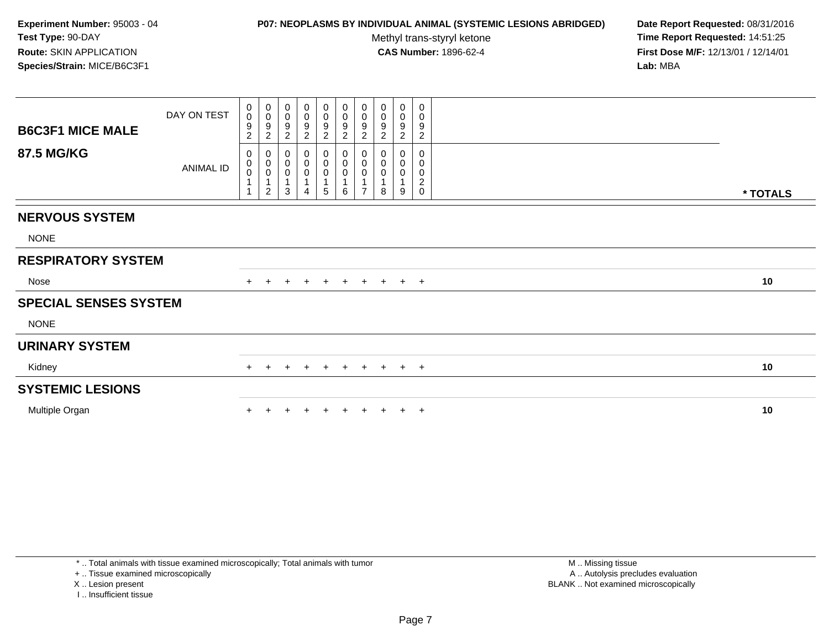### **P07: NEOPLASMS BY INDIVIDUAL ANIMAL (SYSTEMIC LESIONS ABRIDGED) Date Report Requested:** 08/31/2016

Methyl trans-styryl ketone<br>CAS Number: 1896-62-4

 **Time Report Requested:** 14:51:25 **First Dose M/F:** 12/13/01 / 12/14/01<br>**Lab:** MBA **Lab:** MBA

| <b>B6C3F1 MICE MALE</b>      | DAY ON TEST      | $\begin{smallmatrix}0\0\0\end{smallmatrix}$<br>9<br>2 | $\begin{smallmatrix}0\\0\end{smallmatrix}$<br>$\frac{9}{2}$            | 0<br>$\pmb{0}$<br>9<br>$\overline{c}$              | $\begin{smallmatrix}0\\0\end{smallmatrix}$<br>9<br>$\boldsymbol{2}$ | $_{\rm 0}^{\rm 0}$<br>$\frac{9}{2}$   | $_0^0$<br>$\frac{9}{2}$  | $_{\rm 0}^{\rm 0}$<br>$\frac{9}{2}$                        | 0<br>$\pmb{0}$<br>9<br>$\overline{c}$ | $\boldsymbol{0}$<br>$\pmb{0}$<br>9<br>$\overline{c}$ | 0<br>$\mathbf 0$<br>9<br>$\overline{c}$               |          |
|------------------------------|------------------|-------------------------------------------------------|------------------------------------------------------------------------|----------------------------------------------------|---------------------------------------------------------------------|---------------------------------------|--------------------------|------------------------------------------------------------|---------------------------------------|------------------------------------------------------|-------------------------------------------------------|----------|
| <b>87.5 MG/KG</b>            | <b>ANIMAL ID</b> | 0<br>$\mathbf 0$<br>$\mathsf 0$<br>$\overline{A}$     | $\mathbf 0$<br>$\begin{matrix} 0 \\ 0 \\ 1 \end{matrix}$<br>$\sqrt{2}$ | 0<br>$\pmb{0}$<br>$\pmb{0}$<br>$\overline{ }$<br>3 | 0<br>$\mathbf 0$<br>$\boldsymbol{0}$<br>4                           | 0<br>$\pmb{0}$<br>$\pmb{0}$<br>1<br>5 | 0<br>$\pmb{0}$<br>0<br>6 | $\pmb{0}$<br>$\pmb{0}$<br>$\pmb{0}$<br>1<br>$\overline{ }$ | 0<br>0<br>0<br>1<br>8                 | 0<br>0<br>0<br>1<br>9                                | 0<br>0<br>0<br>$\overline{\mathbf{c}}$<br>$\mathbf 0$ | * TOTALS |
| <b>NERVOUS SYSTEM</b>        |                  |                                                       |                                                                        |                                                    |                                                                     |                                       |                          |                                                            |                                       |                                                      |                                                       |          |
| <b>NONE</b>                  |                  |                                                       |                                                                        |                                                    |                                                                     |                                       |                          |                                                            |                                       |                                                      |                                                       |          |
| <b>RESPIRATORY SYSTEM</b>    |                  |                                                       |                                                                        |                                                    |                                                                     |                                       |                          |                                                            |                                       |                                                      |                                                       |          |
| Nose                         |                  |                                                       |                                                                        |                                                    |                                                                     | $\pm$                                 | $+$                      | $+$                                                        | $+$                                   |                                                      | $+$ $+$                                               | 10       |
| <b>SPECIAL SENSES SYSTEM</b> |                  |                                                       |                                                                        |                                                    |                                                                     |                                       |                          |                                                            |                                       |                                                      |                                                       |          |
| <b>NONE</b>                  |                  |                                                       |                                                                        |                                                    |                                                                     |                                       |                          |                                                            |                                       |                                                      |                                                       |          |
| <b>URINARY SYSTEM</b>        |                  |                                                       |                                                                        |                                                    |                                                                     |                                       |                          |                                                            |                                       |                                                      |                                                       |          |
| Kidney                       |                  | $\pm$                                                 | $\pm$                                                                  | $\pm$                                              | $\pm$                                                               | $+$                                   | $+$                      | $+$                                                        | $+$                                   |                                                      | $+$ $+$                                               | 10       |
| <b>SYSTEMIC LESIONS</b>      |                  |                                                       |                                                                        |                                                    |                                                                     |                                       |                          |                                                            |                                       |                                                      |                                                       |          |
| Multiple Organ               |                  |                                                       |                                                                        |                                                    |                                                                     |                                       |                          |                                                            |                                       |                                                      | $\overline{ }$                                        | 10       |

\* .. Total animals with tissue examined microscopically; Total animals with tumor

+ .. Tissue examined microscopically

X .. Lesion present

I .. Insufficient tissue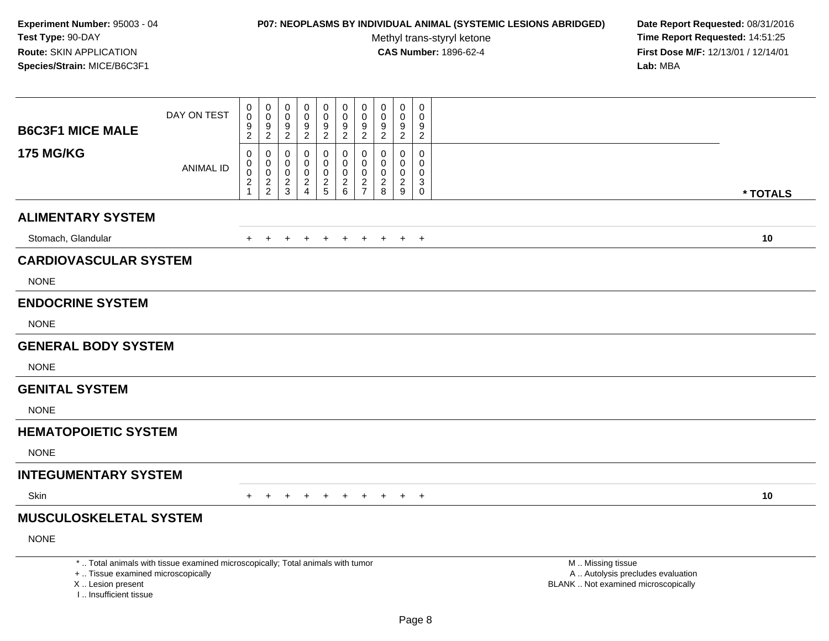## **P07: NEOPLASMS BY INDIVIDUAL ANIMAL (SYSTEMIC LESIONS ABRIDGED) Date Report Requested:** 08/31/2016

Methyl trans-styryl ketone<br>CAS Number: 1896-62-4

| <b>B6C3F1 MICE MALE</b>                                                          | DAY ON TEST                                                                     | $\pmb{0}$<br>$\ddot{\mathbf{0}}$<br>$\boldsymbol{9}$               | $\mathbf 0$<br>$\mathbf 0$<br>9                  | $\pmb{0}$<br>0<br>9          | $\mathsf 0$<br>$\mathbf 0$<br>$\boldsymbol{9}$                                | $\pmb{0}$<br>$\mathbf 0$<br>$\boldsymbol{9}$     | $\mathbf 0$<br>$\mathbf 0$<br>9                          | $\mathbf 0$<br>$\mathbf 0$<br>9                 | $\mathbf 0$<br>0<br>9                                        | $\mathbf 0$<br>$\mathbf 0$<br>9 | $\pmb{0}$<br>$\Omega$<br>9                          |                                                                                               |          |
|----------------------------------------------------------------------------------|---------------------------------------------------------------------------------|--------------------------------------------------------------------|--------------------------------------------------|------------------------------|-------------------------------------------------------------------------------|--------------------------------------------------|----------------------------------------------------------|-------------------------------------------------|--------------------------------------------------------------|---------------------------------|-----------------------------------------------------|-----------------------------------------------------------------------------------------------|----------|
|                                                                                  |                                                                                 | $\overline{2}$                                                     | $\overline{2}$                                   | $\overline{c}$               | $\overline{2}$                                                                | $\overline{2}$                                   | $\overline{2}$                                           | $\overline{2}$                                  | $\overline{2}$                                               | $\overline{2}$                  | $\overline{2}$                                      |                                                                                               |          |
| <b>175 MG/KG</b>                                                                 | <b>ANIMAL ID</b>                                                                | 0<br>$\pmb{0}$<br>$\overline{0}$<br>$\overline{c}$<br>$\mathbf{1}$ | 0<br>$\mathbf 0$<br>$\mathbf 0$<br>$\frac{2}{2}$ | 0<br>0<br>0<br>$\frac{2}{3}$ | $\mathbf 0$<br>$\mathbf 0$<br>$\mathbf 0$<br>$\overline{c}$<br>$\overline{4}$ | 0<br>$\mathbf 0$<br>$\mathbf 0$<br>$\frac{2}{5}$ | 0<br>$\mathbf 0$<br>$\mathbf 0$<br>$\boldsymbol{2}$<br>6 | 0<br>0<br>0<br>$\overline{2}$<br>$\overline{7}$ | $\mathbf 0$<br>$\Omega$<br>0<br>$\overline{\mathbf{c}}$<br>8 | 0<br>0<br>0<br>$\frac{2}{9}$    | $\mathbf 0$<br>$\mathbf 0$<br>$\mathbf 0$<br>3<br>0 |                                                                                               | * TOTALS |
| <b>ALIMENTARY SYSTEM</b>                                                         |                                                                                 |                                                                    |                                                  |                              |                                                                               |                                                  |                                                          |                                                 |                                                              |                                 |                                                     |                                                                                               |          |
| Stomach, Glandular                                                               |                                                                                 | $+$                                                                | $\ddot{}$                                        | $+$                          | $+$                                                                           | $+$                                              | $+$                                                      | $+$                                             | $+$                                                          | $+$                             | $+$                                                 |                                                                                               | 10       |
| <b>CARDIOVASCULAR SYSTEM</b>                                                     |                                                                                 |                                                                    |                                                  |                              |                                                                               |                                                  |                                                          |                                                 |                                                              |                                 |                                                     |                                                                                               |          |
| <b>NONE</b>                                                                      |                                                                                 |                                                                    |                                                  |                              |                                                                               |                                                  |                                                          |                                                 |                                                              |                                 |                                                     |                                                                                               |          |
| <b>ENDOCRINE SYSTEM</b>                                                          |                                                                                 |                                                                    |                                                  |                              |                                                                               |                                                  |                                                          |                                                 |                                                              |                                 |                                                     |                                                                                               |          |
| <b>NONE</b>                                                                      |                                                                                 |                                                                    |                                                  |                              |                                                                               |                                                  |                                                          |                                                 |                                                              |                                 |                                                     |                                                                                               |          |
| <b>GENERAL BODY SYSTEM</b>                                                       |                                                                                 |                                                                    |                                                  |                              |                                                                               |                                                  |                                                          |                                                 |                                                              |                                 |                                                     |                                                                                               |          |
| <b>NONE</b>                                                                      |                                                                                 |                                                                    |                                                  |                              |                                                                               |                                                  |                                                          |                                                 |                                                              |                                 |                                                     |                                                                                               |          |
| <b>GENITAL SYSTEM</b>                                                            |                                                                                 |                                                                    |                                                  |                              |                                                                               |                                                  |                                                          |                                                 |                                                              |                                 |                                                     |                                                                                               |          |
| <b>NONE</b>                                                                      |                                                                                 |                                                                    |                                                  |                              |                                                                               |                                                  |                                                          |                                                 |                                                              |                                 |                                                     |                                                                                               |          |
| <b>HEMATOPOIETIC SYSTEM</b>                                                      |                                                                                 |                                                                    |                                                  |                              |                                                                               |                                                  |                                                          |                                                 |                                                              |                                 |                                                     |                                                                                               |          |
| <b>NONE</b>                                                                      |                                                                                 |                                                                    |                                                  |                              |                                                                               |                                                  |                                                          |                                                 |                                                              |                                 |                                                     |                                                                                               |          |
| <b>INTEGUMENTARY SYSTEM</b>                                                      |                                                                                 |                                                                    |                                                  |                              |                                                                               |                                                  |                                                          |                                                 |                                                              |                                 |                                                     |                                                                                               |          |
| Skin                                                                             |                                                                                 |                                                                    | $\pm$                                            |                              |                                                                               |                                                  |                                                          |                                                 |                                                              | $\ddot{}$                       | $+$                                                 |                                                                                               | 10       |
| <b>MUSCULOSKELETAL SYSTEM</b>                                                    |                                                                                 |                                                                    |                                                  |                              |                                                                               |                                                  |                                                          |                                                 |                                                              |                                 |                                                     |                                                                                               |          |
| <b>NONE</b>                                                                      |                                                                                 |                                                                    |                                                  |                              |                                                                               |                                                  |                                                          |                                                 |                                                              |                                 |                                                     |                                                                                               |          |
| +  Tissue examined microscopically<br>X  Lesion present<br>I Insufficient tissue | *  Total animals with tissue examined microscopically; Total animals with tumor |                                                                    |                                                  |                              |                                                                               |                                                  |                                                          |                                                 |                                                              |                                 |                                                     | M  Missing tissue<br>A  Autolysis precludes evaluation<br>BLANK  Not examined microscopically |          |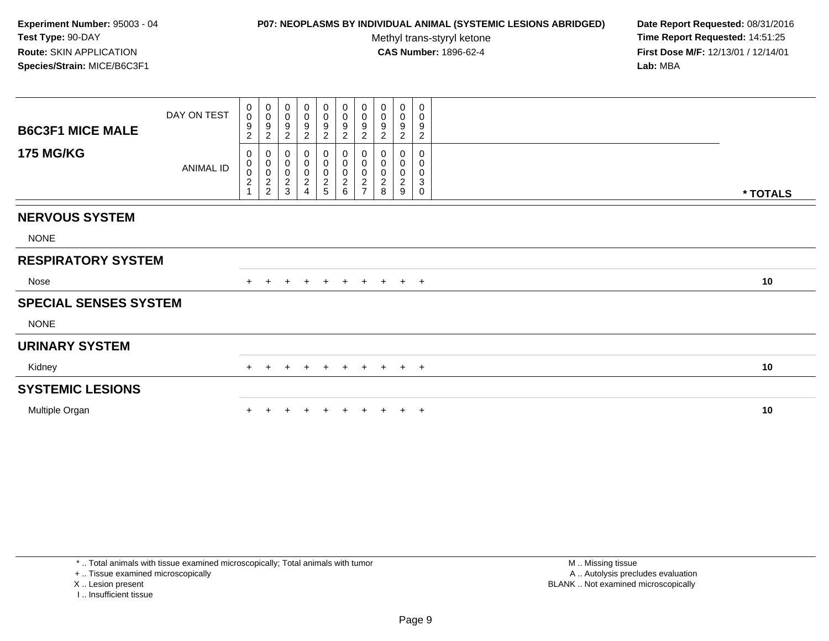### **P07: NEOPLASMS BY INDIVIDUAL ANIMAL (SYSTEMIC LESIONS ABRIDGED) Date Report Requested:** 08/31/2016

Methyl trans-styryl ketone<br>CAS Number: 1896-62-4

 **Time Report Requested:** 14:51:25 **First Dose M/F:** 12/13/01 / 12/14/01<br>**Lab:** MBA **Lab:** MBA

| <b>B6C3F1 MICE MALE</b>      | DAY ON TEST      | $\begin{smallmatrix}0\0\0\end{smallmatrix}$<br>9<br>2    | $\begin{smallmatrix}0\\0\end{smallmatrix}$<br>$\frac{9}{2}$ | 0<br>$\pmb{0}$<br>9<br>$\overline{\mathbf{c}}$ | $\begin{smallmatrix}0\\0\end{smallmatrix}$<br>$\boldsymbol{9}$<br>$\boldsymbol{2}$ | $_{\rm 0}^{\rm 0}$<br>$\frac{9}{2}$          | $_0^0$<br>$\frac{9}{2}$      | $_{\rm 0}^{\rm 0}$<br>$\frac{9}{2}$                            | 0<br>$\pmb{0}$<br>9<br>$\overline{c}$               | $\boldsymbol{0}$<br>$\pmb{0}$<br>9<br>$\overline{c}$ | 0<br>0<br>9<br>$\overline{c}$           |          |
|------------------------------|------------------|----------------------------------------------------------|-------------------------------------------------------------|------------------------------------------------|------------------------------------------------------------------------------------|----------------------------------------------|------------------------------|----------------------------------------------------------------|-----------------------------------------------------|------------------------------------------------------|-----------------------------------------|----------|
| <b>175 MG/KG</b>             | <b>ANIMAL ID</b> | 0<br>0<br>$\begin{smallmatrix} 0 \\ 2 \end{smallmatrix}$ | $\pmb{0}$<br>$\begin{matrix} 0 \\ 0 \\ 2 \\ 2 \end{matrix}$ | 0<br>0<br>$\pmb{0}$<br>$\boldsymbol{2}$<br>3   | $\boldsymbol{0}$<br>$\boldsymbol{0}$<br>$\boldsymbol{2}$                           | 0<br>$\pmb{0}$<br>$\pmb{0}$<br>$\frac{2}{5}$ | 0<br>0<br>0<br>$\frac{2}{6}$ | 0<br>$\pmb{0}$<br>$\begin{array}{c}\n0 \\ 2 \\ 7\n\end{array}$ | O<br>0<br>$\pmb{0}$<br>$\overline{\mathbf{c}}$<br>8 | 0<br>$\boldsymbol{0}$<br>$\boldsymbol{2}$<br>9       | 0<br>0<br>$\pmb{0}$<br>3<br>$\mathbf 0$ | * TOTALS |
| <b>NERVOUS SYSTEM</b>        |                  |                                                          |                                                             |                                                |                                                                                    |                                              |                              |                                                                |                                                     |                                                      |                                         |          |
| <b>NONE</b>                  |                  |                                                          |                                                             |                                                |                                                                                    |                                              |                              |                                                                |                                                     |                                                      |                                         |          |
| <b>RESPIRATORY SYSTEM</b>    |                  |                                                          |                                                             |                                                |                                                                                    |                                              |                              |                                                                |                                                     |                                                      |                                         |          |
| Nose                         |                  |                                                          |                                                             |                                                |                                                                                    | $\pm$                                        | $+$                          | $+$                                                            | $+$                                                 | $+$ $+$                                              |                                         | 10       |
| <b>SPECIAL SENSES SYSTEM</b> |                  |                                                          |                                                             |                                                |                                                                                    |                                              |                              |                                                                |                                                     |                                                      |                                         |          |
| <b>NONE</b>                  |                  |                                                          |                                                             |                                                |                                                                                    |                                              |                              |                                                                |                                                     |                                                      |                                         |          |
| <b>URINARY SYSTEM</b>        |                  |                                                          |                                                             |                                                |                                                                                    |                                              |                              |                                                                |                                                     |                                                      |                                         |          |
| Kidney                       |                  | $\pm$                                                    | $\pm$                                                       | $\pm$                                          | $\pm$                                                                              | $+$                                          | $+$                          | $+$                                                            | $+$                                                 | $+$ $+$                                              |                                         | 10       |
| <b>SYSTEMIC LESIONS</b>      |                  |                                                          |                                                             |                                                |                                                                                    |                                              |                              |                                                                |                                                     |                                                      |                                         |          |
| Multiple Organ               |                  |                                                          |                                                             |                                                |                                                                                    |                                              |                              |                                                                |                                                     |                                                      | $\overline{ }$                          | 10       |

\* .. Total animals with tissue examined microscopically; Total animals with tumor

+ .. Tissue examined microscopically

X .. Lesion present

I .. Insufficient tissue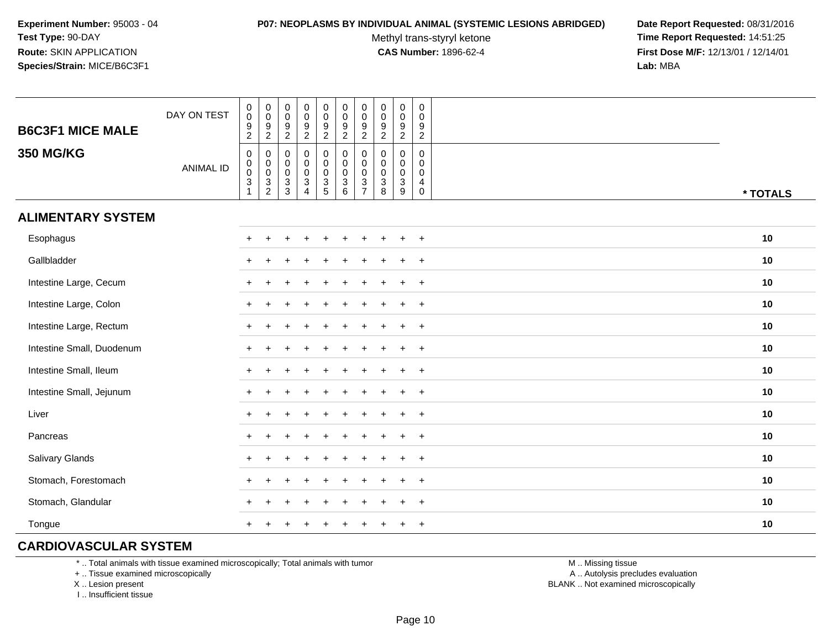#### **P07: NEOPLASMS BY INDIVIDUAL ANIMAL (SYSTEMIC LESIONS ABRIDGED) Date Report Requested:** 08/31/2016

Methyl trans-styryl ketone<br>CAS Number: 1896-62-4

 **Time Report Requested:** 14:51:25 **First Dose M/F:** 12/13/01 / 12/14/01<br>**Lab:** MBA **Lab:** MBA

| <b>B6C3F1 MICE MALE</b>   | DAY ON TEST      | $\pmb{0}$<br>$\pmb{0}$<br>$\frac{9}{2}$                                                      | 0<br>$\pmb{0}$<br>$\frac{9}{2}$                                              | $\pmb{0}$<br>$\pmb{0}$<br>$\frac{9}{2}$  | $\pmb{0}$<br>$\mathsf 0$<br>$\frac{9}{2}$                                 | $\pmb{0}$<br>$\mathbf 0$<br>$\frac{9}{2}$                          | $\pmb{0}$<br>$\mathbf 0$<br>$\frac{9}{2}$                                     | $\pmb{0}$<br>$\pmb{0}$<br>9<br>$\boldsymbol{2}$                                          | $\pmb{0}$<br>$\pmb{0}$<br>$\frac{9}{2}$                | $\pmb{0}$<br>$\mathsf{O}\xspace$<br>$\frac{9}{2}$                      | $\mathsf{O}$<br>0<br>$\frac{9}{2}$                            |          |
|---------------------------|------------------|----------------------------------------------------------------------------------------------|------------------------------------------------------------------------------|------------------------------------------|---------------------------------------------------------------------------|--------------------------------------------------------------------|-------------------------------------------------------------------------------|------------------------------------------------------------------------------------------|--------------------------------------------------------|------------------------------------------------------------------------|---------------------------------------------------------------|----------|
| <b>350 MG/KG</b>          | <b>ANIMAL ID</b> | $\mathbf 0$<br>$\mathsf{O}\xspace$<br>$\pmb{0}$<br>$\ensuremath{\mathsf{3}}$<br>$\mathbf{1}$ | 0<br>$\mathbf 0$<br>$\pmb{0}$<br>$\ensuremath{\mathsf{3}}$<br>$\overline{c}$ | 0<br>$_{\rm 0}^{\rm 0}$<br>$\frac{3}{3}$ | $\mathsf 0$<br>$\pmb{0}$<br>$\pmb{0}$<br>$\overline{3}$<br>$\overline{4}$ | $\mathbf 0$<br>$\mathsf{O}\xspace$<br>$\mathsf 0$<br>$\frac{3}{5}$ | $\pmb{0}$<br>$\pmb{0}$<br>$\mathbf 0$<br>$\ensuremath{\mathsf{3}}$<br>$\,6\,$ | $\mathbf 0$<br>$\mathbf 0$<br>$\mathbf 0$<br>$\ensuremath{\mathsf{3}}$<br>$\overline{7}$ | $\mathbf 0$<br>$\pmb{0}$<br>$\pmb{0}$<br>$\frac{3}{8}$ | $\mathsf{O}$<br>$\mathbf 0$<br>$\mathsf{O}\xspace$<br>$\mathbf 3$<br>9 | $\mathbf 0$<br>$\mathbf 0$<br>$\mathbf 0$<br>4<br>$\mathbf 0$ | * TOTALS |
| <b>ALIMENTARY SYSTEM</b>  |                  |                                                                                              |                                                                              |                                          |                                                                           |                                                                    |                                                                               |                                                                                          |                                                        |                                                                        |                                                               |          |
| Esophagus                 |                  | $+$                                                                                          | $\ddot{}$                                                                    |                                          |                                                                           |                                                                    |                                                                               |                                                                                          |                                                        | $\ddot{}$                                                              | $+$                                                           | 10       |
| Gallbladder               |                  | $\div$                                                                                       |                                                                              |                                          |                                                                           |                                                                    |                                                                               |                                                                                          |                                                        | $\div$                                                                 | $+$                                                           | $10$     |
| Intestine Large, Cecum    |                  |                                                                                              |                                                                              |                                          |                                                                           |                                                                    |                                                                               |                                                                                          |                                                        |                                                                        | $\overline{+}$                                                | 10       |
| Intestine Large, Colon    |                  |                                                                                              |                                                                              |                                          |                                                                           |                                                                    |                                                                               |                                                                                          |                                                        |                                                                        | $\ddot{}$                                                     | 10       |
| Intestine Large, Rectum   |                  |                                                                                              |                                                                              |                                          |                                                                           |                                                                    |                                                                               |                                                                                          |                                                        |                                                                        | $\ddot{}$                                                     | 10       |
| Intestine Small, Duodenum |                  |                                                                                              |                                                                              |                                          |                                                                           |                                                                    |                                                                               |                                                                                          |                                                        | $\ddot{}$                                                              | $+$                                                           | 10       |
| Intestine Small, Ileum    |                  |                                                                                              |                                                                              |                                          |                                                                           |                                                                    |                                                                               |                                                                                          |                                                        | $\ddot{}$                                                              | $\overline{+}$                                                | 10       |
| Intestine Small, Jejunum  |                  |                                                                                              |                                                                              |                                          |                                                                           |                                                                    |                                                                               |                                                                                          |                                                        | $\ddot{}$                                                              | $+$                                                           | 10       |
| Liver                     |                  | $+$                                                                                          |                                                                              |                                          |                                                                           |                                                                    |                                                                               |                                                                                          |                                                        | $\ddot{}$                                                              | $\overline{+}$                                                | 10       |
| Pancreas                  |                  | $+$                                                                                          |                                                                              |                                          |                                                                           |                                                                    |                                                                               |                                                                                          |                                                        | $\ddot{}$                                                              | $+$                                                           | 10       |
| Salivary Glands           |                  | $\ddot{}$                                                                                    |                                                                              |                                          |                                                                           |                                                                    |                                                                               |                                                                                          |                                                        | $\ddot{}$                                                              | $+$                                                           | 10       |
| Stomach, Forestomach      |                  |                                                                                              |                                                                              |                                          |                                                                           |                                                                    |                                                                               |                                                                                          |                                                        |                                                                        | $\ddot{}$                                                     | 10       |
| Stomach, Glandular        |                  |                                                                                              |                                                                              |                                          |                                                                           |                                                                    |                                                                               |                                                                                          |                                                        |                                                                        | $+$                                                           | 10       |
| Tongue                    |                  |                                                                                              |                                                                              |                                          |                                                                           |                                                                    |                                                                               |                                                                                          |                                                        | $\ddot{}$                                                              | $\overline{+}$                                                | 10       |

# **CARDIOVASCULAR SYSTEM**

\* .. Total animals with tissue examined microscopically; Total animals with tumor

+ .. Tissue examined microscopically

X .. Lesion present

I .. Insufficient tissue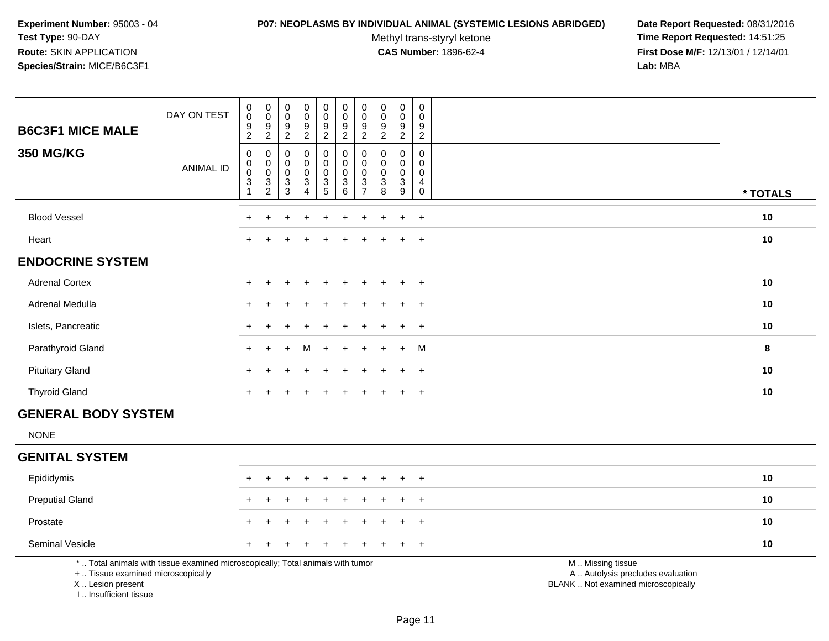# **P07: NEOPLASMS BY INDIVIDUAL ANIMAL (SYSTEMIC LESIONS ABRIDGED) Date Report Requested:** 08/31/2016

Methyl trans-styryl ketone<br>CAS Number: 1896-62-4

| <b>B6C3F1 MICE MALE</b>                                                            | DAY ON TEST                                                                     | $_{\rm 0}^{\rm 0}$<br>$\boldsymbol{9}$<br>$\overline{2}$           | $\pmb{0}$<br>$\pmb{0}$<br>$\frac{9}{2}$                          | $\pmb{0}$<br>$\mathbf 0$<br>$\boldsymbol{9}$                                              | $\pmb{0}$<br>$\pmb{0}$<br>$\boldsymbol{9}$                                     | $\pmb{0}$<br>$\pmb{0}$<br>$\boldsymbol{9}$                         | $\pmb{0}$<br>$\pmb{0}$<br>$\boldsymbol{9}$                                                     | $\pmb{0}$<br>$\pmb{0}$<br>9<br>$\overline{2}$                               | $\pmb{0}$<br>$\mathbf 0$<br>9<br>$\overline{2}$              | $\pmb{0}$<br>$\pmb{0}$<br>$\boldsymbol{9}$                                               | $\mathbf 0$<br>$\Omega$<br>9<br>$\overline{c}$   |                                                                                               |          |
|------------------------------------------------------------------------------------|---------------------------------------------------------------------------------|--------------------------------------------------------------------|------------------------------------------------------------------|-------------------------------------------------------------------------------------------|--------------------------------------------------------------------------------|--------------------------------------------------------------------|------------------------------------------------------------------------------------------------|-----------------------------------------------------------------------------|--------------------------------------------------------------|------------------------------------------------------------------------------------------|--------------------------------------------------|-----------------------------------------------------------------------------------------------|----------|
| <b>350 MG/KG</b>                                                                   | <b>ANIMAL ID</b>                                                                | $\pmb{0}$<br>$\mathbf 0$<br>$\mathsf{O}\xspace$<br>$\sqrt{3}$<br>1 | $\mathbf 0$<br>$\pmb{0}$<br>$\ddot{\mathbf{0}}$<br>$\frac{3}{2}$ | $\overline{2}$<br>$\mathbf 0$<br>$\mathbf 0$<br>$\pmb{0}$<br>$\sqrt{3}$<br>$\overline{3}$ | $\overline{2}$<br>0<br>$\pmb{0}$<br>$\mathsf{O}\xspace$<br>3<br>$\overline{A}$ | $\overline{2}$<br>0<br>$\mathbf 0$<br>$\mathbf 0$<br>$\frac{3}{5}$ | $\overline{2}$<br>$\pmb{0}$<br>$\pmb{0}$<br>$\mathsf{O}\xspace$<br>$\mathbf{3}$<br>$6^{\circ}$ | $\mathbf 0$<br>$\mathbf 0$<br>$\mathbf 0$<br>$\mathbf{3}$<br>$\overline{7}$ | $\mathbf 0$<br>$\mathbf 0$<br>$\mathbf 0$<br>$\sqrt{3}$<br>8 | $\sqrt{2}$<br>0<br>$\pmb{0}$<br>$\pmb{0}$<br>$\ensuremath{\mathsf{3}}$<br>$\overline{9}$ | $\mathbf 0$<br>$\Omega$<br>0<br>4<br>$\mathbf 0$ |                                                                                               | * TOTALS |
| <b>Blood Vessel</b>                                                                |                                                                                 |                                                                    |                                                                  |                                                                                           |                                                                                |                                                                    |                                                                                                |                                                                             |                                                              | $\ddot{}$                                                                                | $+$                                              |                                                                                               | 10       |
| Heart                                                                              |                                                                                 |                                                                    |                                                                  |                                                                                           |                                                                                |                                                                    |                                                                                                |                                                                             |                                                              |                                                                                          | $\overline{+}$                                   |                                                                                               | 10       |
| <b>ENDOCRINE SYSTEM</b>                                                            |                                                                                 |                                                                    |                                                                  |                                                                                           |                                                                                |                                                                    |                                                                                                |                                                                             |                                                              |                                                                                          |                                                  |                                                                                               |          |
| <b>Adrenal Cortex</b>                                                              |                                                                                 |                                                                    |                                                                  |                                                                                           |                                                                                |                                                                    |                                                                                                |                                                                             |                                                              | $\ddot{}$                                                                                | $\overline{+}$                                   |                                                                                               | 10       |
| <b>Adrenal Medulla</b>                                                             |                                                                                 |                                                                    |                                                                  |                                                                                           |                                                                                |                                                                    |                                                                                                |                                                                             |                                                              | $\ddot{}$                                                                                | $\ddot{}$                                        |                                                                                               | 10       |
| Islets, Pancreatic                                                                 |                                                                                 |                                                                    |                                                                  |                                                                                           |                                                                                |                                                                    |                                                                                                |                                                                             |                                                              |                                                                                          | $\overline{ }$                                   |                                                                                               | 10       |
| Parathyroid Gland                                                                  |                                                                                 |                                                                    |                                                                  |                                                                                           | M                                                                              |                                                                    |                                                                                                |                                                                             |                                                              | $\ddot{}$                                                                                | M                                                |                                                                                               | 8        |
| <b>Pituitary Gland</b>                                                             |                                                                                 | ÷.                                                                 |                                                                  |                                                                                           |                                                                                |                                                                    |                                                                                                |                                                                             |                                                              | $\ddot{}$                                                                                | $+$                                              |                                                                                               | 10       |
| <b>Thyroid Gland</b>                                                               |                                                                                 | $\ddot{}$                                                          |                                                                  |                                                                                           |                                                                                |                                                                    |                                                                                                |                                                                             |                                                              | $\ddot{}$                                                                                | $+$                                              |                                                                                               | 10       |
| <b>GENERAL BODY SYSTEM</b>                                                         |                                                                                 |                                                                    |                                                                  |                                                                                           |                                                                                |                                                                    |                                                                                                |                                                                             |                                                              |                                                                                          |                                                  |                                                                                               |          |
| <b>NONE</b>                                                                        |                                                                                 |                                                                    |                                                                  |                                                                                           |                                                                                |                                                                    |                                                                                                |                                                                             |                                                              |                                                                                          |                                                  |                                                                                               |          |
| <b>GENITAL SYSTEM</b>                                                              |                                                                                 |                                                                    |                                                                  |                                                                                           |                                                                                |                                                                    |                                                                                                |                                                                             |                                                              |                                                                                          |                                                  |                                                                                               |          |
| Epididymis                                                                         |                                                                                 |                                                                    | $\pm$                                                            |                                                                                           | ÷                                                                              |                                                                    |                                                                                                |                                                                             |                                                              | $\ddot{}$                                                                                | $+$                                              |                                                                                               | 10       |
| <b>Preputial Gland</b>                                                             |                                                                                 |                                                                    |                                                                  |                                                                                           |                                                                                |                                                                    |                                                                                                |                                                                             |                                                              |                                                                                          | $\ddot{}$                                        |                                                                                               | 10       |
| Prostate                                                                           |                                                                                 |                                                                    |                                                                  |                                                                                           |                                                                                |                                                                    |                                                                                                |                                                                             |                                                              |                                                                                          | $\overline{1}$                                   |                                                                                               | 10       |
| Seminal Vesicle                                                                    |                                                                                 |                                                                    |                                                                  |                                                                                           |                                                                                |                                                                    |                                                                                                |                                                                             |                                                              |                                                                                          | $\div$                                           |                                                                                               | 10       |
| +  Tissue examined microscopically<br>X  Lesion present<br>I., Insufficient tissue | *  Total animals with tissue examined microscopically; Total animals with tumor |                                                                    |                                                                  |                                                                                           |                                                                                |                                                                    |                                                                                                |                                                                             |                                                              |                                                                                          |                                                  | M  Missing tissue<br>A  Autolysis precludes evaluation<br>BLANK  Not examined microscopically |          |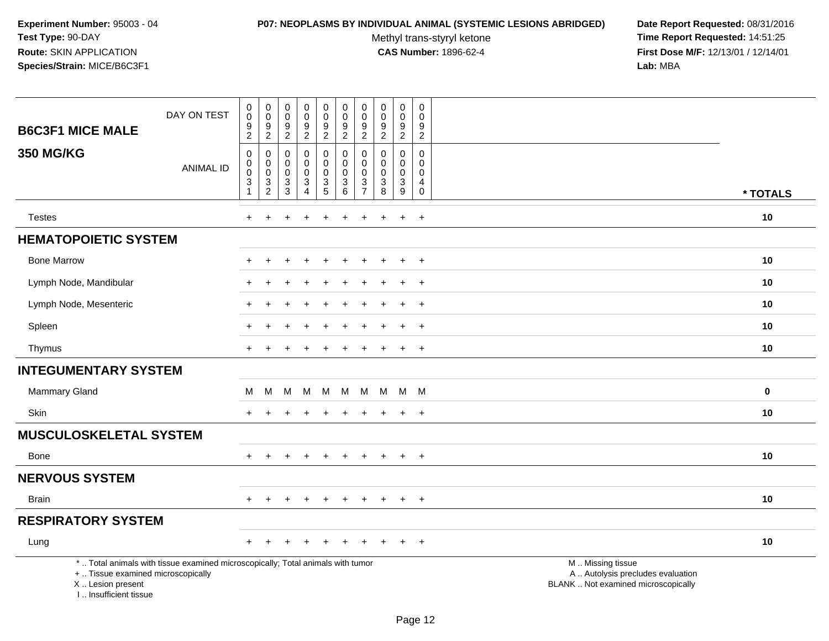#### **P07: NEOPLASMS BY INDIVIDUAL ANIMAL (SYSTEMIC LESIONS ABRIDGED) Date Report Requested:** 08/31/2016

Methyl trans-styryl ketone<br>CAS Number: 1896-62-4

| <b>B6C3F1 MICE MALE</b>                                                          | DAY ON TEST                                                                     | $\pmb{0}$<br>0<br>9<br>$\sqrt{2}$                  | $\pmb{0}$<br>$\mathsf{O}\xspace$<br>$\boldsymbol{9}$<br>$\sqrt{2}$ | $\boldsymbol{0}$<br>$\mathbf 0$<br>9<br>$\overline{c}$ | $\pmb{0}$<br>$\pmb{0}$<br>$\boldsymbol{9}$<br>$\overline{2}$ | $\pmb{0}$<br>$\mathbf 0$<br>$\boldsymbol{9}$<br>$\overline{2}$ | $\mathbf 0$<br>$\mathbf 0$<br>$\boldsymbol{9}$<br>$\overline{2}$          | $\pmb{0}$<br>$\mathbf 0$<br>$9\,$<br>$\overline{2}$              | $\pmb{0}$<br>$\pmb{0}$<br>$\boldsymbol{9}$<br>$\sqrt{2}$                             | $\mathsf 0$<br>$\mathbf 0$<br>9<br>$\overline{2}$          | $\pmb{0}$<br>$\mathbf 0$<br>9<br>$\overline{2}$ |                                                                                               |  |
|----------------------------------------------------------------------------------|---------------------------------------------------------------------------------|----------------------------------------------------|--------------------------------------------------------------------|--------------------------------------------------------|--------------------------------------------------------------|----------------------------------------------------------------|---------------------------------------------------------------------------|------------------------------------------------------------------|--------------------------------------------------------------------------------------|------------------------------------------------------------|-------------------------------------------------|-----------------------------------------------------------------------------------------------|--|
| <b>350 MG/KG</b>                                                                 | <b>ANIMAL ID</b>                                                                | $\mathbf 0$<br>0<br>$\pmb{0}$<br>3<br>$\mathbf{1}$ | 0<br>0<br>$\pmb{0}$<br>3<br>$\overline{2}$                         | 0<br>0<br>$\pmb{0}$<br>3<br>$\overline{3}$             | $\mathsf 0$<br>0<br>$\pmb{0}$<br>3<br>$\overline{4}$         | 0<br>$\mathbf 0$<br>$\pmb{0}$<br>$\frac{3}{5}$                 | $\pmb{0}$<br>$\mathbf 0$<br>$\mathbf 0$<br>$\mathbf{3}$<br>$6\phantom{a}$ | $\mathbf 0$<br>$\mathbf 0$<br>$\mathbf 0$<br>3<br>$\overline{7}$ | $\pmb{0}$<br>$\mathbf 0$<br>$\pmb{0}$<br>$\ensuremath{\mathsf{3}}$<br>$\overline{8}$ | $\mathbf 0$<br>$\mathbf 0$<br>$\mathbf 0$<br>$\frac{3}{9}$ | 0<br>0<br>0<br>4<br>$\pmb{0}$                   | * TOTALS                                                                                      |  |
| <b>Testes</b>                                                                    |                                                                                 | $\ddot{}$                                          | $\div$                                                             |                                                        |                                                              | ÷                                                              | $\ddot{}$                                                                 | $\ddot{}$                                                        |                                                                                      | $\ddot{}$                                                  | $+$                                             | $10$                                                                                          |  |
| <b>HEMATOPOIETIC SYSTEM</b>                                                      |                                                                                 |                                                    |                                                                    |                                                        |                                                              |                                                                |                                                                           |                                                                  |                                                                                      |                                                            |                                                 |                                                                                               |  |
| <b>Bone Marrow</b>                                                               |                                                                                 |                                                    |                                                                    |                                                        |                                                              |                                                                |                                                                           |                                                                  |                                                                                      | $\ddot{}$                                                  | $\overline{+}$                                  | 10                                                                                            |  |
| Lymph Node, Mandibular                                                           |                                                                                 |                                                    |                                                                    |                                                        |                                                              |                                                                |                                                                           |                                                                  |                                                                                      | $\ddot{}$                                                  | $+$                                             | 10                                                                                            |  |
| Lymph Node, Mesenteric                                                           |                                                                                 |                                                    |                                                                    |                                                        |                                                              |                                                                |                                                                           |                                                                  |                                                                                      | $\ddot{}$                                                  | $+$                                             | 10                                                                                            |  |
| Spleen                                                                           |                                                                                 |                                                    |                                                                    |                                                        |                                                              |                                                                |                                                                           |                                                                  |                                                                                      |                                                            | $\pm$                                           | 10                                                                                            |  |
| Thymus                                                                           |                                                                                 | +                                                  |                                                                    |                                                        |                                                              |                                                                |                                                                           |                                                                  |                                                                                      | $\overline{+}$                                             | $\overline{+}$                                  | 10                                                                                            |  |
| <b>INTEGUMENTARY SYSTEM</b>                                                      |                                                                                 |                                                    |                                                                    |                                                        |                                                              |                                                                |                                                                           |                                                                  |                                                                                      |                                                            |                                                 |                                                                                               |  |
| Mammary Gland                                                                    |                                                                                 | м                                                  | М                                                                  | М                                                      | M                                                            | м                                                              | м                                                                         | M                                                                | M                                                                                    | M                                                          | <b>M</b>                                        | $\bf{0}$                                                                                      |  |
| Skin                                                                             |                                                                                 |                                                    |                                                                    |                                                        |                                                              |                                                                |                                                                           |                                                                  |                                                                                      | $\ddot{}$                                                  | $+$                                             | 10                                                                                            |  |
| <b>MUSCULOSKELETAL SYSTEM</b>                                                    |                                                                                 |                                                    |                                                                    |                                                        |                                                              |                                                                |                                                                           |                                                                  |                                                                                      |                                                            |                                                 |                                                                                               |  |
| Bone                                                                             |                                                                                 | $+$                                                | $\overline{+}$                                                     |                                                        | $\overline{+}$                                               | $\ddot{}$                                                      | $\ddot{}$                                                                 | $\ddot{}$                                                        | $\pm$                                                                                | $+$                                                        | $+$                                             | 10                                                                                            |  |
| <b>NERVOUS SYSTEM</b>                                                            |                                                                                 |                                                    |                                                                    |                                                        |                                                              |                                                                |                                                                           |                                                                  |                                                                                      |                                                            |                                                 |                                                                                               |  |
| <b>Brain</b>                                                                     |                                                                                 | $+$                                                | $\ddot{}$                                                          |                                                        | $\overline{ }$                                               | $\div$                                                         | $\pm$                                                                     | $\ddot{}$                                                        | $\pm$                                                                                | $\pm$                                                      | $+$                                             | 10                                                                                            |  |
| <b>RESPIRATORY SYSTEM</b>                                                        |                                                                                 |                                                    |                                                                    |                                                        |                                                              |                                                                |                                                                           |                                                                  |                                                                                      |                                                            |                                                 |                                                                                               |  |
| Lung                                                                             |                                                                                 | +                                                  |                                                                    |                                                        |                                                              |                                                                |                                                                           |                                                                  |                                                                                      |                                                            | $\overline{+}$                                  | 10                                                                                            |  |
| +  Tissue examined microscopically<br>X  Lesion present<br>I Insufficient tissue | *  Total animals with tissue examined microscopically; Total animals with tumor |                                                    |                                                                    |                                                        |                                                              |                                                                |                                                                           |                                                                  |                                                                                      |                                                            |                                                 | M  Missing tissue<br>A  Autolysis precludes evaluation<br>BLANK  Not examined microscopically |  |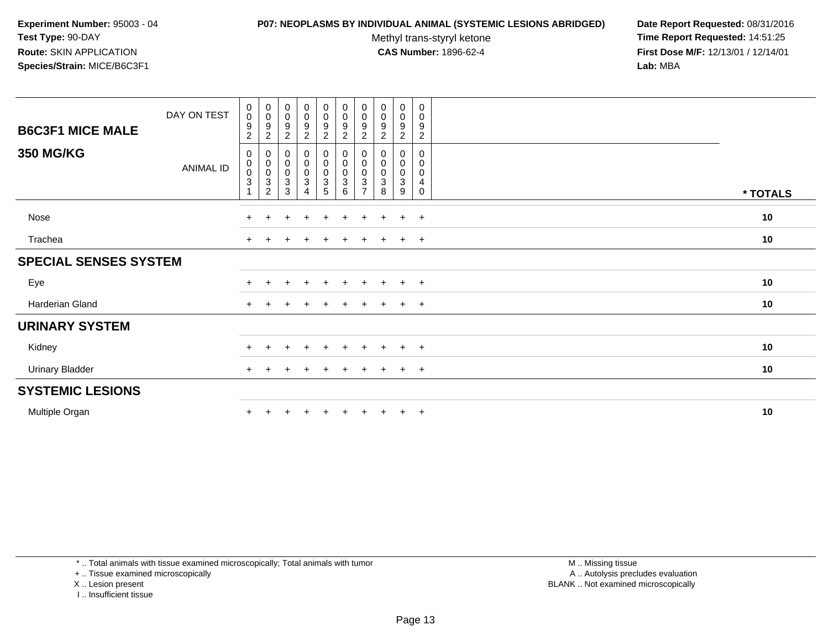#### **P07: NEOPLASMS BY INDIVIDUAL ANIMAL (SYSTEMIC LESIONS ABRIDGED) Date Report Requested:** 08/31/2016

Methyl trans-styryl ketone<br>CAS Number: 1896-62-4

 **Time Report Requested:** 14:51:25 **First Dose M/F:** 12/13/01 / 12/14/01<br>**Lab:** MBA **Lab:** MBA

| <b>B6C3F1 MICE MALE</b>      | DAY ON TEST      | $\begin{smallmatrix} 0\\0 \end{smallmatrix}$<br>$\frac{9}{2}$                        | $\boldsymbol{0}$<br>0<br>$\frac{9}{2}$                                 | $_{\rm 0}^{\rm 0}$<br>$\boldsymbol{9}$<br>$\overline{2}$    | $\begin{smallmatrix} 0\\0 \end{smallmatrix}$<br>$\frac{9}{2}$ | $\begin{smallmatrix} 0\\0 \end{smallmatrix}$<br>$\frac{9}{2}$ | $\begin{smallmatrix} 0\\0 \end{smallmatrix}$<br>$\frac{9}{2}$ | $\begin{smallmatrix}0\0\0\end{smallmatrix}$<br>9<br>$\overline{c}$ | $\begin{smallmatrix}0\\0\end{smallmatrix}$<br>$\boldsymbol{9}$<br>$\overline{2}$ | 0<br>$\mathsf{O}$<br>9<br>$\overline{c}$   | 0<br>$\mathbf 0$<br>9<br>$\overline{c}$ |          |
|------------------------------|------------------|--------------------------------------------------------------------------------------|------------------------------------------------------------------------|-------------------------------------------------------------|---------------------------------------------------------------|---------------------------------------------------------------|---------------------------------------------------------------|--------------------------------------------------------------------|----------------------------------------------------------------------------------|--------------------------------------------|-----------------------------------------|----------|
| <b>350 MG/KG</b>             | <b>ANIMAL ID</b> | 0<br>$\pmb{0}$<br>$\ddot{\mathbf{0}}$<br>$\ensuremath{\mathsf{3}}$<br>$\overline{ }$ | 0<br>$_{\rm 0}^{\rm 0}$<br>$\ensuremath{\mathsf{3}}$<br>$\overline{2}$ | $\pmb{0}$<br>$\begin{matrix} 0 \\ 0 \\ 3 \end{matrix}$<br>3 | $\mathbf 0$<br>$\pmb{0}$<br>$_{3}^{\rm 0}$<br>4               | 0<br>$\pmb{0}$<br>$\frac{0}{3}$<br>5                          | 0<br>$\pmb{0}$<br>$\pmb{0}$<br>$\ensuremath{\mathsf{3}}$<br>6 | 0<br>$\mathbf 0$<br>3<br>$\overline{ }$                            | 0<br>0<br>0<br>3<br>8                                                            | 0<br>0<br>$\mathbf 0$<br>$\mathbf{3}$<br>9 | 0<br>0<br>0<br>4<br>$\mathbf 0$         | * TOTALS |
| Nose                         |                  | $+$                                                                                  | $+$                                                                    | $\div$                                                      | $\overline{+}$                                                | $\pm$                                                         | $+$                                                           | $\pm$                                                              | $\pm$                                                                            | $\ddot{}$                                  | $+$                                     | 10       |
| Trachea                      |                  | $\pm$                                                                                |                                                                        |                                                             |                                                               |                                                               |                                                               |                                                                    |                                                                                  | $\pm$                                      | $+$                                     | 10       |
| <b>SPECIAL SENSES SYSTEM</b> |                  |                                                                                      |                                                                        |                                                             |                                                               |                                                               |                                                               |                                                                    |                                                                                  |                                            |                                         |          |
| Eye                          |                  | $\pm$                                                                                |                                                                        |                                                             | $\ddot{}$                                                     | $+$                                                           | $+$                                                           | $\pm$                                                              | $\pm$                                                                            | $+$                                        | $+$                                     | 10       |
| Harderian Gland              |                  | $+$                                                                                  |                                                                        |                                                             |                                                               |                                                               | $\div$                                                        |                                                                    |                                                                                  | $\pm$                                      | $+$                                     | 10       |
| <b>URINARY SYSTEM</b>        |                  |                                                                                      |                                                                        |                                                             |                                                               |                                                               |                                                               |                                                                    |                                                                                  |                                            |                                         |          |
| Kidney                       |                  | $+$                                                                                  |                                                                        |                                                             | $\ddot{}$                                                     | $\div$                                                        | $\div$                                                        |                                                                    |                                                                                  | $\pm$                                      | $+$                                     | 10       |
| <b>Urinary Bladder</b>       |                  | $\ddot{}$                                                                            |                                                                        |                                                             |                                                               |                                                               |                                                               |                                                                    |                                                                                  | $\pm$                                      | $+$                                     | 10       |
| <b>SYSTEMIC LESIONS</b>      |                  |                                                                                      |                                                                        |                                                             |                                                               |                                                               |                                                               |                                                                    |                                                                                  |                                            |                                         |          |
| Multiple Organ               |                  | $\ddot{}$                                                                            |                                                                        |                                                             |                                                               |                                                               |                                                               |                                                                    |                                                                                  | $\ddot{}$                                  | $+$                                     | 10       |

\* .. Total animals with tissue examined microscopically; Total animals with tumor

+ .. Tissue examined microscopically

X .. Lesion present

I .. Insufficient tissue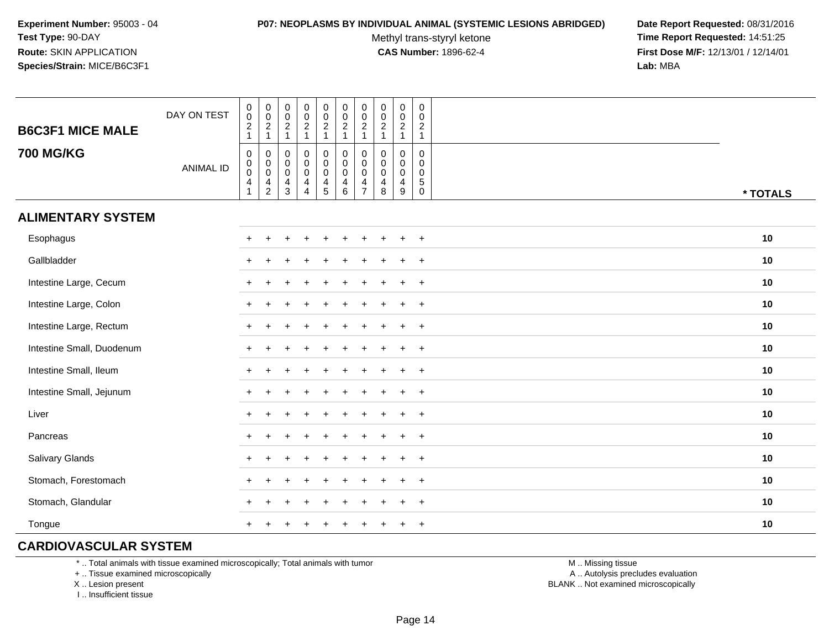#### **P07: NEOPLASMS BY INDIVIDUAL ANIMAL (SYSTEMIC LESIONS ABRIDGED) Date Report Requested:** 08/31/2016

Methyl trans-styryl ketone<br>CAS Number: 1896-62-4

 **Time Report Requested:** 14:51:25 **First Dose M/F:** 12/13/01 / 12/14/01<br>**Lab:** MBA **Lab:** MBA

| <b>B6C3F1 MICE MALE</b>   | DAY ON TEST      | $\pmb{0}$<br>$\pmb{0}$<br>$\frac{2}{1}$                           | 0<br>$\pmb{0}$<br>$\frac{2}{1}$                                      | $\pmb{0}$<br>$\mathsf{O}\xspace$<br>$\frac{2}{1}$                      | $\begin{array}{c} 0 \\ 0 \\ 2 \\ 1 \end{array}$                       | $\pmb{0}$<br>$\pmb{0}$<br>$\frac{2}{1}$                                        | $\mathbf 0$<br>$\mathbf 0$<br>$\frac{2}{1}$                             | 0<br>$\mathbf 0$<br>$\overline{c}$<br>$\mathbf{1}$     | $\pmb{0}$<br>$\mathbf 0$<br>$\overline{2}$<br>$\overline{1}$ | $\pmb{0}$<br>$\pmb{0}$<br>$\overline{2}$<br>$\mathbf{1}$     | $\mathbf 0$<br>$\mathbf 0$<br>$\sqrt{2}$<br>$\overline{1}$ |          |
|---------------------------|------------------|-------------------------------------------------------------------|----------------------------------------------------------------------|------------------------------------------------------------------------|-----------------------------------------------------------------------|--------------------------------------------------------------------------------|-------------------------------------------------------------------------|--------------------------------------------------------|--------------------------------------------------------------|--------------------------------------------------------------|------------------------------------------------------------|----------|
| <b>700 MG/KG</b>          | <b>ANIMAL ID</b> | $\boldsymbol{0}$<br>$\pmb{0}$<br>$\pmb{0}$<br>$\overline{4}$<br>1 | 0<br>$_{\rm 0}^{\rm 0}$<br>$\overline{\mathbf{4}}$<br>$\overline{2}$ | $\mathbf 0$<br>$\pmb{0}$<br>$\mathsf{O}\xspace$<br>$\overline{4}$<br>3 | $\mathsf 0$<br>$\pmb{0}$<br>$\pmb{0}$<br>$\overline{\mathbf{4}}$<br>4 | $\mathbf 0$<br>$\pmb{0}$<br>$\pmb{0}$<br>$\begin{array}{c} 4 \\ 5 \end{array}$ | $\pmb{0}$<br>$\overline{0}$<br>$\mathbf 0$<br>$\overline{4}$<br>$\,6\,$ | $\mathbf 0$<br>0<br>$\mathbf 0$<br>4<br>$\overline{7}$ | $\mathbf 0$<br>0<br>$\mathbf 0$<br>4<br>8                    | $\mathbf 0$<br>$\pmb{0}$<br>$\pmb{0}$<br>$\overline{4}$<br>9 | 0<br>0<br>$\mathbf 0$<br>$\,$ 5 $\,$<br>$\mathbf 0$        | * TOTALS |
| <b>ALIMENTARY SYSTEM</b>  |                  |                                                                   |                                                                      |                                                                        |                                                                       |                                                                                |                                                                         |                                                        |                                                              |                                                              |                                                            |          |
| Esophagus                 |                  | $+$                                                               | ÷                                                                    |                                                                        |                                                                       |                                                                                |                                                                         |                                                        |                                                              | $\ddot{}$                                                    | $+$                                                        | 10       |
| Gallbladder               |                  | $\pm$                                                             |                                                                      |                                                                        |                                                                       |                                                                                |                                                                         |                                                        |                                                              | $\div$                                                       | $^{+}$                                                     | 10       |
| Intestine Large, Cecum    |                  |                                                                   |                                                                      |                                                                        |                                                                       |                                                                                |                                                                         |                                                        |                                                              |                                                              | $\overline{+}$                                             | 10       |
| Intestine Large, Colon    |                  |                                                                   |                                                                      |                                                                        |                                                                       |                                                                                |                                                                         |                                                        |                                                              |                                                              | $\ddot{}$                                                  | 10       |
| Intestine Large, Rectum   |                  |                                                                   |                                                                      |                                                                        |                                                                       |                                                                                |                                                                         |                                                        |                                                              |                                                              | $\ddot{}$                                                  | 10       |
| Intestine Small, Duodenum |                  |                                                                   |                                                                      |                                                                        |                                                                       |                                                                                |                                                                         |                                                        |                                                              |                                                              | $\ddot{}$                                                  | 10       |
| Intestine Small, Ileum    |                  |                                                                   |                                                                      |                                                                        |                                                                       |                                                                                |                                                                         |                                                        |                                                              | $\ddot{}$                                                    | $+$                                                        | 10       |
| Intestine Small, Jejunum  |                  |                                                                   |                                                                      |                                                                        |                                                                       |                                                                                |                                                                         |                                                        |                                                              | $\div$                                                       | $\ddot{}$                                                  | 10       |
| Liver                     |                  | $+$                                                               |                                                                      |                                                                        |                                                                       |                                                                                |                                                                         |                                                        |                                                              | $\div$                                                       | $+$                                                        | 10       |
| Pancreas                  |                  | $+$                                                               |                                                                      |                                                                        |                                                                       |                                                                                |                                                                         |                                                        |                                                              | $\ddot{}$                                                    | $+$                                                        | 10       |
| Salivary Glands           |                  | $+$                                                               |                                                                      |                                                                        |                                                                       |                                                                                |                                                                         |                                                        |                                                              | $\div$                                                       | $+$                                                        | 10       |
| Stomach, Forestomach      |                  |                                                                   |                                                                      |                                                                        |                                                                       |                                                                                |                                                                         |                                                        |                                                              |                                                              | $\ddot{}$                                                  | 10       |
| Stomach, Glandular        |                  |                                                                   |                                                                      |                                                                        |                                                                       |                                                                                |                                                                         |                                                        |                                                              |                                                              | $\ddot{}$                                                  | 10       |
| Tongue                    |                  |                                                                   |                                                                      |                                                                        |                                                                       |                                                                                |                                                                         |                                                        |                                                              |                                                              | $\overline{+}$                                             | 10       |

# **CARDIOVASCULAR SYSTEM**

\* .. Total animals with tissue examined microscopically; Total animals with tumor

+ .. Tissue examined microscopically

X .. Lesion present

I .. Insufficient tissue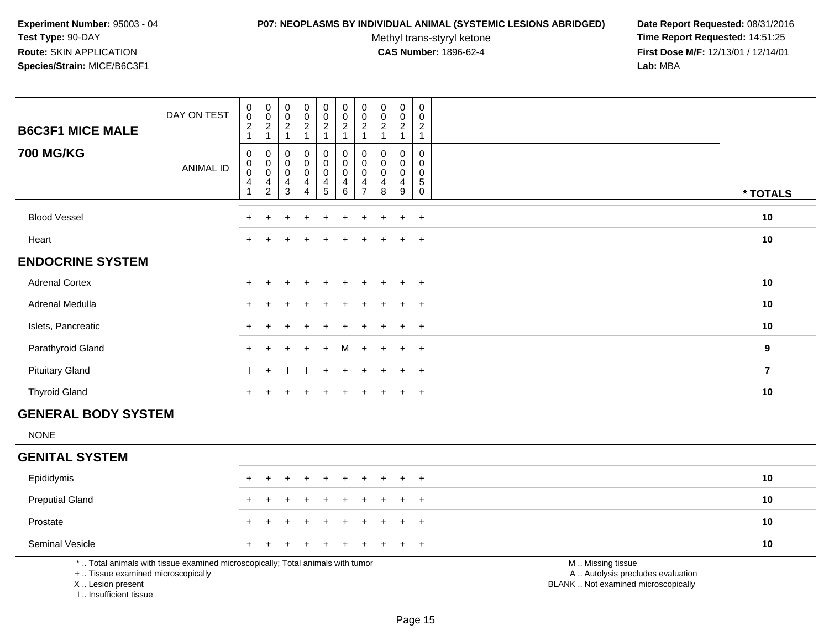#### **P07: NEOPLASMS BY INDIVIDUAL ANIMAL (SYSTEMIC LESIONS ABRIDGED) Date Report Requested:** 08/31/2016

Methyl trans-styryl ketone<br>CAS Number: 1896-62-4

| <b>B6C3F1 MICE MALE</b>                                                          | DAY ON TEST                                                                     | $\mathsf{O}\xspace$<br>$\overline{0}$<br>$\boldsymbol{2}$<br>$\mathbf{1}$ | $_{\rm 0}^{\rm 0}$<br>$\sqrt{2}$<br>$\mathbf{1}$    | $\boldsymbol{0}$<br>$\ddot{\mathbf{0}}$<br>$\boldsymbol{2}$<br>$\overline{1}$ | $\pmb{0}$<br>$\overline{0}$<br>$\overline{c}$<br>1 | $\begin{smallmatrix}0\0\0\end{smallmatrix}$<br>$\overline{a}$<br>$\mathbf{1}$ | $\pmb{0}$<br>$\overline{0}$<br>$\overline{c}$<br>$\mathbf{1}$           | $\mathbf 0$<br>0<br>$\overline{2}$<br>$\mathbf{1}$                | $\mathbf 0$<br>$\overline{0}$<br>$\sqrt{2}$<br>$\overline{1}$    | $\pmb{0}$<br>$\ddot{\mathbf{0}}$<br>$\sqrt{2}$<br>$\mathbf{1}$ | $\mathsf 0$<br>$\mathbf 0$<br>$\overline{c}$<br>$\mathbf{1}$ |                                                                                               |                |
|----------------------------------------------------------------------------------|---------------------------------------------------------------------------------|---------------------------------------------------------------------------|-----------------------------------------------------|-------------------------------------------------------------------------------|----------------------------------------------------|-------------------------------------------------------------------------------|-------------------------------------------------------------------------|-------------------------------------------------------------------|------------------------------------------------------------------|----------------------------------------------------------------|--------------------------------------------------------------|-----------------------------------------------------------------------------------------------|----------------|
| <b>700 MG/KG</b>                                                                 | <b>ANIMAL ID</b>                                                                | $\pmb{0}$<br>$\mathbf 0$<br>$\overline{0}$<br>4<br>1                      | 0<br>$\overline{0}$<br>$\overline{4}$<br>$\sqrt{2}$ | $\mathbf 0$<br>$\mathbf 0$<br>$\mathbf 0$<br>$\overline{4}$<br>3              | $\mathbf 0$<br>0<br>$\mathbf 0$<br>4<br>4          | 0<br>$\pmb{0}$<br>$\overline{0}$<br>$\frac{4}{5}$                             | $\mathbf 0$<br>$\mathbf 0$<br>$\pmb{0}$<br>$\overline{\mathbf{4}}$<br>6 | $\mathbf{0}$<br>$\mathbf 0$<br>$\mathbf 0$<br>4<br>$\overline{7}$ | $\mathbf 0$<br>$\mathbf 0$<br>$\mathbf 0$<br>$\overline{4}$<br>8 | $\mathbf 0$<br>0<br>$\pmb{0}$<br>$\overline{4}$<br>$9\,$       | 0<br>0<br>0<br>5<br>$\mathbf 0$                              |                                                                                               | * TOTALS       |
| <b>Blood Vessel</b>                                                              |                                                                                 |                                                                           |                                                     |                                                                               |                                                    |                                                                               |                                                                         |                                                                   |                                                                  | $\ddot{}$                                                      | $+$                                                          |                                                                                               | 10             |
| Heart                                                                            |                                                                                 |                                                                           |                                                     |                                                                               |                                                    |                                                                               |                                                                         |                                                                   |                                                                  | $\ddot{}$                                                      | $\overline{+}$                                               |                                                                                               | 10             |
| <b>ENDOCRINE SYSTEM</b>                                                          |                                                                                 |                                                                           |                                                     |                                                                               |                                                    |                                                                               |                                                                         |                                                                   |                                                                  |                                                                |                                                              |                                                                                               |                |
| <b>Adrenal Cortex</b>                                                            |                                                                                 |                                                                           |                                                     |                                                                               |                                                    |                                                                               |                                                                         |                                                                   |                                                                  | $\ddot{+}$                                                     | $+$                                                          |                                                                                               | 10             |
| Adrenal Medulla                                                                  |                                                                                 |                                                                           |                                                     |                                                                               |                                                    |                                                                               |                                                                         |                                                                   |                                                                  | $\ddot{}$                                                      | $+$                                                          |                                                                                               | 10             |
| Islets, Pancreatic                                                               |                                                                                 |                                                                           |                                                     |                                                                               |                                                    |                                                                               |                                                                         |                                                                   |                                                                  |                                                                | $\overline{ }$                                               |                                                                                               | 10             |
| Parathyroid Gland                                                                |                                                                                 |                                                                           |                                                     |                                                                               |                                                    |                                                                               | м                                                                       |                                                                   |                                                                  | $\ddot{}$                                                      | $\ddot{}$                                                    |                                                                                               | 9              |
| <b>Pituitary Gland</b>                                                           |                                                                                 |                                                                           | $+$                                                 |                                                                               |                                                    | $+$                                                                           | $\ddot{}$                                                               |                                                                   |                                                                  | $\ddot{}$                                                      | $+$                                                          |                                                                                               | $\overline{7}$ |
| <b>Thyroid Gland</b>                                                             |                                                                                 | $\pm$                                                                     |                                                     |                                                                               |                                                    |                                                                               |                                                                         |                                                                   |                                                                  | $\ddot{}$                                                      | $+$                                                          |                                                                                               | 10             |
| <b>GENERAL BODY SYSTEM</b>                                                       |                                                                                 |                                                                           |                                                     |                                                                               |                                                    |                                                                               |                                                                         |                                                                   |                                                                  |                                                                |                                                              |                                                                                               |                |
| <b>NONE</b>                                                                      |                                                                                 |                                                                           |                                                     |                                                                               |                                                    |                                                                               |                                                                         |                                                                   |                                                                  |                                                                |                                                              |                                                                                               |                |
| <b>GENITAL SYSTEM</b>                                                            |                                                                                 |                                                                           |                                                     |                                                                               |                                                    |                                                                               |                                                                         |                                                                   |                                                                  |                                                                |                                                              |                                                                                               |                |
| Epididymis                                                                       |                                                                                 |                                                                           |                                                     |                                                                               |                                                    |                                                                               |                                                                         |                                                                   |                                                                  | $\ddot{}$                                                      | $+$                                                          |                                                                                               | 10             |
| <b>Preputial Gland</b>                                                           |                                                                                 |                                                                           |                                                     |                                                                               |                                                    |                                                                               |                                                                         |                                                                   |                                                                  |                                                                | $\ddot{}$                                                    |                                                                                               | 10             |
| Prostate                                                                         |                                                                                 |                                                                           |                                                     |                                                                               |                                                    |                                                                               |                                                                         |                                                                   |                                                                  |                                                                | $\overline{1}$                                               |                                                                                               | 10             |
| Seminal Vesicle                                                                  |                                                                                 |                                                                           |                                                     |                                                                               |                                                    |                                                                               |                                                                         |                                                                   |                                                                  |                                                                | $\overline{+}$                                               |                                                                                               | 10             |
| +  Tissue examined microscopically<br>X  Lesion present<br>I Insufficient tissue | *  Total animals with tissue examined microscopically; Total animals with tumor |                                                                           |                                                     |                                                                               |                                                    |                                                                               |                                                                         |                                                                   |                                                                  |                                                                |                                                              | M  Missing tissue<br>A  Autolysis precludes evaluation<br>BLANK  Not examined microscopically |                |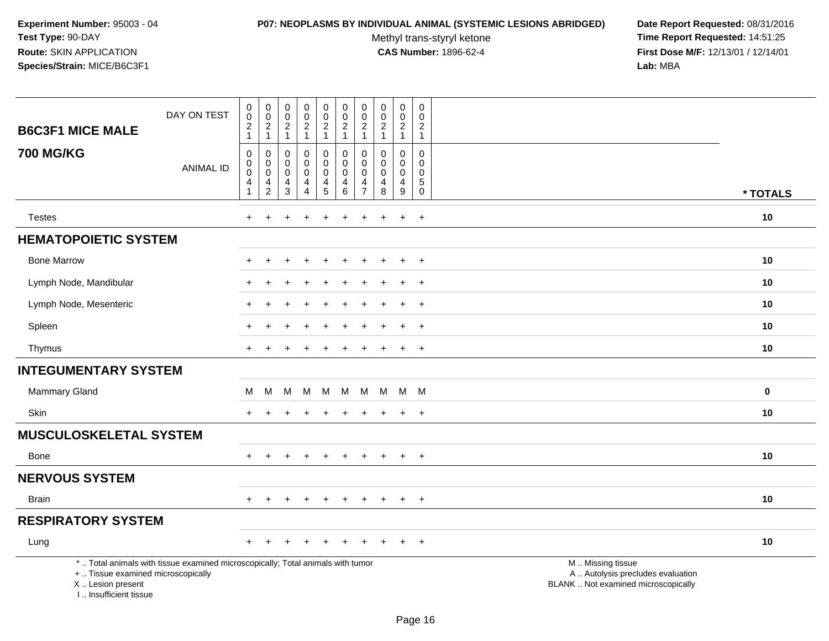#### **P07: NEOPLASMS BY INDIVIDUAL ANIMAL (SYSTEMIC LESIONS ABRIDGED) Date Report Requested:** 08/31/2016

Methyl trans-styryl ketone<br>CAS Number: 1896-62-4

| <b>B6C3F1 MICE MALE</b>                                                          | DAY ON TEST                                                                     | $\pmb{0}$<br>0<br>$\overline{c}$<br>$\mathbf{1}$ | $\pmb{0}$<br>$\mathsf 0$<br>$\overline{2}$ | $\boldsymbol{0}$<br>$\mathbf 0$<br>$\overline{2}$     | $\pmb{0}$<br>$\mathbf 0$<br>$\overline{2}$<br>$\mathbf{1}$ | $\pmb{0}$<br>$\mathbf 0$<br>$\overline{2}$                             | $\boldsymbol{0}$<br>$\mathbf 0$<br>$\overline{c}$<br>$\overline{1}$ | $\pmb{0}$<br>$\mathbf 0$<br>$\overline{2}$                     | $\pmb{0}$<br>$\mathbf 0$<br>$\overline{2}$<br>$\mathbf{1}$ | $\mathsf 0$<br>$\mathbf 0$<br>$\overline{a}$                                | $\pmb{0}$<br>$\mathbf 0$<br>$\overline{a}$ |                                                                                               |          |
|----------------------------------------------------------------------------------|---------------------------------------------------------------------------------|--------------------------------------------------|--------------------------------------------|-------------------------------------------------------|------------------------------------------------------------|------------------------------------------------------------------------|---------------------------------------------------------------------|----------------------------------------------------------------|------------------------------------------------------------|-----------------------------------------------------------------------------|--------------------------------------------|-----------------------------------------------------------------------------------------------|----------|
| <b>700 MG/KG</b>                                                                 | <b>ANIMAL ID</b>                                                                | $\mathsf 0$<br>0<br>$\mathbf 0$<br>4             | $\mathbf{1}$<br>0<br>0<br>$\pmb{0}$<br>4   | $\mathbf{1}$<br>0<br>0<br>$\pmb{0}$<br>$\overline{4}$ | 0<br>0<br>$\pmb{0}$<br>4                                   | $\mathbf{1}$<br>$\mathbf 0$<br>$\mathbf 0$<br>$\mathsf{O}\xspace$<br>4 | $\pmb{0}$<br>$\pmb{0}$<br>$\mathbf 0$<br>4                          | $\mathbf{1}$<br>$\mathbf 0$<br>$\mathbf 0$<br>$\mathbf 0$<br>4 | $\mathbf 0$<br>0<br>$\pmb{0}$<br>4                         | $\mathbf{1}$<br>$\mathbf 0$<br>$\mathbf 0$<br>$\mathbf 0$<br>$\overline{4}$ | $\mathbf{1}$<br>0<br>0<br>0<br>5           |                                                                                               |          |
|                                                                                  |                                                                                 | $\mathbf{1}$                                     | $\overline{2}$                             | $\mathfrak{Z}$                                        | $\overline{4}$                                             | 5                                                                      | $\,6\,$                                                             | $\overline{7}$                                                 | $\,8\,$                                                    | $\mathsf g$                                                                 | $\mathsf{O}\xspace$                        |                                                                                               | * TOTALS |
| <b>Testes</b>                                                                    |                                                                                 | $\ddot{}$                                        | $\ddot{}$                                  |                                                       | ٠                                                          | $\ddot{}$                                                              | $\ddot{}$                                                           | $\ddot{}$                                                      | $\div$                                                     | $\ddot{}$                                                                   | $+$                                        |                                                                                               | $10$     |
| <b>HEMATOPOIETIC SYSTEM</b>                                                      |                                                                                 |                                                  |                                            |                                                       |                                                            |                                                                        |                                                                     |                                                                |                                                            |                                                                             |                                            |                                                                                               |          |
| <b>Bone Marrow</b>                                                               |                                                                                 |                                                  |                                            |                                                       |                                                            |                                                                        |                                                                     |                                                                |                                                            | $\ddot{}$                                                                   | $\overline{+}$                             |                                                                                               | 10       |
| Lymph Node, Mandibular                                                           |                                                                                 |                                                  |                                            |                                                       |                                                            |                                                                        |                                                                     |                                                                |                                                            | $\ddot{}$                                                                   | $+$                                        |                                                                                               | 10       |
| Lymph Node, Mesenteric                                                           |                                                                                 |                                                  |                                            |                                                       |                                                            |                                                                        |                                                                     |                                                                |                                                            | $\ddot{}$                                                                   | $+$                                        |                                                                                               | 10       |
| Spleen                                                                           |                                                                                 |                                                  |                                            |                                                       |                                                            |                                                                        |                                                                     |                                                                |                                                            |                                                                             | $\pm$                                      |                                                                                               | 10       |
| Thymus                                                                           |                                                                                 | +                                                |                                            |                                                       |                                                            |                                                                        |                                                                     |                                                                |                                                            | $\overline{+}$                                                              | $\overline{+}$                             |                                                                                               | 10       |
| <b>INTEGUMENTARY SYSTEM</b>                                                      |                                                                                 |                                                  |                                            |                                                       |                                                            |                                                                        |                                                                     |                                                                |                                                            |                                                                             |                                            |                                                                                               |          |
| Mammary Gland                                                                    |                                                                                 | м                                                | М                                          | М                                                     | M                                                          | м                                                                      | м                                                                   | M                                                              | M                                                          | M                                                                           | <b>M</b>                                   |                                                                                               | $\bf{0}$ |
| Skin                                                                             |                                                                                 |                                                  |                                            |                                                       |                                                            |                                                                        |                                                                     |                                                                |                                                            | $\ddot{}$                                                                   | $+$                                        |                                                                                               | 10       |
| <b>MUSCULOSKELETAL SYSTEM</b>                                                    |                                                                                 |                                                  |                                            |                                                       |                                                            |                                                                        |                                                                     |                                                                |                                                            |                                                                             |                                            |                                                                                               |          |
| Bone                                                                             |                                                                                 | $+$                                              | $\overline{+}$                             |                                                       | $\overline{+}$                                             | $\ddot{}$                                                              | $\ddot{}$                                                           | $\ddot{}$                                                      | $\pm$                                                      | $+$                                                                         | $+$                                        |                                                                                               | 10       |
| <b>NERVOUS SYSTEM</b>                                                            |                                                                                 |                                                  |                                            |                                                       |                                                            |                                                                        |                                                                     |                                                                |                                                            |                                                                             |                                            |                                                                                               |          |
| <b>Brain</b>                                                                     |                                                                                 | $+$                                              | $\div$                                     |                                                       | $\overline{ }$                                             | $\div$                                                                 | $\pm$                                                               | $+$                                                            | $\pm$                                                      | $\pm$                                                                       | $+$                                        |                                                                                               | 10       |
| <b>RESPIRATORY SYSTEM</b>                                                        |                                                                                 |                                                  |                                            |                                                       |                                                            |                                                                        |                                                                     |                                                                |                                                            |                                                                             |                                            |                                                                                               |          |
| Lung                                                                             |                                                                                 | +                                                |                                            |                                                       |                                                            |                                                                        |                                                                     |                                                                |                                                            |                                                                             | $\overline{+}$                             |                                                                                               | 10       |
| +  Tissue examined microscopically<br>X  Lesion present<br>I Insufficient tissue | *  Total animals with tissue examined microscopically; Total animals with tumor |                                                  |                                            |                                                       |                                                            |                                                                        |                                                                     |                                                                |                                                            |                                                                             |                                            | M  Missing tissue<br>A  Autolysis precludes evaluation<br>BLANK  Not examined microscopically |          |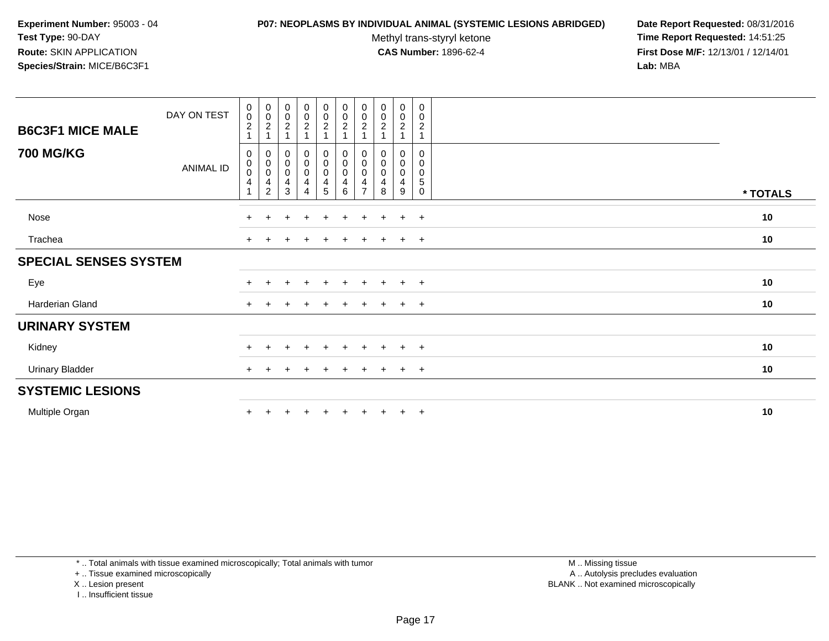#### **P07: NEOPLASMS BY INDIVIDUAL ANIMAL (SYSTEMIC LESIONS ABRIDGED) Date Report Requested:** 08/31/2016

Methyl trans-styryl ketone<br>CAS Number: 1896-62-4

 **Time Report Requested:** 14:51:25 **First Dose M/F:** 12/13/01 / 12/14/01<br>**Lab:** MBA **Lab:** MBA

| <b>B6C3F1 MICE MALE</b>      | DAY ON TEST      | $_{\rm 0}^{\rm 0}$<br>$\boldsymbol{2}$<br>1                                | $_{\rm 0}^{\rm 0}$<br>$\overline{c}$     | $\begin{smallmatrix} 0\\0\\2 \end{smallmatrix}$                               | $\begin{matrix} 0 \\ 0 \\ 2 \end{matrix}$<br>$\overline{A}$             | $\begin{matrix} 0 \\ 0 \\ 2 \\ 1 \end{matrix}$                                              | $\begin{smallmatrix}0\0\0\2\end{smallmatrix}$                            | $\begin{smallmatrix}0\0\0\end{smallmatrix}$<br>$\overline{2}$ | $\begin{smallmatrix} 0\\0\\2 \end{smallmatrix}$     | $_0^0$<br>$\overline{c}$                     | 0<br>$\mathbf 0$<br>$\overline{c}$<br>$\overline{1}$ |          |
|------------------------------|------------------|----------------------------------------------------------------------------|------------------------------------------|-------------------------------------------------------------------------------|-------------------------------------------------------------------------|---------------------------------------------------------------------------------------------|--------------------------------------------------------------------------|---------------------------------------------------------------|-----------------------------------------------------|----------------------------------------------|------------------------------------------------------|----------|
| <b>700 MG/KG</b>             | <b>ANIMAL ID</b> | 0<br>$_{\rm 0}^{\rm 0}$<br>$\overline{\mathbf{4}}$<br>$\blacktriangleleft$ | 0<br>$_{\rm 0}^{\rm 0}$<br>$\frac{4}{2}$ | $\begin{smallmatrix}0\\0\\0\end{smallmatrix}$<br>$\overline{\mathbf{4}}$<br>3 | $\mathbf 0$<br>$\pmb{0}$<br>$\mathbf 0$<br>$\overline{\mathbf{4}}$<br>4 | $\mathbf 0$<br>$\begin{smallmatrix} 0\\0 \end{smallmatrix}$<br>$\overline{\mathbf{4}}$<br>5 | 0<br>$\pmb{0}$<br>$\pmb{0}$<br>$\overline{\mathbf{4}}$<br>$6\phantom{a}$ | 0<br>0<br>$\overline{4}$<br>$\overline{ }$                    | 0<br>0<br>$\pmb{0}$<br>$\overline{\mathbf{4}}$<br>8 | 0<br>0<br>$\mathbf 0$<br>$\overline{4}$<br>9 | 0<br>0<br>0<br>$\mathbf 5$<br>$\mathbf 0$            | * TOTALS |
| Nose                         |                  | $+$                                                                        | $+$                                      | $\div$                                                                        | $\overline{+}$                                                          | $\pm$                                                                                       | $+$                                                                      | $\pm$                                                         | $\pm$                                               | $\ddot{}$                                    | $+$                                                  | 10       |
| Trachea                      |                  | $\pm$                                                                      |                                          |                                                                               |                                                                         |                                                                                             |                                                                          |                                                               |                                                     | $\pm$                                        | $+$                                                  | 10       |
| <b>SPECIAL SENSES SYSTEM</b> |                  |                                                                            |                                          |                                                                               |                                                                         |                                                                                             |                                                                          |                                                               |                                                     |                                              |                                                      |          |
| Eye                          |                  | $\pm$                                                                      |                                          |                                                                               | $\ddot{}$                                                               | $+$                                                                                         | $+$                                                                      | $\pm$                                                         | $\pm$                                               | $+$                                          | $+$                                                  | 10       |
| Harderian Gland              |                  | $+$                                                                        |                                          |                                                                               |                                                                         |                                                                                             | $\div$                                                                   |                                                               |                                                     | $\pm$                                        | $+$                                                  | 10       |
| <b>URINARY SYSTEM</b>        |                  |                                                                            |                                          |                                                                               |                                                                         |                                                                                             |                                                                          |                                                               |                                                     |                                              |                                                      |          |
| Kidney                       |                  | $+$                                                                        |                                          |                                                                               | $\ddot{}$                                                               |                                                                                             | $\div$                                                                   |                                                               |                                                     | $\pm$                                        | $+$                                                  | 10       |
| <b>Urinary Bladder</b>       |                  | $\ddot{}$                                                                  |                                          |                                                                               |                                                                         |                                                                                             |                                                                          |                                                               |                                                     | $\pm$                                        | $+$                                                  | 10       |
| <b>SYSTEMIC LESIONS</b>      |                  |                                                                            |                                          |                                                                               |                                                                         |                                                                                             |                                                                          |                                                               |                                                     |                                              |                                                      |          |
| Multiple Organ               |                  | $\ddot{}$                                                                  |                                          |                                                                               |                                                                         |                                                                                             |                                                                          |                                                               |                                                     | $\ddot{}$                                    | $+$                                                  | 10       |

\* .. Total animals with tissue examined microscopically; Total animals with tumor

+ .. Tissue examined microscopically

X .. Lesion present

I .. Insufficient tissue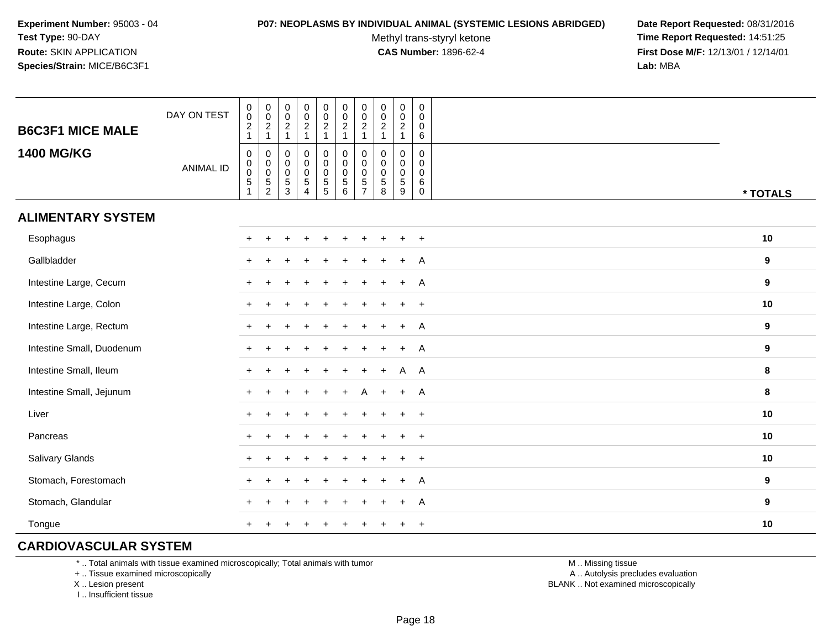#### **P07: NEOPLASMS BY INDIVIDUAL ANIMAL (SYSTEMIC LESIONS ABRIDGED) Date Report Requested:** 08/31/2016

Methyl trans-styryl ketone<br>CAS Number: 1896-62-4

 **Time Report Requested:** 14:51:25 **First Dose M/F:** 12/13/01 / 12/14/01<br>**Lab:** MBA **Lab:** MBA

| <b>B6C3F1 MICE MALE</b>   | DAY ON TEST      | $_{\rm 0}^{\rm 0}$<br>$\frac{2}{1}$                             | $_{\rm 0}^{\rm 0}$<br>$\frac{2}{1}$         | $\mathbf 0$<br>$\mathbf 0$<br>$\overline{c}$<br>$\overline{1}$ | $\pmb{0}$<br>$\frac{0}{2}$<br>1                                   | $\pmb{0}$<br>$\pmb{0}$<br>$\frac{2}{1}$ | $\pmb{0}$<br>$\pmb{0}$<br>$\frac{2}{1}$                         | $\mathbf 0$<br>$\pmb{0}$<br>$\sqrt{2}$<br>$\mathbf{1}$                  | $\pmb{0}$<br>$\pmb{0}$<br>$\overline{2}$<br>$\overline{1}$             | $\begin{array}{c} 0 \\ 0 \\ 2 \\ 1 \end{array}$ | 0<br>$\mathbf 0$<br>0<br>$\,6\,$                        |          |
|---------------------------|------------------|-----------------------------------------------------------------|---------------------------------------------|----------------------------------------------------------------|-------------------------------------------------------------------|-----------------------------------------|-----------------------------------------------------------------|-------------------------------------------------------------------------|------------------------------------------------------------------------|-------------------------------------------------|---------------------------------------------------------|----------|
| <b>1400 MG/KG</b>         | <b>ANIMAL ID</b> | $\mathbf 0$<br>$\pmb{0}$<br>$\overline{0}$<br>5<br>$\mathbf{1}$ | 0<br>$\begin{matrix}0\\0\\5\\2\end{matrix}$ | $\mathbf 0$<br>$\pmb{0}$<br>$\pmb{0}$<br>$\frac{5}{3}$         | $\mathbf 0$<br>$\pmb{0}$<br>$\overline{0}$<br>5<br>$\overline{4}$ | 0<br>$\pmb{0}$<br>$\frac{0}{5}$         | $\mathbf 0$<br>$\mathbf 0$<br>$\pmb{0}$<br>$5\phantom{.0}$<br>6 | 0<br>$\mathbf 0$<br>$\mathsf{O}\xspace$<br>$\sqrt{5}$<br>$\overline{7}$ | $\mathbf 0$<br>0<br>$\pmb{0}$<br>$\begin{array}{c} 5 \\ 8 \end{array}$ | $\mathbf 0$<br>$\pmb{0}$<br>$\frac{0}{5}$<br>9  | 0<br>$\mathbf 0$<br>$\mathbf 0$<br>$\,6$<br>$\mathbf 0$ | * TOTALS |
| <b>ALIMENTARY SYSTEM</b>  |                  |                                                                 |                                             |                                                                |                                                                   |                                         |                                                                 |                                                                         |                                                                        |                                                 |                                                         |          |
| Esophagus                 |                  |                                                                 |                                             |                                                                |                                                                   |                                         |                                                                 |                                                                         |                                                                        |                                                 | $+$                                                     | 10       |
| Gallbladder               |                  |                                                                 |                                             |                                                                |                                                                   |                                         |                                                                 |                                                                         |                                                                        |                                                 | A                                                       | 9        |
| Intestine Large, Cecum    |                  |                                                                 |                                             |                                                                |                                                                   |                                         |                                                                 |                                                                         |                                                                        |                                                 | A                                                       | 9        |
| Intestine Large, Colon    |                  |                                                                 |                                             |                                                                |                                                                   |                                         |                                                                 |                                                                         |                                                                        |                                                 | $\div$                                                  | 10       |
| Intestine Large, Rectum   |                  |                                                                 |                                             |                                                                |                                                                   |                                         |                                                                 |                                                                         |                                                                        |                                                 | A                                                       | 9        |
| Intestine Small, Duodenum |                  |                                                                 |                                             |                                                                |                                                                   |                                         |                                                                 |                                                                         |                                                                        | $\ddot{}$                                       | A                                                       | 9        |
| Intestine Small, Ileum    |                  |                                                                 |                                             |                                                                |                                                                   |                                         |                                                                 |                                                                         | $\pm$                                                                  | A A                                             |                                                         | 8        |
| Intestine Small, Jejunum  |                  |                                                                 |                                             |                                                                |                                                                   |                                         |                                                                 | Α                                                                       | $+$                                                                    | $+$                                             | A                                                       | 8        |
| Liver                     |                  |                                                                 |                                             |                                                                |                                                                   |                                         |                                                                 |                                                                         |                                                                        |                                                 | $\div$                                                  | 10       |
| Pancreas                  |                  | $+$                                                             | $\div$                                      |                                                                |                                                                   |                                         |                                                                 |                                                                         |                                                                        |                                                 | $\ddot{}$                                               | 10       |
| Salivary Glands           |                  |                                                                 |                                             |                                                                |                                                                   |                                         |                                                                 |                                                                         |                                                                        |                                                 | $\div$                                                  | 10       |
| Stomach, Forestomach      |                  |                                                                 |                                             |                                                                |                                                                   |                                         |                                                                 |                                                                         |                                                                        |                                                 | A                                                       | 9        |
| Stomach, Glandular        |                  |                                                                 |                                             |                                                                |                                                                   |                                         |                                                                 |                                                                         |                                                                        |                                                 | Α                                                       | 9        |
| Tongue                    |                  |                                                                 |                                             |                                                                |                                                                   | ÷                                       |                                                                 |                                                                         |                                                                        | ÷                                               | $\overline{+}$                                          | 10       |

# **CARDIOVASCULAR SYSTEM**

\* .. Total animals with tissue examined microscopically; Total animals with tumor

+ .. Tissue examined microscopically

X .. Lesion present

I .. Insufficient tissue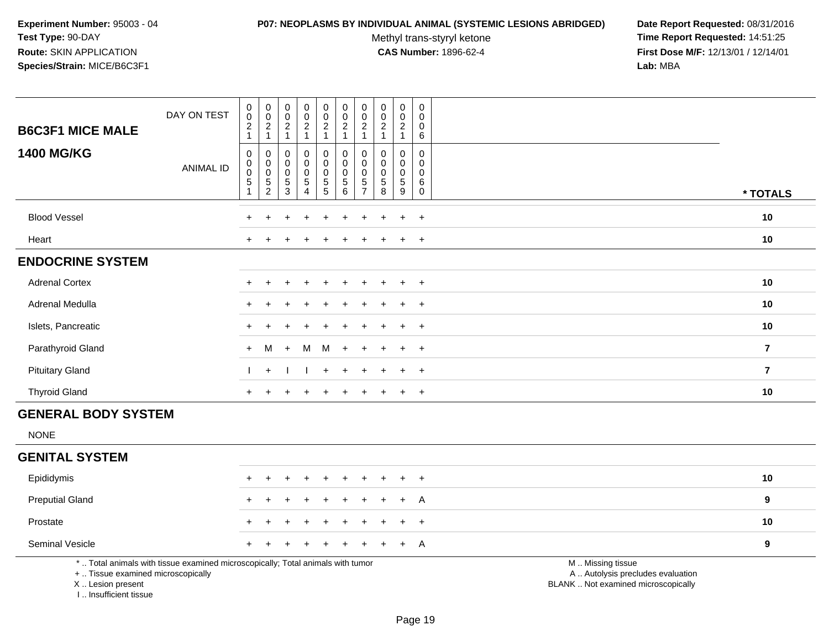#### **P07: NEOPLASMS BY INDIVIDUAL ANIMAL (SYSTEMIC LESIONS ABRIDGED) Date Report Requested:** 08/31/2016

Methyl trans-styryl ketone<br>CAS Number: 1896-62-4

| <b>B6C3F1 MICE MALE</b>                                                          | DAY ON TEST                                                                     | $\mathsf 0$<br>$\pmb{0}$<br>$\sqrt{2}$<br>$\mathbf{1}$ | $\mathbf 0$<br>$\overline{0}$<br>$\overline{2}$<br>$\mathbf{1}$        | $\pmb{0}$<br>$\mathsf 0$<br>$\sqrt{2}$<br>$\mathbf{1}$                 | $\mathsf{O}\xspace$<br>$\overline{0}$<br>$\overline{a}$<br>$\mathbf{1}$ | $\begin{smallmatrix} 0\\0 \end{smallmatrix}$<br>$\sqrt{2}$<br>$\mathbf{1}$ | $\pmb{0}$<br>$\overline{0}$<br>$\sqrt{2}$<br>$\mathbf{1}$          | $\mathbf 0$<br>$\mathbf 0$<br>$\overline{2}$<br>$\mathbf{1}$              | $\pmb{0}$<br>$\ddot{\mathbf{0}}$<br>$\boldsymbol{2}$<br>$\mathbf{1}$ | $\pmb{0}$<br>$\ddot{\mathbf{0}}$<br>$\overline{c}$<br>$\mathbf{1}$ | $\pmb{0}$<br>$\mathbf 0$<br>$\mathbf 0$<br>6        |                                                                                               |                         |
|----------------------------------------------------------------------------------|---------------------------------------------------------------------------------|--------------------------------------------------------|------------------------------------------------------------------------|------------------------------------------------------------------------|-------------------------------------------------------------------------|----------------------------------------------------------------------------|--------------------------------------------------------------------|---------------------------------------------------------------------------|----------------------------------------------------------------------|--------------------------------------------------------------------|-----------------------------------------------------|-----------------------------------------------------------------------------------------------|-------------------------|
| <b>1400 MG/KG</b>                                                                | <b>ANIMAL ID</b>                                                                | $\mathsf 0$<br>0<br>$\mathsf 0$<br>5<br>$\mathbf{1}$   | $\mathbf 0$<br>$\pmb{0}$<br>$\pmb{0}$<br>$\mathbf 5$<br>$\overline{c}$ | $\mathbf 0$<br>$\mathbf 0$<br>$\pmb{0}$<br>$\,$ 5 $\,$<br>$\mathbf{3}$ | $\mathbf 0$<br>0<br>$\mathbf 0$<br>5<br>4                               | $\pmb{0}$<br>$\overline{0}$ <sub>0</sub><br>$\overline{5}$                 | $\mathbf 0$<br>$\pmb{0}$<br>$\pmb{0}$<br>$\overline{5}$<br>$\,6\,$ | $\mathbf 0$<br>$\mathbf 0$<br>$\mathbf 0$<br>$\sqrt{5}$<br>$\overline{7}$ | $\mathbf 0$<br>$\mathbf 0$<br>$\mathbf 0$<br>$\overline{5}$<br>8     | $\mathbf 0$<br>0<br>$\mathbf 0$<br>$\sqrt{5}$<br>9                 | $\mathbf 0$<br>0<br>$\mathbf 0$<br>6<br>$\mathbf 0$ |                                                                                               | * TOTALS                |
| <b>Blood Vessel</b>                                                              |                                                                                 |                                                        |                                                                        |                                                                        |                                                                         |                                                                            |                                                                    |                                                                           |                                                                      | $\pm$                                                              | $\overline{+}$                                      |                                                                                               | 10                      |
| Heart                                                                            |                                                                                 |                                                        |                                                                        |                                                                        |                                                                         |                                                                            |                                                                    |                                                                           |                                                                      |                                                                    | $\overline{+}$                                      |                                                                                               | 10                      |
| <b>ENDOCRINE SYSTEM</b>                                                          |                                                                                 |                                                        |                                                                        |                                                                        |                                                                         |                                                                            |                                                                    |                                                                           |                                                                      |                                                                    |                                                     |                                                                                               |                         |
| <b>Adrenal Cortex</b>                                                            |                                                                                 |                                                        |                                                                        |                                                                        |                                                                         |                                                                            |                                                                    |                                                                           |                                                                      | $\ddot{}$                                                          | $^{+}$                                              |                                                                                               | 10                      |
| Adrenal Medulla                                                                  |                                                                                 |                                                        |                                                                        |                                                                        |                                                                         |                                                                            |                                                                    |                                                                           |                                                                      | $\ddot{}$                                                          | $\overline{+}$                                      |                                                                                               | 10                      |
| Islets, Pancreatic                                                               |                                                                                 |                                                        |                                                                        |                                                                        |                                                                         |                                                                            |                                                                    |                                                                           |                                                                      |                                                                    | $\ddot{}$                                           |                                                                                               | 10                      |
| Parathyroid Gland                                                                |                                                                                 | $+$                                                    | M                                                                      | $\ddot{}$                                                              | M                                                                       | M                                                                          | $\overline{+}$                                                     |                                                                           |                                                                      | ÷                                                                  | $\overline{+}$                                      |                                                                                               | $\overline{\mathbf{r}}$ |
| <b>Pituitary Gland</b>                                                           |                                                                                 |                                                        | $+$                                                                    |                                                                        |                                                                         | $+$                                                                        | $\div$                                                             |                                                                           |                                                                      | $\ddot{}$                                                          | $+$                                                 |                                                                                               | $\mathbf{7}$            |
| <b>Thyroid Gland</b>                                                             |                                                                                 | $\div$                                                 |                                                                        |                                                                        |                                                                         |                                                                            |                                                                    |                                                                           |                                                                      | $\ddot{}$                                                          | $+$                                                 |                                                                                               | $10$                    |
| <b>GENERAL BODY SYSTEM</b>                                                       |                                                                                 |                                                        |                                                                        |                                                                        |                                                                         |                                                                            |                                                                    |                                                                           |                                                                      |                                                                    |                                                     |                                                                                               |                         |
| <b>NONE</b>                                                                      |                                                                                 |                                                        |                                                                        |                                                                        |                                                                         |                                                                            |                                                                    |                                                                           |                                                                      |                                                                    |                                                     |                                                                                               |                         |
| <b>GENITAL SYSTEM</b>                                                            |                                                                                 |                                                        |                                                                        |                                                                        |                                                                         |                                                                            |                                                                    |                                                                           |                                                                      |                                                                    |                                                     |                                                                                               |                         |
| Epididymis                                                                       |                                                                                 |                                                        |                                                                        |                                                                        |                                                                         |                                                                            |                                                                    |                                                                           |                                                                      | $\ddot{}$                                                          | $\overline{+}$                                      |                                                                                               | 10                      |
| <b>Preputial Gland</b>                                                           |                                                                                 |                                                        |                                                                        |                                                                        |                                                                         |                                                                            |                                                                    |                                                                           |                                                                      |                                                                    | A                                                   |                                                                                               | 9                       |
| Prostate                                                                         |                                                                                 |                                                        |                                                                        |                                                                        |                                                                         |                                                                            |                                                                    |                                                                           |                                                                      |                                                                    | $\ddot{}$                                           |                                                                                               | 10                      |
| Seminal Vesicle                                                                  |                                                                                 |                                                        |                                                                        |                                                                        |                                                                         |                                                                            |                                                                    |                                                                           |                                                                      | ÷                                                                  | A                                                   |                                                                                               | 9                       |
| +  Tissue examined microscopically<br>X  Lesion present<br>I Insufficient tissue | *  Total animals with tissue examined microscopically; Total animals with tumor |                                                        |                                                                        |                                                                        |                                                                         |                                                                            |                                                                    |                                                                           |                                                                      |                                                                    |                                                     | M  Missing tissue<br>A  Autolysis precludes evaluation<br>BLANK  Not examined microscopically |                         |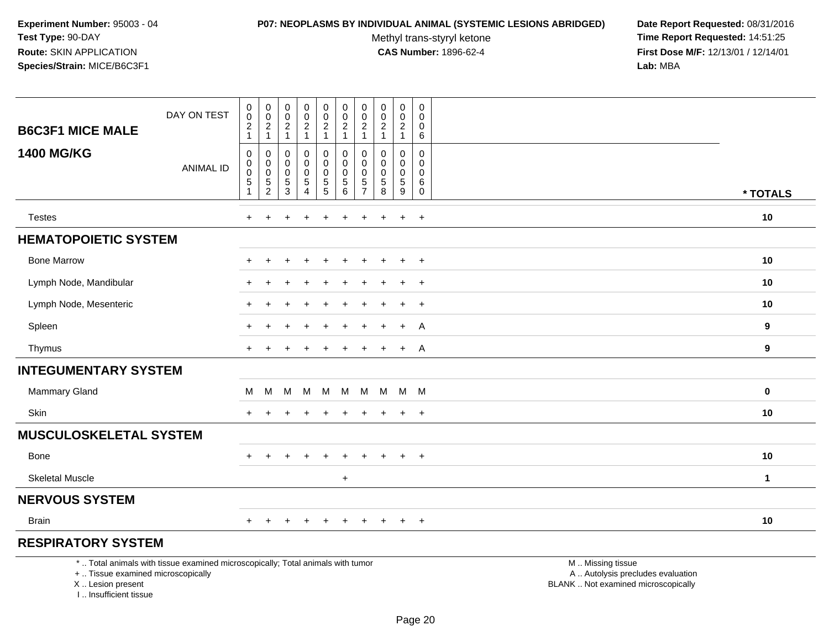#### **P07: NEOPLASMS BY INDIVIDUAL ANIMAL (SYSTEMIC LESIONS ABRIDGED) Date Report Requested:** 08/31/2016

Methyl trans-styryl ketone<br>CAS Number: 1896-62-4

| <b>B6C3F1 MICE MALE</b>                                                          | DAY ON TEST                                                                     | $\pmb{0}$<br>$\mathbf 0$<br>$\sqrt{2}$             | $\pmb{0}$<br>$\overline{0}$<br>$\sqrt{2}$                     | $\pmb{0}$<br>$\mathbf 0$<br>$\sqrt{2}$                                        | $\pmb{0}$<br>$\pmb{0}$<br>$\overline{2}$             | $\mathsf{O}\xspace$<br>$\pmb{0}$<br>$\sqrt{2}$                     | $\pmb{0}$<br>$\mathbf 0$<br>$\sqrt{2}$                                    | $\pmb{0}$<br>$\mathbf 0$<br>$\overline{2}$                    | $\pmb{0}$<br>$\mathbf 0$<br>$\sqrt{2}$<br>$\mathbf{1}$   | $\pmb{0}$<br>$\mathbf 0$<br>$\boldsymbol{2}$                  | $\pmb{0}$<br>$\mathbf 0$<br>0                       |                                                                                               |              |
|----------------------------------------------------------------------------------|---------------------------------------------------------------------------------|----------------------------------------------------|---------------------------------------------------------------|-------------------------------------------------------------------------------|------------------------------------------------------|--------------------------------------------------------------------|---------------------------------------------------------------------------|---------------------------------------------------------------|----------------------------------------------------------|---------------------------------------------------------------|-----------------------------------------------------|-----------------------------------------------------------------------------------------------|--------------|
| <b>1400 MG/KG</b>                                                                | <b>ANIMAL ID</b>                                                                | $\mathbf{1}$<br>0<br>$\mathsf 0$<br>$\pmb{0}$<br>5 | $\mathbf{1}$<br>0<br>$\mathsf{O}$<br>$\pmb{0}$<br>$\,$ 5 $\,$ | $\overline{1}$<br>$\mathbf 0$<br>$\mathbf 0$<br>$\mathbf 0$<br>$\overline{5}$ | $\mathbf{1}$<br>0<br>$\mathbf 0$<br>$\mathbf 0$<br>5 | $\mathbf{1}$<br>0<br>$\mathbf 0$<br>$\mathbf 0$<br>$5\phantom{.0}$ | $\mathbf{1}$<br>$\mathbf 0$<br>$\mathbf 0$<br>$\pmb{0}$<br>$\overline{5}$ | $\mathbf{1}$<br>$\mathbf 0$<br>$\mathbf 0$<br>0<br>$\sqrt{5}$ | $\mathbf 0$<br>$\mathbf{0}$<br>$\mathbf 0$<br>$\sqrt{5}$ | $\mathbf{1}$<br>0<br>$\mathbf 0$<br>$\mathbf 0$<br>$\sqrt{5}$ | 6<br>$\mathbf 0$<br>$\mathbf 0$<br>$\mathbf 0$<br>6 |                                                                                               |              |
|                                                                                  |                                                                                 | 1                                                  | $\overline{2}$                                                | 3                                                                             | $\overline{4}$                                       | $\overline{5}$                                                     | 6                                                                         | $\overline{7}$                                                | 8                                                        | 9                                                             | $\mathbf 0$                                         |                                                                                               | * TOTALS     |
| <b>Testes</b>                                                                    |                                                                                 | $\ddot{}$                                          | ÷                                                             |                                                                               |                                                      |                                                                    | $\ddot{}$                                                                 | ÷                                                             | ÷                                                        | $\ddot{}$                                                     | $+$                                                 |                                                                                               | 10           |
| <b>HEMATOPOIETIC SYSTEM</b>                                                      |                                                                                 |                                                    |                                                               |                                                                               |                                                      |                                                                    |                                                                           |                                                               |                                                          |                                                               |                                                     |                                                                                               |              |
| <b>Bone Marrow</b>                                                               |                                                                                 |                                                    |                                                               |                                                                               |                                                      |                                                                    |                                                                           |                                                               |                                                          |                                                               | $\ddot{}$                                           |                                                                                               | 10           |
| Lymph Node, Mandibular                                                           |                                                                                 |                                                    |                                                               |                                                                               |                                                      |                                                                    |                                                                           |                                                               |                                                          |                                                               | $\ddot{}$                                           |                                                                                               | 10           |
| Lymph Node, Mesenteric                                                           |                                                                                 |                                                    |                                                               |                                                                               |                                                      |                                                                    |                                                                           |                                                               |                                                          | $\ddot{}$                                                     | $+$                                                 |                                                                                               | 10           |
| Spleen                                                                           |                                                                                 |                                                    |                                                               |                                                                               |                                                      |                                                                    |                                                                           |                                                               |                                                          | ÷                                                             | A                                                   |                                                                                               | 9            |
| Thymus                                                                           |                                                                                 |                                                    |                                                               |                                                                               |                                                      |                                                                    |                                                                           |                                                               |                                                          | $\ddot{}$                                                     | A                                                   |                                                                                               | 9            |
| <b>INTEGUMENTARY SYSTEM</b>                                                      |                                                                                 |                                                    |                                                               |                                                                               |                                                      |                                                                    |                                                                           |                                                               |                                                          |                                                               |                                                     |                                                                                               |              |
| <b>Mammary Gland</b>                                                             |                                                                                 | м                                                  | м                                                             | M                                                                             | M                                                    | M                                                                  |                                                                           | M M                                                           | M M M                                                    |                                                               |                                                     |                                                                                               | $\mathbf 0$  |
| Skin                                                                             |                                                                                 | ÷                                                  |                                                               |                                                                               |                                                      |                                                                    |                                                                           |                                                               |                                                          | $\ddot{}$                                                     | $+$                                                 |                                                                                               | 10           |
| <b>MUSCULOSKELETAL SYSTEM</b>                                                    |                                                                                 |                                                    |                                                               |                                                                               |                                                      |                                                                    |                                                                           |                                                               |                                                          |                                                               |                                                     |                                                                                               |              |
| <b>Bone</b>                                                                      |                                                                                 | ÷.                                                 |                                                               |                                                                               |                                                      |                                                                    |                                                                           |                                                               |                                                          | $\ddot{}$                                                     | $\overline{+}$                                      |                                                                                               | 10           |
| <b>Skeletal Muscle</b>                                                           |                                                                                 |                                                    |                                                               |                                                                               |                                                      |                                                                    | $+$                                                                       |                                                               |                                                          |                                                               |                                                     |                                                                                               | $\mathbf{1}$ |
| <b>NERVOUS SYSTEM</b>                                                            |                                                                                 |                                                    |                                                               |                                                                               |                                                      |                                                                    |                                                                           |                                                               |                                                          |                                                               |                                                     |                                                                                               |              |
| <b>Brain</b>                                                                     |                                                                                 |                                                    |                                                               |                                                                               |                                                      | $\div$                                                             | $\div$                                                                    |                                                               | $\pm$                                                    | $+$                                                           | $+$                                                 |                                                                                               | 10           |
| <b>RESPIRATORY SYSTEM</b>                                                        |                                                                                 |                                                    |                                                               |                                                                               |                                                      |                                                                    |                                                                           |                                                               |                                                          |                                                               |                                                     |                                                                                               |              |
| +  Tissue examined microscopically<br>X  Lesion present<br>I Insufficient tissue | *  Total animals with tissue examined microscopically; Total animals with tumor |                                                    |                                                               |                                                                               |                                                      |                                                                    |                                                                           |                                                               |                                                          |                                                               |                                                     | M  Missing tissue<br>A  Autolysis precludes evaluation<br>BLANK  Not examined microscopically |              |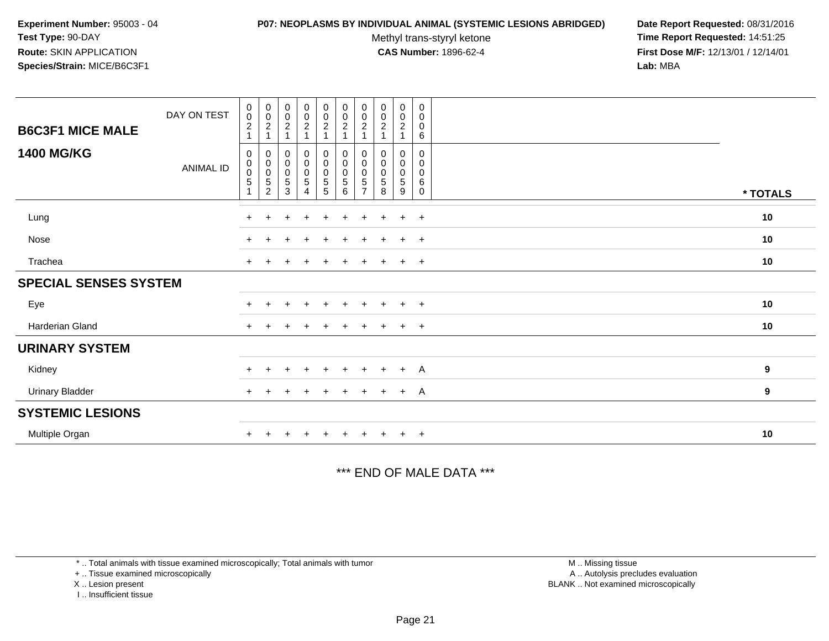#### **P07: NEOPLASMS BY INDIVIDUAL ANIMAL (SYSTEMIC LESIONS ABRIDGED) Date Report Requested:** 08/31/2016

Methyl trans-styryl ketone<br>CAS Number: 1896-62-4

 **Time Report Requested:** 14:51:25 **First Dose M/F:** 12/13/01 / 12/14/01<br>**Lab:** MBA **Lab:** MBA

| <b>B6C3F1 MICE MALE</b><br><b>1400 MG/KG</b> | DAY ON TEST<br>ANIMAL ID | 0<br>$\pmb{0}$<br>$\overline{c}$<br>0<br>0<br>$\pmb{0}$<br>5 | $\boldsymbol{0}$<br>$\pmb{0}$<br>$\boldsymbol{2}$<br>$\mathbf{1}$<br>0<br>$\pmb{0}$<br>$\pmb{0}$<br>$\frac{5}{2}$ | $_{\rm 0}^{\rm 0}$<br>$\sqrt{2}$<br>$\boldsymbol{0}$<br>$\mathbf 0$<br>$\pmb{0}$<br>$\sqrt{5}$<br>3 | $_{\rm 0}^{\rm 0}$<br>$\frac{2}{1}$<br>0<br>0<br>$\pmb{0}$<br>$\overline{5}$<br>4 | $\mathbf 0$<br>$\mathbf 0$<br>$\frac{2}{1}$<br>$\mathbf 0$<br>$\mathbf 0$<br>$\pmb{0}$<br>$\frac{5}{5}$ | $\mathbf 0$<br>$\mathsf{O}\xspace$<br>$\overline{a}$<br>$\overline{A}$<br>0<br>$\mathsf{O}\xspace$<br>$\pmb{0}$<br>5<br>6 | $\pmb{0}$<br>$\pmb{0}$<br>$\overline{2}$<br>0<br>0<br>0<br>5 | $\pmb{0}$<br>$\pmb{0}$<br>$\boldsymbol{2}$<br>0<br>0<br>$\pmb{0}$<br>$\sqrt{5}$<br>8 | 0<br>$\pmb{0}$<br>$\frac{2}{1}$<br>0<br>0<br>0<br>$\sqrt{5}$<br>9 | 0<br>0<br>0<br>6<br>$\mathbf 0$<br>0<br>0<br>6<br>$\mathbf 0$ | * TOTALS         |
|----------------------------------------------|--------------------------|--------------------------------------------------------------|-------------------------------------------------------------------------------------------------------------------|-----------------------------------------------------------------------------------------------------|-----------------------------------------------------------------------------------|---------------------------------------------------------------------------------------------------------|---------------------------------------------------------------------------------------------------------------------------|--------------------------------------------------------------|--------------------------------------------------------------------------------------|-------------------------------------------------------------------|---------------------------------------------------------------|------------------|
| Lung                                         |                          | $+$                                                          | $+$                                                                                                               |                                                                                                     | $\ddot{}$                                                                         | $\ddot{}$                                                                                               | $\ddot{}$                                                                                                                 | $+$                                                          | $\pm$                                                                                | $+$                                                               | $+$                                                           | 10               |
| Nose                                         |                          | $\pm$                                                        | $\pm$                                                                                                             | $\ddot{}$                                                                                           | $+$                                                                               | $+$                                                                                                     | $\ddot{}$                                                                                                                 | $+$                                                          | $+$                                                                                  | $+$                                                               | $+$                                                           | 10               |
| Trachea                                      |                          | $\ddot{}$                                                    |                                                                                                                   |                                                                                                     | $\pm$                                                                             |                                                                                                         | $\ddot{}$                                                                                                                 | $+$                                                          |                                                                                      | $+$                                                               | $+$                                                           | 10               |
| <b>SPECIAL SENSES SYSTEM</b>                 |                          |                                                              |                                                                                                                   |                                                                                                     |                                                                                   |                                                                                                         |                                                                                                                           |                                                              |                                                                                      |                                                                   |                                                               |                  |
| Eye                                          |                          | $+$                                                          | $+$                                                                                                               | $\overline{+}$                                                                                      | $+$                                                                               | $\ddot{}$                                                                                               | $+$                                                                                                                       | $+$                                                          | $+$                                                                                  | $+$                                                               | $+$                                                           | 10               |
| <b>Harderian Gland</b>                       |                          | $\ddot{}$                                                    |                                                                                                                   |                                                                                                     |                                                                                   |                                                                                                         |                                                                                                                           | +                                                            |                                                                                      | $+$                                                               | $^{+}$                                                        | 10               |
| <b>URINARY SYSTEM</b>                        |                          |                                                              |                                                                                                                   |                                                                                                     |                                                                                   |                                                                                                         |                                                                                                                           |                                                              |                                                                                      |                                                                   |                                                               |                  |
| Kidney                                       |                          | $+$                                                          | $+$                                                                                                               | $\overline{+}$                                                                                      | $+$                                                                               | $+$                                                                                                     | $+$                                                                                                                       | $+$                                                          | $+$                                                                                  | $+$                                                               | <b>A</b>                                                      | $\boldsymbol{9}$ |
| <b>Urinary Bladder</b>                       |                          | $\ddot{}$                                                    | $\pm$                                                                                                             |                                                                                                     | $\ddot{}$                                                                         | $\ddot{}$                                                                                               | +                                                                                                                         | $\ddot{}$                                                    | $\pm$                                                                                | $+$                                                               | <b>A</b>                                                      | $\boldsymbol{9}$ |
| <b>SYSTEMIC LESIONS</b>                      |                          |                                                              |                                                                                                                   |                                                                                                     |                                                                                   |                                                                                                         |                                                                                                                           |                                                              |                                                                                      |                                                                   |                                                               |                  |
| Multiple Organ                               |                          |                                                              |                                                                                                                   |                                                                                                     |                                                                                   |                                                                                                         |                                                                                                                           |                                                              |                                                                                      | $+$                                                               | $^{+}$                                                        | 10               |

\*\*\* END OF MALE DATA \*\*\*

\* .. Total animals with tissue examined microscopically; Total animals with tumor

+ .. Tissue examined microscopically

X .. Lesion present

I .. Insufficient tissue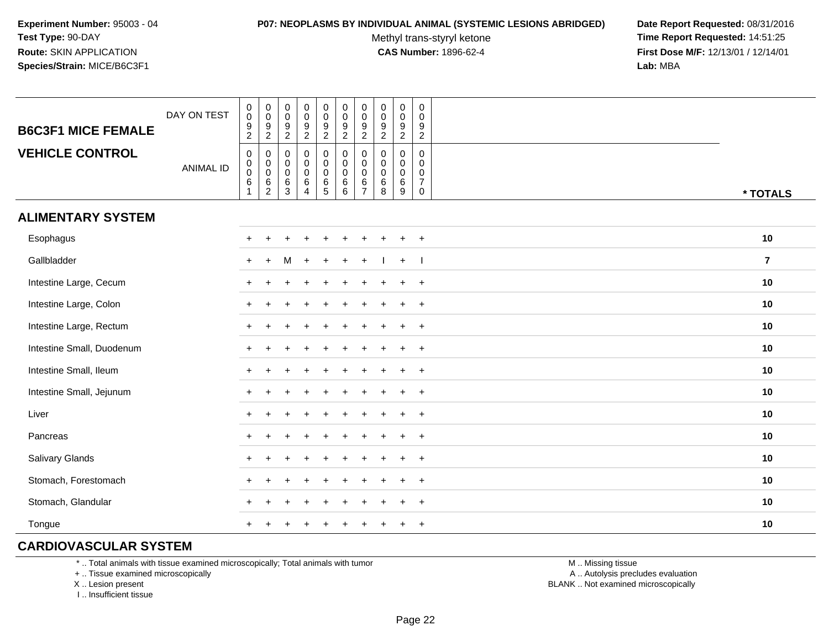#### **P07: NEOPLASMS BY INDIVIDUAL ANIMAL (SYSTEMIC LESIONS ABRIDGED) Date Report Requested:** 08/31/2016

Methyl trans-styryl ketone<br>CAS Number: 1896-62-4

 **Time Report Requested:** 14:51:25 **First Dose M/F:** 12/13/01 / 12/14/01<br>**Lab:** MBA **Lab:** MBA

| <b>B6C3F1 MICE FEMALE</b> | DAY ON TEST      | $_{\rm 0}^{\rm 0}$<br>$\frac{9}{2}$              | $_{\rm 0}^{\rm 0}$<br>$\frac{9}{2}$                                  | 0<br>$\pmb{0}$<br>$\boldsymbol{9}$<br>$\overline{c}$ | $\pmb{0}$<br>$\overline{0}$<br>$\boldsymbol{9}$<br>$\boldsymbol{2}$ | $\pmb{0}$<br>$\pmb{0}$<br>$\frac{9}{2}$ | $\pmb{0}$<br>$\ddot{\mathbf{0}}$<br>$\boldsymbol{9}$<br>$\overline{2}$  | $\pmb{0}$<br>$\ddot{\mathbf{0}}$<br>$\boldsymbol{9}$<br>$\overline{2}$ | $\begin{smallmatrix} 0\\0 \end{smallmatrix}$<br>$\frac{9}{2}$           | $\mathbf 0$<br>$\ddot{\mathbf{0}}$<br>$\boldsymbol{9}$<br>$\overline{2}$ | $\pmb{0}$<br>$\mathbf 0$<br>$\boldsymbol{9}$<br>$\overline{c}$ |                |
|---------------------------|------------------|--------------------------------------------------|----------------------------------------------------------------------|------------------------------------------------------|---------------------------------------------------------------------|-----------------------------------------|-------------------------------------------------------------------------|------------------------------------------------------------------------|-------------------------------------------------------------------------|--------------------------------------------------------------------------|----------------------------------------------------------------|----------------|
| <b>VEHICLE CONTROL</b>    | <b>ANIMAL ID</b> | $\pmb{0}$<br>$_{\rm 0}^{\rm 0}$<br>$\,6\,$<br>-1 | $\pmb{0}$<br>$\begin{matrix} 0 \\ 0 \\ 6 \end{matrix}$<br>$\sqrt{2}$ | 0<br>0<br>$\mathsf 0$<br>$\,6\,$<br>3                | $\mathbf 0$<br>$\pmb{0}$<br>$\pmb{0}$<br>$\,6\,$<br>$\overline{4}$  | 0<br>$\mathbf 0$<br>$\bar{0}$<br>6<br>5 | $\pmb{0}$<br>$\mathbf 0$<br>$\overline{0}$<br>$\,6\,$<br>$6\phantom{a}$ | 0<br>$\pmb{0}$<br>$\ddot{\mathbf{0}}$<br>$\,6\,$<br>$\overline{7}$     | 0<br>$\begin{smallmatrix} 0\\0 \end{smallmatrix}$<br>$\,6\,$<br>$\,8\,$ | $\mathbf 0$<br>$\mathbf 0$<br>$\mathbf 0$<br>$\,6$<br>$\boldsymbol{9}$   | 0<br>$\mathbf 0$<br>0<br>$\overline{7}$<br>$\mathsf 0$         | * TOTALS       |
| <b>ALIMENTARY SYSTEM</b>  |                  |                                                  |                                                                      |                                                      |                                                                     |                                         |                                                                         |                                                                        |                                                                         |                                                                          |                                                                |                |
| Esophagus                 |                  | $\pm$                                            |                                                                      |                                                      |                                                                     |                                         |                                                                         |                                                                        |                                                                         |                                                                          | $\overline{+}$                                                 | 10             |
| Gallbladder               |                  | $+$                                              | $+$                                                                  | M                                                    |                                                                     |                                         |                                                                         |                                                                        |                                                                         | $+$                                                                      |                                                                | $\overline{7}$ |
| Intestine Large, Cecum    |                  |                                                  |                                                                      |                                                      |                                                                     |                                         |                                                                         |                                                                        |                                                                         |                                                                          | $\ddot{}$                                                      | 10             |
| Intestine Large, Colon    |                  |                                                  |                                                                      |                                                      |                                                                     |                                         |                                                                         |                                                                        |                                                                         |                                                                          | $\ddot{}$                                                      | 10             |
| Intestine Large, Rectum   |                  |                                                  |                                                                      |                                                      |                                                                     |                                         |                                                                         |                                                                        |                                                                         | ÷                                                                        | $+$                                                            | 10             |
| Intestine Small, Duodenum |                  |                                                  |                                                                      |                                                      |                                                                     |                                         |                                                                         |                                                                        |                                                                         | ÷                                                                        | $+$                                                            | 10             |
| Intestine Small, Ileum    |                  |                                                  |                                                                      |                                                      |                                                                     |                                         |                                                                         |                                                                        |                                                                         | $\ddot{}$                                                                | $+$                                                            | 10             |
| Intestine Small, Jejunum  |                  | $+$                                              |                                                                      |                                                      |                                                                     |                                         |                                                                         |                                                                        |                                                                         |                                                                          | $+$                                                            | 10             |
| Liver                     |                  | $+$                                              |                                                                      |                                                      |                                                                     |                                         |                                                                         |                                                                        |                                                                         |                                                                          | $\overline{+}$                                                 | 10             |
| Pancreas                  |                  | $+$                                              |                                                                      |                                                      |                                                                     |                                         |                                                                         |                                                                        |                                                                         | ÷                                                                        | $+$                                                            | 10             |
| Salivary Glands           |                  | $+$                                              |                                                                      |                                                      |                                                                     |                                         |                                                                         |                                                                        |                                                                         |                                                                          | $\overline{+}$                                                 | 10             |
| Stomach, Forestomach      |                  | $\pm$                                            |                                                                      |                                                      |                                                                     |                                         |                                                                         |                                                                        |                                                                         |                                                                          | $\ddot{}$                                                      | 10             |
| Stomach, Glandular        |                  |                                                  |                                                                      |                                                      |                                                                     |                                         |                                                                         |                                                                        |                                                                         |                                                                          | $\ddot{}$                                                      | 10             |
| Tongue                    |                  |                                                  |                                                                      |                                                      |                                                                     |                                         |                                                                         |                                                                        |                                                                         |                                                                          | $\ddot{}$                                                      | 10             |

## **CARDIOVASCULAR SYSTEM**

\* .. Total animals with tissue examined microscopically; Total animals with tumor

+ .. Tissue examined microscopically

X .. Lesion present

I .. Insufficient tissue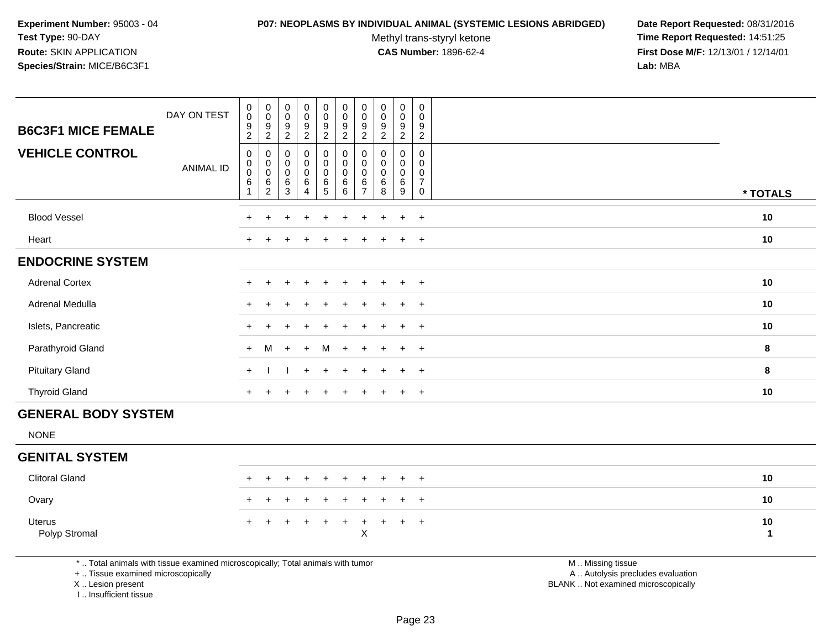#### **P07: NEOPLASMS BY INDIVIDUAL ANIMAL (SYSTEMIC LESIONS ABRIDGED) Date Report Requested:** 08/31/2016

Methyl trans-styryl ketone<br>CAS Number: 1896-62-4

 **Time Report Requested:** 14:51:25 **First Dose M/F:** 12/13/01 / 12/14/01<br>**Lab:** MBA **Lab:** MBA

|                            | DAY ON TEST      | 0<br>$\mathsf{O}\xspace$                 | 0<br>0                | $\mathbf 0$<br>$\mathbf 0$            | $\mathbf 0$<br>$\mathbf 0$                        | $\mathbf 0$<br>$\mathbf 0$              | 0<br>$\pmb{0}$                          | 0<br>0              | $\pmb{0}$<br>$\pmb{0}$                  | 0<br>$\pmb{0}$                        | 0<br>0                                                  |          |
|----------------------------|------------------|------------------------------------------|-----------------------|---------------------------------------|---------------------------------------------------|-----------------------------------------|-----------------------------------------|---------------------|-----------------------------------------|---------------------------------------|---------------------------------------------------------|----------|
| <b>B6C3F1 MICE FEMALE</b>  |                  | 9<br>$\overline{c}$                      | 9<br>$\overline{c}$   | 9<br>$\overline{2}$                   | 9<br>$\boldsymbol{2}$                             | 9<br>$\overline{c}$                     | 9<br>$\overline{c}$                     | 9<br>$\overline{2}$ | 9<br>2                                  | $9\,$<br>$\overline{2}$               | 9<br>$\overline{c}$                                     |          |
| <b>VEHICLE CONTROL</b>     | <b>ANIMAL ID</b> | 0<br>$\mathbf 0$<br>$\pmb{0}$<br>6<br>-1 | 0<br>0<br>0<br>6<br>2 | 0<br>$\pmb{0}$<br>$\pmb{0}$<br>6<br>3 | $\mathbf 0$<br>$\mathbf 0$<br>$\pmb{0}$<br>6<br>4 | 0<br>$\mathbf 0$<br>$\pmb{0}$<br>6<br>5 | 0<br>$\pmb{0}$<br>$\mathbf 0$<br>6<br>6 | 0<br>0<br>0<br>6    | 0<br>$\pmb{0}$<br>$\mathbf 0$<br>6<br>8 | 0<br>$\pmb{0}$<br>$\pmb{0}$<br>6<br>9 | $\mathbf 0$<br>0<br>0<br>$\overline{7}$<br>$\mathbf{0}$ | * TOTALS |
| <b>Blood Vessel</b>        |                  | $+$                                      |                       |                                       | $\ddot{}$                                         | $\pm$                                   | $+$                                     | $+$                 |                                         | $+$                                   | $+$                                                     | 10       |
| Heart                      |                  | $\pm$                                    |                       |                                       |                                                   |                                         |                                         |                     |                                         | $+$                                   | $+$                                                     | 10       |
| <b>ENDOCRINE SYSTEM</b>    |                  |                                          |                       |                                       |                                                   |                                         |                                         |                     |                                         |                                       |                                                         |          |
| <b>Adrenal Cortex</b>      |                  | $\pm$                                    | +                     | $\pm$                                 | $+$                                               | $\pm$                                   | $\ddot{}$                               | $\pm$               | $\pm$                                   | $+$                                   | $+$                                                     | 10       |
| Adrenal Medulla            |                  | $\pm$                                    |                       |                                       |                                                   |                                         |                                         |                     |                                         | $\ddot{}$                             | $+$                                                     | 10       |
| Islets, Pancreatic         |                  | $+$                                      |                       |                                       |                                                   |                                         | $\ddot{}$                               |                     |                                         | $\pm$                                 | $+$                                                     | 10       |
| Parathyroid Gland          |                  | $+$                                      | м                     | $\overline{+}$                        | $+$                                               | M                                       | $+$                                     | $+$                 |                                         | $+$                                   | $+$                                                     | 8        |
| <b>Pituitary Gland</b>     |                  | $+$                                      |                       |                                       | $+$                                               | $\ddot{}$                               | $\ddot{}$                               | $+$                 | $\div$                                  | $+$                                   | $+$                                                     | 8        |
| <b>Thyroid Gland</b>       |                  | $+$                                      |                       |                                       |                                                   |                                         |                                         |                     |                                         | $\ddot{}$                             | $^{+}$                                                  | 10       |
| <b>GENERAL BODY SYSTEM</b> |                  |                                          |                       |                                       |                                                   |                                         |                                         |                     |                                         |                                       |                                                         |          |
| <b>NONE</b>                |                  |                                          |                       |                                       |                                                   |                                         |                                         |                     |                                         |                                       |                                                         |          |

## **GENITAL SYSTEM**

| <b>Clitoral Gland</b>   |  | + + + + + + + + + + |  |  |  |  | 10 |
|-------------------------|--|---------------------|--|--|--|--|----|
| Ovary                   |  | + + + + + + + + + + |  |  |  |  | 10 |
| Uterus<br>Polyp Stromal |  | + + + + + + + + + + |  |  |  |  | 10 |

\* .. Total animals with tissue examined microscopically; Total animals with tumor

+ .. Tissue examined microscopically

X .. Lesion present

I .. Insufficient tissue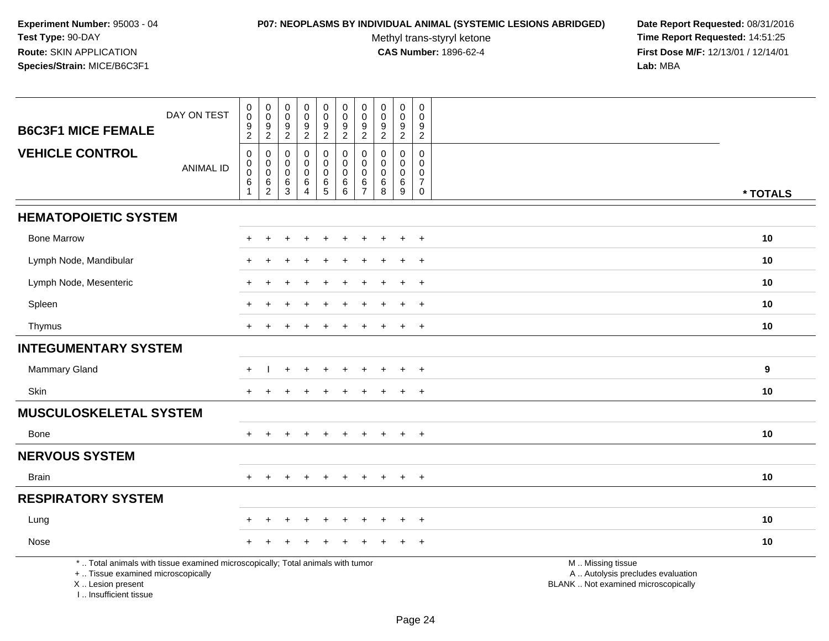### **P07: NEOPLASMS BY INDIVIDUAL ANIMAL (SYSTEMIC LESIONS ABRIDGED) Date Report Requested:** 08/31/2016

Methyl trans-styryl ketone<br>CAS Number: 1896-62-4

| <b>B6C3F1 MICE FEMALE</b>                                                                                                                                          | DAY ON TEST      | $\pmb{0}$<br>$\mathsf{O}\xspace$<br>$\boldsymbol{9}$ | $_{\rm 0}^{\rm 0}$<br>$\frac{9}{2}$ | $\pmb{0}$<br>$\mathbf 0$<br>9 | $\pmb{0}$<br>$\mathbf 0$<br>9     | $\pmb{0}$<br>$\pmb{0}$<br>$\boldsymbol{9}$ | $\pmb{0}$<br>$\mathbf 0$<br>9 | $\pmb{0}$<br>$\mathbf 0$<br>9      | $\pmb{0}$<br>$\pmb{0}$<br>$\frac{9}{2}$ | $\pmb{0}$<br>$\pmb{0}$<br>$\boldsymbol{9}$ | $\mathbf 0$<br>$\mathbf 0$<br>9 |                                                                                               |          |
|--------------------------------------------------------------------------------------------------------------------------------------------------------------------|------------------|------------------------------------------------------|-------------------------------------|-------------------------------|-----------------------------------|--------------------------------------------|-------------------------------|------------------------------------|-----------------------------------------|--------------------------------------------|---------------------------------|-----------------------------------------------------------------------------------------------|----------|
| <b>VEHICLE CONTROL</b>                                                                                                                                             |                  | $\overline{2}$<br>0                                  | $\pmb{0}$                           | $\sqrt{2}$<br>0               | $\overline{2}$<br>$\mathbf 0$     | $\overline{2}$<br>0                        | $\overline{2}$<br>0           | $\overline{2}$<br>0                | 0                                       | $\overline{2}$<br>$\pmb{0}$                | $\overline{2}$<br>0             |                                                                                               |          |
|                                                                                                                                                                    | <b>ANIMAL ID</b> | $\mathbf 0$<br>$\mathsf 0$                           | $\pmb{0}$<br>$\mathsf 0$            | $\mathbf 0$<br>$\mathbf 0$    | $\mathbf 0$<br>$\mathbf 0$        | $\pmb{0}$<br>$\mathsf{O}\xspace$           | $\mathbf 0$<br>$\mathsf 0$    | $\mathbf 0$<br>$\mathsf{O}\xspace$ | 0<br>0                                  | $\mathbf 0$<br>$\mathbf 0$                 | $\mathbf 0$<br>$\mathbf 0$      |                                                                                               |          |
|                                                                                                                                                                    |                  | 6<br>-1                                              | 6<br>$\overline{2}$                 | 6<br>3                        | $\,6\,$<br>$\boldsymbol{\Lambda}$ | $\,6\,$<br>$\overline{5}$                  | 6<br>6                        | 6<br>$\overline{7}$                | 6<br>8                                  | 6<br>9                                     | $\overline{7}$<br>$\mathbf 0$   |                                                                                               | * TOTALS |
| <b>HEMATOPOIETIC SYSTEM</b>                                                                                                                                        |                  |                                                      |                                     |                               |                                   |                                            |                               |                                    |                                         |                                            |                                 |                                                                                               |          |
| <b>Bone Marrow</b>                                                                                                                                                 |                  | $+$                                                  | $\ddot{}$                           | +                             | $\ddot{}$                         | $\ddot{}$                                  | $\ddot{}$                     | $\ddot{}$                          | $\ddot{}$                               | $\ddot{}$                                  | $+$                             |                                                                                               | 10       |
| Lymph Node, Mandibular                                                                                                                                             |                  |                                                      |                                     |                               |                                   |                                            |                               |                                    |                                         |                                            |                                 |                                                                                               | 10       |
| Lymph Node, Mesenteric                                                                                                                                             |                  |                                                      |                                     |                               |                                   |                                            |                               |                                    |                                         |                                            | $\overline{+}$                  |                                                                                               | 10       |
| Spleen                                                                                                                                                             |                  | $\pm$                                                |                                     |                               |                                   |                                            |                               |                                    |                                         | $\overline{+}$                             | $+$                             |                                                                                               | 10       |
| Thymus                                                                                                                                                             |                  | $+$                                                  |                                     |                               |                                   |                                            |                               |                                    |                                         | $\overline{1}$                             | $+$                             |                                                                                               | 10       |
| <b>INTEGUMENTARY SYSTEM</b>                                                                                                                                        |                  |                                                      |                                     |                               |                                   |                                            |                               |                                    |                                         |                                            |                                 |                                                                                               |          |
| <b>Mammary Gland</b>                                                                                                                                               |                  | $+$                                                  |                                     |                               |                                   |                                            |                               |                                    |                                         |                                            | $\ddot{}$                       |                                                                                               | 9        |
| <b>Skin</b>                                                                                                                                                        |                  | $+$                                                  |                                     |                               |                                   |                                            |                               |                                    |                                         | $\overline{ }$                             | $+$                             |                                                                                               | 10       |
| <b>MUSCULOSKELETAL SYSTEM</b>                                                                                                                                      |                  |                                                      |                                     |                               |                                   |                                            |                               |                                    |                                         |                                            |                                 |                                                                                               |          |
| Bone                                                                                                                                                               |                  |                                                      |                                     |                               |                                   |                                            |                               |                                    |                                         |                                            | $+$                             |                                                                                               | 10       |
| <b>NERVOUS SYSTEM</b>                                                                                                                                              |                  |                                                      |                                     |                               |                                   |                                            |                               |                                    |                                         |                                            |                                 |                                                                                               |          |
| Brain                                                                                                                                                              |                  | $+$                                                  | $+$                                 | $+$                           | $+$                               | $+$                                        | $\ddot{}$                     | $\ddot{}$                          | $+$                                     | $+$                                        | $+$                             |                                                                                               | 10       |
| <b>RESPIRATORY SYSTEM</b>                                                                                                                                          |                  |                                                      |                                     |                               |                                   |                                            |                               |                                    |                                         |                                            |                                 |                                                                                               |          |
| Lung                                                                                                                                                               |                  |                                                      |                                     |                               |                                   |                                            |                               |                                    |                                         |                                            | $\ddot{}$                       |                                                                                               | 10       |
| Nose                                                                                                                                                               |                  |                                                      |                                     |                               |                                   |                                            |                               |                                    |                                         |                                            | ÷                               |                                                                                               | 10       |
| *  Total animals with tissue examined microscopically; Total animals with tumor<br>+  Tissue examined microscopically<br>X Lesion present<br>I Insufficient tissue |                  |                                                      |                                     |                               |                                   |                                            |                               |                                    |                                         |                                            |                                 | M  Missing tissue<br>A  Autolysis precludes evaluation<br>BLANK  Not examined microscopically |          |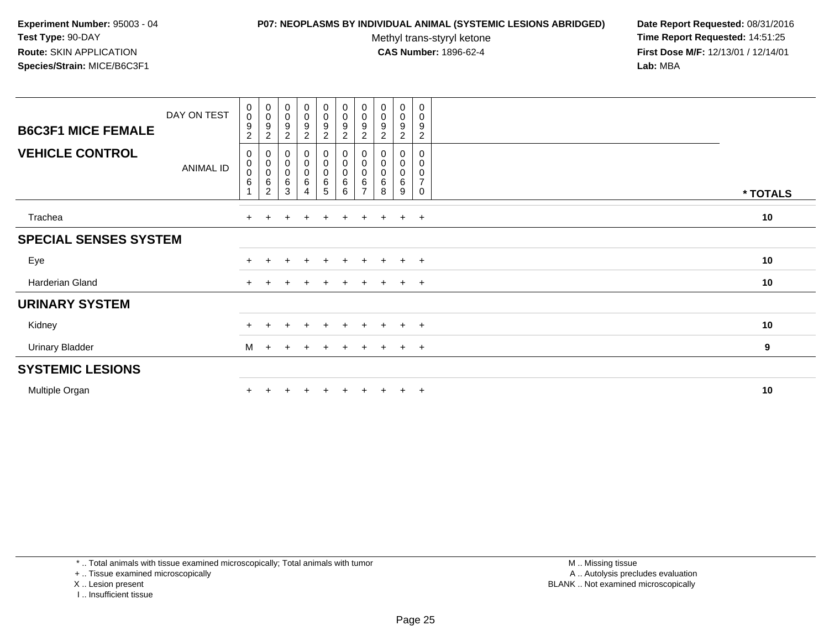#### **P07: NEOPLASMS BY INDIVIDUAL ANIMAL (SYSTEMIC LESIONS ABRIDGED) Date Report Requested:** 08/31/2016

Methyl trans-styryl ketone<br>CAS Number: 1896-62-4

 **Time Report Requested:** 14:51:25 **First Dose M/F:** 12/13/01 / 12/14/01<br>**Lab:** MBA **Lab:** MBA

| <b>B6C3F1 MICE FEMALE</b>    | DAY ON TEST | $\begin{smallmatrix} 0\\0 \end{smallmatrix}$<br>9<br>$\overline{c}$ | $_{\rm 0}^{\rm 0}$<br>9<br>$\overline{c}$ | $\begin{smallmatrix}0\\0\\9\end{smallmatrix}$<br>$\sqrt{2}$ | $_{\rm 0}^{\rm 0}$<br>$\boldsymbol{9}$<br>$\boldsymbol{2}$ | $_{0}^{0}$<br>$\boldsymbol{9}$<br>$\boldsymbol{2}$ | $_{\rm 0}^{\rm 0}$<br>$\boldsymbol{9}$<br>$\overline{c}$ | $\begin{smallmatrix} 0\\0 \end{smallmatrix}$<br>$\boldsymbol{9}$<br>$\overline{c}$ | $\begin{smallmatrix}0\0\0\9\end{smallmatrix}$<br>$\overline{2}$ | $_{\rm 0}^{\rm 0}$<br>$\boldsymbol{9}$<br>$\sqrt{2}$  | 0<br>$\mathsf 0$<br>9<br>$\overline{2}$      |          |
|------------------------------|-------------|---------------------------------------------------------------------|-------------------------------------------|-------------------------------------------------------------|------------------------------------------------------------|----------------------------------------------------|----------------------------------------------------------|------------------------------------------------------------------------------------|-----------------------------------------------------------------|-------------------------------------------------------|----------------------------------------------|----------|
| <b>VEHICLE CONTROL</b>       | ANIMAL ID   | 0<br>0<br>$\pmb{0}$<br>$\,6$<br>$\overline{A}$                      | 0<br>0<br>6<br>$\overline{c}$             | $\pmb{0}$<br>$\overline{0}$<br>0<br>$\,6$<br>3              | 0<br>$\bar{0}$<br>0<br>$\,6\,$<br>4                        | 0<br>$\pmb{0}$<br>$\pmb{0}$<br>$\,6\,$<br>5        | $\pmb{0}$<br>$\pmb{0}$<br>6<br>6                         | $\pmb{0}$<br>0<br>6<br>7                                                           | $\pmb{0}$<br>$\pmb{0}$<br>6<br>8                                | 0<br>$\ddot{\mathbf{0}}$<br>$\pmb{0}$<br>$\,6\,$<br>9 | 0<br>0<br>$\mathbf 0$<br>$\overline{7}$<br>0 | * TOTALS |
| Trachea                      |             | $+$                                                                 | $\pm$                                     |                                                             | $\overline{+}$                                             | $\ddot{}$                                          | $\ddot{}$                                                | $+$                                                                                | $\ddot{}$                                                       | $+$                                                   | $+$                                          | 10       |
| <b>SPECIAL SENSES SYSTEM</b> |             |                                                                     |                                           |                                                             |                                                            |                                                    |                                                          |                                                                                    |                                                                 |                                                       |                                              |          |
| Eye                          |             |                                                                     |                                           |                                                             | $\pm$                                                      | $+$                                                | $+$                                                      | $+$                                                                                | $+$                                                             | $+$                                                   | $+$                                          | 10       |
| <b>Harderian Gland</b>       |             | $+$                                                                 |                                           |                                                             |                                                            |                                                    |                                                          | $+$                                                                                | $\ddot{}$                                                       | $+$                                                   | $+$                                          | 10       |
| <b>URINARY SYSTEM</b>        |             |                                                                     |                                           |                                                             |                                                            |                                                    |                                                          |                                                                                    |                                                                 |                                                       |                                              |          |
| Kidney                       |             | $+$                                                                 | ÷.                                        | $\pm$                                                       | $+$                                                        | $+$                                                | $+$                                                      | $+$                                                                                | $+$                                                             | $+$                                                   | $+$                                          | 10       |
| <b>Urinary Bladder</b>       |             | M                                                                   | $\ddot{}$                                 |                                                             | $\ddot{}$                                                  | $+$                                                | $\ddot{}$                                                | $+$                                                                                | $+$                                                             | $+$                                                   | $+$                                          | 9        |
| <b>SYSTEMIC LESIONS</b>      |             |                                                                     |                                           |                                                             |                                                            |                                                    |                                                          |                                                                                    |                                                                 |                                                       |                                              |          |
| Multiple Organ               |             |                                                                     |                                           |                                                             |                                                            |                                                    |                                                          |                                                                                    |                                                                 | $\pm$                                                 | $^{+}$                                       | 10       |

\* .. Total animals with tissue examined microscopically; Total animals with tumor

+ .. Tissue examined microscopically

X .. Lesion present

I .. Insufficient tissue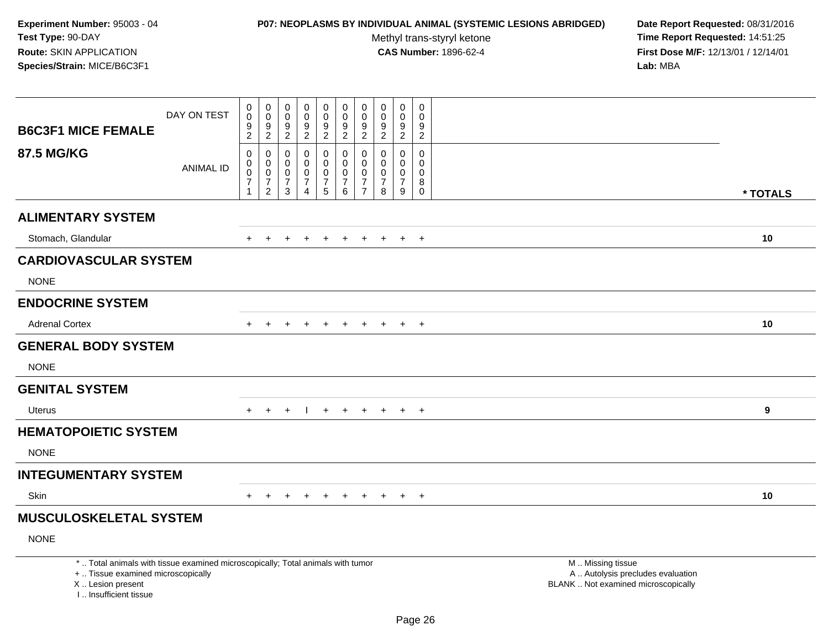## **P07: NEOPLASMS BY INDIVIDUAL ANIMAL (SYSTEMIC LESIONS ABRIDGED) Date Report Requested:** 08/31/2016

Methyl trans-styryl ketone<br>CAS Number: 1896-62-4

| <b>B6C3F1 MICE FEMALE</b>                                                                                                                                           | DAY ON TEST      | $\boldsymbol{0}$<br>$\mathbf 0$<br>9                                   | $\mathbf 0$<br>$\mathsf 0$<br>$\frac{9}{2}$               | $\pmb{0}$<br>$\mathsf{O}\xspace$<br>$\frac{9}{2}$      | $\mathsf{O}\xspace$<br>$\mathsf{O}\xspace$<br>9        | $\pmb{0}$<br>$\ddot{\mathbf{0}}$<br>$\frac{9}{2}$    | $\pmb{0}$<br>$\mathbf 0$<br>$\boldsymbol{9}$                   | $\mathbf 0$<br>$\mathbf 0$<br>$\frac{9}{2}$                                   | $\pmb{0}$<br>$\mathbf 0$<br>9                              | $\pmb{0}$<br>$\pmb{0}$<br>9                  | $\mathsf{O}\xspace$<br>$\Omega$<br>9                       |                                                                                               |          |
|---------------------------------------------------------------------------------------------------------------------------------------------------------------------|------------------|------------------------------------------------------------------------|-----------------------------------------------------------|--------------------------------------------------------|--------------------------------------------------------|------------------------------------------------------|----------------------------------------------------------------|-------------------------------------------------------------------------------|------------------------------------------------------------|----------------------------------------------|------------------------------------------------------------|-----------------------------------------------------------------------------------------------|----------|
|                                                                                                                                                                     |                  | $\overline{2}$                                                         |                                                           |                                                        | $\overline{2}$                                         |                                                      | $\overline{2}$                                                 |                                                                               | $\sqrt{2}$                                                 | $\overline{2}$                               | $\overline{c}$                                             |                                                                                               |          |
| <b>87.5 MG/KG</b>                                                                                                                                                   | <b>ANIMAL ID</b> | $\boldsymbol{0}$<br>0<br>$\mathbf 0$<br>$\overline{7}$<br>$\mathbf{1}$ | 0<br>0<br>$\mathbf 0$<br>$\overline{7}$<br>$\overline{c}$ | $\mathbf 0$<br>0<br>$\mathbf 0$<br>$\overline{7}$<br>3 | $\mathbf 0$<br>0<br>$\mathbf 0$<br>$\overline{7}$<br>4 | 0<br>$\pmb{0}$<br>$\mathbf 0$<br>$\overline{7}$<br>5 | $\mathbf 0$<br>$\mathbf 0$<br>$\pmb{0}$<br>$\overline{7}$<br>6 | $\mathbf 0$<br>$\mathbf 0$<br>$\mathbf 0$<br>$\overline{7}$<br>$\overline{7}$ | $\Omega$<br>$\Omega$<br>$\mathbf 0$<br>$\overline{7}$<br>8 | 0<br>0<br>$\mathbf 0$<br>$\overline{7}$<br>9 | $\mathbf 0$<br>$\Omega$<br>$\mathbf 0$<br>8<br>$\mathbf 0$ |                                                                                               | * TOTALS |
| <b>ALIMENTARY SYSTEM</b>                                                                                                                                            |                  |                                                                        |                                                           |                                                        |                                                        |                                                      |                                                                |                                                                               |                                                            |                                              |                                                            |                                                                                               |          |
| Stomach, Glandular                                                                                                                                                  |                  | $+$                                                                    | $+$                                                       | $+$                                                    | $+$                                                    | $+$                                                  | $+$                                                            |                                                                               | $+$ $+$ $+$                                                |                                              | $+$                                                        |                                                                                               | 10       |
| <b>CARDIOVASCULAR SYSTEM</b>                                                                                                                                        |                  |                                                                        |                                                           |                                                        |                                                        |                                                      |                                                                |                                                                               |                                                            |                                              |                                                            |                                                                                               |          |
| <b>NONE</b>                                                                                                                                                         |                  |                                                                        |                                                           |                                                        |                                                        |                                                      |                                                                |                                                                               |                                                            |                                              |                                                            |                                                                                               |          |
| <b>ENDOCRINE SYSTEM</b>                                                                                                                                             |                  |                                                                        |                                                           |                                                        |                                                        |                                                      |                                                                |                                                                               |                                                            |                                              |                                                            |                                                                                               |          |
| <b>Adrenal Cortex</b>                                                                                                                                               |                  | $\pm$                                                                  |                                                           |                                                        |                                                        |                                                      |                                                                |                                                                               |                                                            | $\ddot{}$                                    | $+$                                                        |                                                                                               | 10       |
| <b>GENERAL BODY SYSTEM</b>                                                                                                                                          |                  |                                                                        |                                                           |                                                        |                                                        |                                                      |                                                                |                                                                               |                                                            |                                              |                                                            |                                                                                               |          |
| <b>NONE</b>                                                                                                                                                         |                  |                                                                        |                                                           |                                                        |                                                        |                                                      |                                                                |                                                                               |                                                            |                                              |                                                            |                                                                                               |          |
| <b>GENITAL SYSTEM</b>                                                                                                                                               |                  |                                                                        |                                                           |                                                        |                                                        |                                                      |                                                                |                                                                               |                                                            |                                              |                                                            |                                                                                               |          |
| <b>Uterus</b>                                                                                                                                                       |                  | $+$                                                                    | $+$                                                       | $\ddot{}$                                              |                                                        | $+$                                                  | $+$                                                            | $+$                                                                           | $+$                                                        | $+$                                          | $+$                                                        |                                                                                               | 9        |
| <b>HEMATOPOIETIC SYSTEM</b>                                                                                                                                         |                  |                                                                        |                                                           |                                                        |                                                        |                                                      |                                                                |                                                                               |                                                            |                                              |                                                            |                                                                                               |          |
| <b>NONE</b>                                                                                                                                                         |                  |                                                                        |                                                           |                                                        |                                                        |                                                      |                                                                |                                                                               |                                                            |                                              |                                                            |                                                                                               |          |
| <b>INTEGUMENTARY SYSTEM</b>                                                                                                                                         |                  |                                                                        |                                                           |                                                        |                                                        |                                                      |                                                                |                                                                               |                                                            |                                              |                                                            |                                                                                               |          |
| <b>Skin</b>                                                                                                                                                         |                  | $+$                                                                    | $+$                                                       | $+$                                                    | $+$                                                    | $+$                                                  | $+$                                                            |                                                                               | $+$ $+$                                                    | $+$                                          | $+$                                                        |                                                                                               | 10       |
| <b>MUSCULOSKELETAL SYSTEM</b>                                                                                                                                       |                  |                                                                        |                                                           |                                                        |                                                        |                                                      |                                                                |                                                                               |                                                            |                                              |                                                            |                                                                                               |          |
| <b>NONE</b>                                                                                                                                                         |                  |                                                                        |                                                           |                                                        |                                                        |                                                      |                                                                |                                                                               |                                                            |                                              |                                                            |                                                                                               |          |
| *  Total animals with tissue examined microscopically; Total animals with tumor<br>+  Tissue examined microscopically<br>X  Lesion present<br>I Insufficient tissue |                  |                                                                        |                                                           |                                                        |                                                        |                                                      |                                                                |                                                                               |                                                            |                                              |                                                            | M  Missing tissue<br>A  Autolysis precludes evaluation<br>BLANK  Not examined microscopically |          |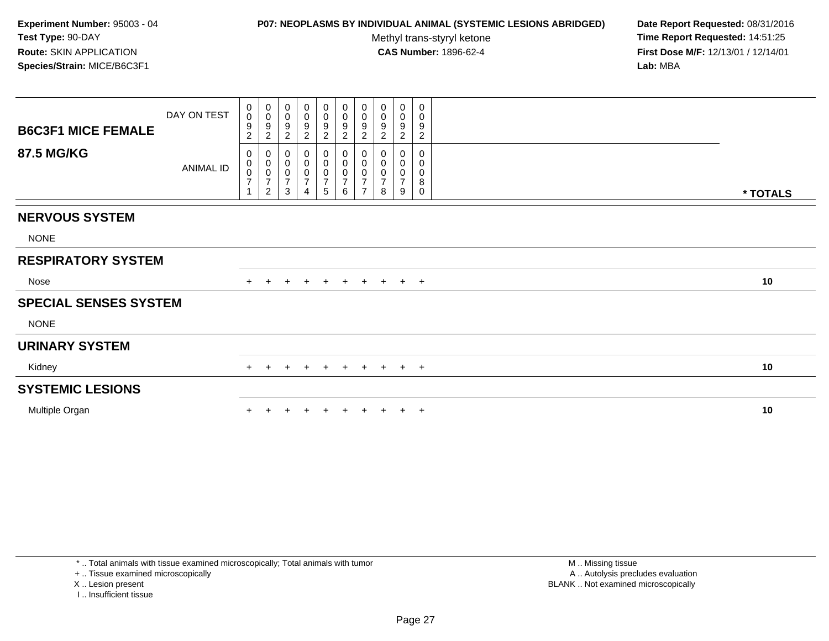## **P07: NEOPLASMS BY INDIVIDUAL ANIMAL (SYSTEMIC LESIONS ABRIDGED) Date Report Requested:** 08/31/2016

Methyl trans-styryl ketone<br>CAS Number: 1896-62-4

 **Time Report Requested:** 14:51:25 **First Dose M/F:** 12/13/01 / 12/14/01<br>**Lab:** MBA **Lab:** MBA

| <b>B6C3F1 MICE FEMALE</b><br><b>87.5 MG/KG</b> | DAY ON TEST<br>ANIMAL ID | 0<br>$\mathbf 0$<br>9<br>$\overline{c}$<br>0<br>$_{\rm 0}^{\rm 0}$<br>$\overline{7}$ | $\mathbf 0$<br>$\,0\,$<br>$\boldsymbol{9}$<br>$\overline{c}$<br>0<br>$\pmb{0}$<br>$\pmb{0}$<br>$\overline{7}$ | 0<br>$\boldsymbol{0}$<br>9<br>$\overline{c}$<br>0<br>$\pmb{0}$<br>$\pmb{0}$<br>$\overline{7}$ | 0<br>$\pmb{0}$<br>$\frac{9}{2}$<br>0<br>$\pmb{0}$<br>$\pmb{0}$<br>$\overline{7}$ | $\begin{array}{c} 0 \\ 0 \\ 9 \\ 2 \end{array}$<br>$\mathbf 0$<br>$\pmb{0}$<br>$\frac{0}{7}$ | $\begin{array}{c} 0 \\ 0 \\ 9 \\ 2 \end{array}$ | $\begin{array}{c} 0 \\ 0 \\ 9 \\ 2 \end{array}$<br>0<br>$\pmb{0}$<br>$\begin{array}{c} 0 \\ 7 \end{array}$ | 0<br>$\pmb{0}$<br>9<br>$\boldsymbol{2}$<br>0<br>0<br>0<br>$\overline{7}$ | $_{\rm 0}^{\rm 0}$<br>$\boldsymbol{9}$<br>$\overline{c}$<br>0<br>0<br>$\overline{7}$ | 0<br>0<br>9<br>$\overline{c}$<br>0<br>0<br>0<br>8 |          |
|------------------------------------------------|--------------------------|--------------------------------------------------------------------------------------|---------------------------------------------------------------------------------------------------------------|-----------------------------------------------------------------------------------------------|----------------------------------------------------------------------------------|----------------------------------------------------------------------------------------------|-------------------------------------------------|------------------------------------------------------------------------------------------------------------|--------------------------------------------------------------------------|--------------------------------------------------------------------------------------|---------------------------------------------------|----------|
|                                                |                          | 1                                                                                    | $\overline{c}$                                                                                                | 3                                                                                             | $\overline{4}$                                                                   | $\sqrt{5}$                                                                                   | $\,6\,$                                         | $\overline{7}$                                                                                             | 8                                                                        | 9                                                                                    | $\Omega$                                          | * TOTALS |
| <b>NERVOUS SYSTEM</b>                          |                          |                                                                                      |                                                                                                               |                                                                                               |                                                                                  |                                                                                              |                                                 |                                                                                                            |                                                                          |                                                                                      |                                                   |          |
| <b>NONE</b>                                    |                          |                                                                                      |                                                                                                               |                                                                                               |                                                                                  |                                                                                              |                                                 |                                                                                                            |                                                                          |                                                                                      |                                                   |          |
| <b>RESPIRATORY SYSTEM</b>                      |                          |                                                                                      |                                                                                                               |                                                                                               |                                                                                  |                                                                                              |                                                 |                                                                                                            |                                                                          |                                                                                      |                                                   |          |
| Nose                                           |                          | $+$                                                                                  | $+$                                                                                                           | $\ddot{}$                                                                                     | $+$                                                                              | $+$                                                                                          | $+$                                             | $+$                                                                                                        | $+$                                                                      |                                                                                      | $+$ $+$                                           | 10       |
| <b>SPECIAL SENSES SYSTEM</b>                   |                          |                                                                                      |                                                                                                               |                                                                                               |                                                                                  |                                                                                              |                                                 |                                                                                                            |                                                                          |                                                                                      |                                                   |          |
| <b>NONE</b>                                    |                          |                                                                                      |                                                                                                               |                                                                                               |                                                                                  |                                                                                              |                                                 |                                                                                                            |                                                                          |                                                                                      |                                                   |          |
| <b>URINARY SYSTEM</b>                          |                          |                                                                                      |                                                                                                               |                                                                                               |                                                                                  |                                                                                              |                                                 |                                                                                                            |                                                                          |                                                                                      |                                                   |          |
| Kidney                                         |                          | $+$                                                                                  | $+$                                                                                                           | $+$                                                                                           | $+$                                                                              | $+$                                                                                          | $+$                                             |                                                                                                            | + + + +                                                                  |                                                                                      |                                                   | 10       |
| <b>SYSTEMIC LESIONS</b>                        |                          |                                                                                      |                                                                                                               |                                                                                               |                                                                                  |                                                                                              |                                                 |                                                                                                            |                                                                          |                                                                                      |                                                   |          |
| Multiple Organ                                 |                          |                                                                                      |                                                                                                               |                                                                                               |                                                                                  |                                                                                              |                                                 |                                                                                                            |                                                                          |                                                                                      | $\pm$                                             | 10       |

\* .. Total animals with tissue examined microscopically; Total animals with tumor

+ .. Tissue examined microscopically

X .. Lesion present

I .. Insufficient tissue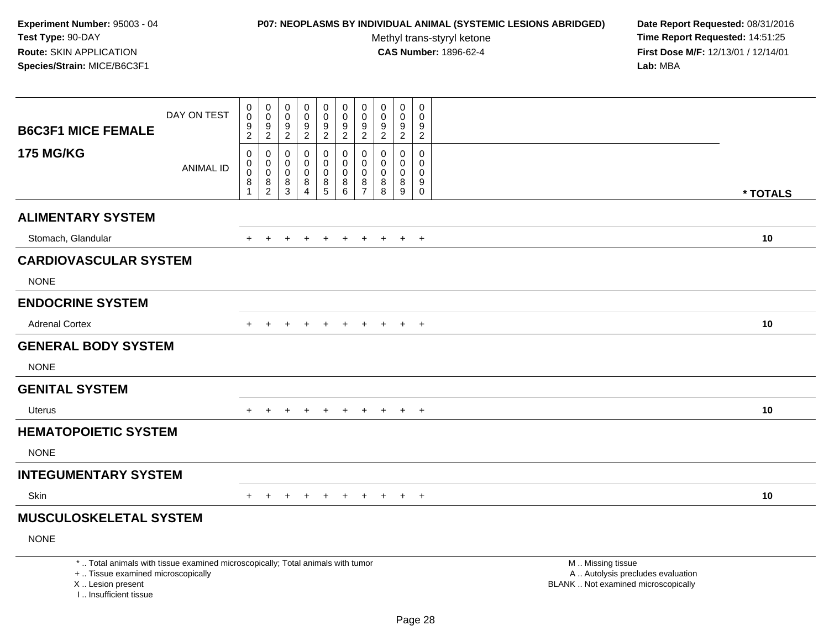## **P07: NEOPLASMS BY INDIVIDUAL ANIMAL (SYSTEMIC LESIONS ABRIDGED) Date Report Requested:** 08/31/2016

Methyl trans-styryl ketone<br>CAS Number: 1896-62-4

| <b>B6C3F1 MICE FEMALE</b>                                                                                                                                           | DAY ON TEST      | $\boldsymbol{0}$<br>$\mathbf 0$<br>9<br>$\overline{2}$    | $\mathbf 0$<br>$\mathsf 0$<br>$\frac{9}{2}$  | $\pmb{0}$<br>$\mathsf 0$<br>$\frac{9}{2}$ | $\mathsf{O}\xspace$<br>$\mathsf{O}\xspace$<br>9<br>$\overline{2}$ | $\pmb{0}$<br>$\ddot{\mathbf{0}}$<br>$\frac{9}{2}$                             | $\pmb{0}$<br>$\mathbf 0$<br>9<br>$\overline{2}$   | $\mathbf 0$<br>$\mathbf 0$<br>$\frac{9}{2}$                    | $\pmb{0}$<br>$\mathbf 0$<br>9<br>$\sqrt{2}$   | $\pmb{0}$<br>$\pmb{0}$<br>9<br>$\overline{2}$ | $\mathsf{O}$<br>$\Omega$<br>9<br>$\overline{c}$            |                                                                                               |          |
|---------------------------------------------------------------------------------------------------------------------------------------------------------------------|------------------|-----------------------------------------------------------|----------------------------------------------|-------------------------------------------|-------------------------------------------------------------------|-------------------------------------------------------------------------------|---------------------------------------------------|----------------------------------------------------------------|-----------------------------------------------|-----------------------------------------------|------------------------------------------------------------|-----------------------------------------------------------------------------------------------|----------|
| <b>175 MG/KG</b>                                                                                                                                                    | <b>ANIMAL ID</b> | $\boldsymbol{0}$<br>0<br>$\mathbf 0$<br>8<br>$\mathbf{1}$ | 0<br>0<br>$\mathbf 0$<br>8<br>$\overline{c}$ | 0<br>0<br>$\mathsf{O}\xspace$<br>8<br>3   | $\mathbf 0$<br>0<br>$\mathbf 0$<br>8<br>4                         | 0<br>$\mathbf 0$<br>$\boldsymbol{0}$<br>$\begin{array}{c} 8 \\ 5 \end{array}$ | $\mathbf 0$<br>$\mathbf 0$<br>$\pmb{0}$<br>8<br>6 | $\mathbf 0$<br>$\mathbf 0$<br>$\pmb{0}$<br>8<br>$\overline{7}$ | $\Omega$<br>$\Omega$<br>$\mathbf 0$<br>8<br>8 | 0<br>0<br>$\mathbf 0$<br>8<br>$\overline{9}$  | $\mathbf 0$<br>$\Omega$<br>$\mathbf 0$<br>9<br>$\mathbf 0$ |                                                                                               | * TOTALS |
| <b>ALIMENTARY SYSTEM</b>                                                                                                                                            |                  |                                                           |                                              |                                           |                                                                   |                                                                               |                                                   |                                                                |                                               |                                               |                                                            |                                                                                               |          |
| Stomach, Glandular                                                                                                                                                  |                  | $+$                                                       | $+$                                          | $+$                                       | $+$                                                               | $+$                                                                           | $+$                                               |                                                                | $+$ $+$ $+$                                   |                                               | $+$                                                        |                                                                                               | 10       |
| <b>CARDIOVASCULAR SYSTEM</b>                                                                                                                                        |                  |                                                           |                                              |                                           |                                                                   |                                                                               |                                                   |                                                                |                                               |                                               |                                                            |                                                                                               |          |
| <b>NONE</b>                                                                                                                                                         |                  |                                                           |                                              |                                           |                                                                   |                                                                               |                                                   |                                                                |                                               |                                               |                                                            |                                                                                               |          |
| <b>ENDOCRINE SYSTEM</b>                                                                                                                                             |                  |                                                           |                                              |                                           |                                                                   |                                                                               |                                                   |                                                                |                                               |                                               |                                                            |                                                                                               |          |
| <b>Adrenal Cortex</b>                                                                                                                                               |                  | $\pm$                                                     |                                              |                                           |                                                                   |                                                                               |                                                   |                                                                |                                               | $\ddot{}$                                     | $+$                                                        |                                                                                               | 10       |
| <b>GENERAL BODY SYSTEM</b>                                                                                                                                          |                  |                                                           |                                              |                                           |                                                                   |                                                                               |                                                   |                                                                |                                               |                                               |                                                            |                                                                                               |          |
| <b>NONE</b>                                                                                                                                                         |                  |                                                           |                                              |                                           |                                                                   |                                                                               |                                                   |                                                                |                                               |                                               |                                                            |                                                                                               |          |
| <b>GENITAL SYSTEM</b>                                                                                                                                               |                  |                                                           |                                              |                                           |                                                                   |                                                                               |                                                   |                                                                |                                               |                                               |                                                            |                                                                                               |          |
| Uterus                                                                                                                                                              |                  |                                                           |                                              |                                           | $\div$                                                            | $\pm$                                                                         | $+$                                               | $+$                                                            | $+$                                           | $+$                                           | $+$                                                        |                                                                                               | 10       |
| <b>HEMATOPOIETIC SYSTEM</b>                                                                                                                                         |                  |                                                           |                                              |                                           |                                                                   |                                                                               |                                                   |                                                                |                                               |                                               |                                                            |                                                                                               |          |
| <b>NONE</b>                                                                                                                                                         |                  |                                                           |                                              |                                           |                                                                   |                                                                               |                                                   |                                                                |                                               |                                               |                                                            |                                                                                               |          |
| <b>INTEGUMENTARY SYSTEM</b>                                                                                                                                         |                  |                                                           |                                              |                                           |                                                                   |                                                                               |                                                   |                                                                |                                               |                                               |                                                            |                                                                                               |          |
| <b>Skin</b>                                                                                                                                                         |                  | $+$                                                       | $+$                                          | $+$                                       | $+$                                                               | $+$                                                                           | $+$                                               | $+$                                                            | $+$                                           | $+$                                           | $+$                                                        |                                                                                               | 10       |
| <b>MUSCULOSKELETAL SYSTEM</b>                                                                                                                                       |                  |                                                           |                                              |                                           |                                                                   |                                                                               |                                                   |                                                                |                                               |                                               |                                                            |                                                                                               |          |
| <b>NONE</b>                                                                                                                                                         |                  |                                                           |                                              |                                           |                                                                   |                                                                               |                                                   |                                                                |                                               |                                               |                                                            |                                                                                               |          |
| *  Total animals with tissue examined microscopically; Total animals with tumor<br>+  Tissue examined microscopically<br>X  Lesion present<br>I Insufficient tissue |                  |                                                           |                                              |                                           |                                                                   |                                                                               |                                                   |                                                                |                                               |                                               |                                                            | M  Missing tissue<br>A  Autolysis precludes evaluation<br>BLANK  Not examined microscopically |          |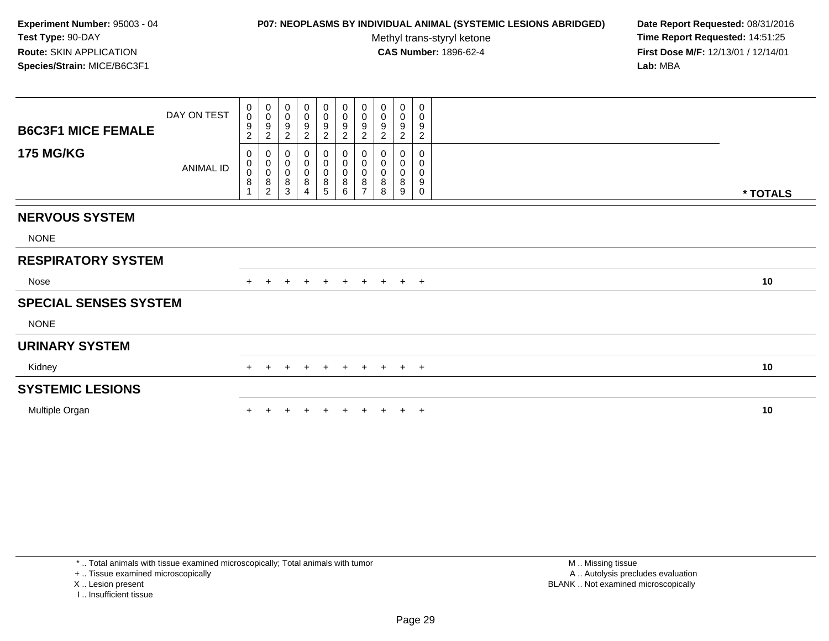### **P07: NEOPLASMS BY INDIVIDUAL ANIMAL (SYSTEMIC LESIONS ABRIDGED) Date Report Requested:** 08/31/2016

Methyl trans-styryl ketone<br>CAS Number: 1896-62-4

| <b>B6C3F1 MICE FEMALE</b><br><b>175 MG/KG</b> | DAY ON TEST<br>ANIMAL ID | 0<br>$\pmb{0}$<br>9<br>$\overline{c}$<br>0<br>$\pmb{0}$<br>$\pmb{0}$<br>8 | $\pmb{0}$<br>$\boldsymbol{0}$<br>$\boldsymbol{9}$<br>$\overline{c}$<br>0<br>$\pmb{0}$<br>$\pmb{0}$<br>$\bf 8$ | 0<br>$\boldsymbol{0}$<br>9<br>$\overline{c}$<br>0<br>$\mathbf 0$<br>$\mathbf 0$<br>8 | 0<br>$\pmb{0}$<br>$\frac{9}{2}$<br>0<br>$\pmb{0}$<br>$\boldsymbol{0}$<br>8 | $\begin{array}{c} 0 \\ 0 \\ 9 \\ 2 \end{array}$<br>0<br>$\pmb{0}$<br>$\pmb{0}$<br>$\bf 8$ | $\begin{array}{c} 0 \\ 0 \\ 9 \\ 2 \end{array}$<br>$\mathbf 0$<br>$\pmb{0}$<br>$\frac{0}{8}$ | $\begin{smallmatrix} 0\\0 \end{smallmatrix}$<br>$\frac{9}{2}$<br>0<br>$\pmb{0}$<br>$\pmb{0}$<br>$\,8\,$ | 0<br>$\pmb{0}$<br>9<br>$\boldsymbol{2}$<br>0<br>0<br>0<br>8 | $_{\rm 0}^{\rm 0}$<br>$\boldsymbol{9}$<br>$\overline{c}$<br>0<br>0<br>8 | 0<br>0<br>9<br>$\overline{c}$<br>0<br>0<br>0<br>9 |          |
|-----------------------------------------------|--------------------------|---------------------------------------------------------------------------|---------------------------------------------------------------------------------------------------------------|--------------------------------------------------------------------------------------|----------------------------------------------------------------------------|-------------------------------------------------------------------------------------------|----------------------------------------------------------------------------------------------|---------------------------------------------------------------------------------------------------------|-------------------------------------------------------------|-------------------------------------------------------------------------|---------------------------------------------------|----------|
|                                               |                          |                                                                           | $\overline{c}$                                                                                                | 3                                                                                    | $\overline{4}$                                                             | $\sqrt{5}$                                                                                | 6                                                                                            | $\overline{ }$                                                                                          | 8                                                           | 9                                                                       | $\Omega$                                          | * TOTALS |
| <b>NERVOUS SYSTEM</b>                         |                          |                                                                           |                                                                                                               |                                                                                      |                                                                            |                                                                                           |                                                                                              |                                                                                                         |                                                             |                                                                         |                                                   |          |
| <b>NONE</b>                                   |                          |                                                                           |                                                                                                               |                                                                                      |                                                                            |                                                                                           |                                                                                              |                                                                                                         |                                                             |                                                                         |                                                   |          |
| <b>RESPIRATORY SYSTEM</b>                     |                          |                                                                           |                                                                                                               |                                                                                      |                                                                            |                                                                                           |                                                                                              |                                                                                                         |                                                             |                                                                         |                                                   |          |
| Nose                                          |                          | $+$                                                                       | $+$                                                                                                           | $\ddot{}$                                                                            | $+$                                                                        | $+$                                                                                       | $+$                                                                                          | $+$                                                                                                     | $+$                                                         |                                                                         | $+$ $+$                                           | 10       |
| <b>SPECIAL SENSES SYSTEM</b>                  |                          |                                                                           |                                                                                                               |                                                                                      |                                                                            |                                                                                           |                                                                                              |                                                                                                         |                                                             |                                                                         |                                                   |          |
| <b>NONE</b>                                   |                          |                                                                           |                                                                                                               |                                                                                      |                                                                            |                                                                                           |                                                                                              |                                                                                                         |                                                             |                                                                         |                                                   |          |
| <b>URINARY SYSTEM</b>                         |                          |                                                                           |                                                                                                               |                                                                                      |                                                                            |                                                                                           |                                                                                              |                                                                                                         |                                                             |                                                                         |                                                   |          |
| Kidney                                        |                          | $+$                                                                       | $+$                                                                                                           | $+$                                                                                  | $+$                                                                        | $+$                                                                                       | $+$                                                                                          |                                                                                                         | + + + +                                                     |                                                                         |                                                   | 10       |
| <b>SYSTEMIC LESIONS</b>                       |                          |                                                                           |                                                                                                               |                                                                                      |                                                                            |                                                                                           |                                                                                              |                                                                                                         |                                                             |                                                                         |                                                   |          |
| Multiple Organ                                |                          |                                                                           |                                                                                                               |                                                                                      |                                                                            |                                                                                           |                                                                                              |                                                                                                         |                                                             |                                                                         | $\pm$                                             | 10       |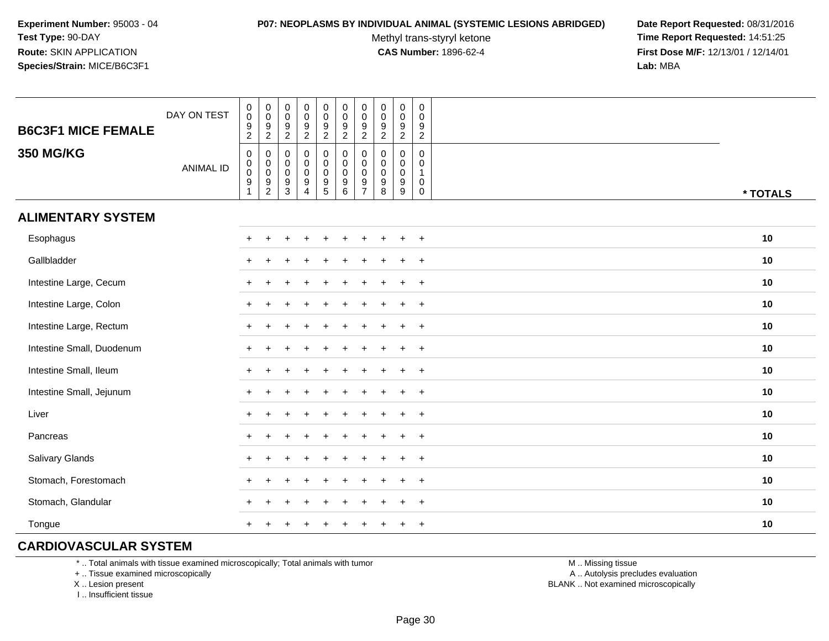#### **P07: NEOPLASMS BY INDIVIDUAL ANIMAL (SYSTEMIC LESIONS ABRIDGED) Date Report Requested:** 08/31/2016

Methyl trans-styryl ketone<br>CAS Number: 1896-62-4

 **Time Report Requested:** 14:51:25 **First Dose M/F:** 12/13/01 / 12/14/01<br>**Lab:** MBA **Lab:** MBA

| <b>B6C3F1 MICE FEMALE</b> | DAY ON TEST      | $\pmb{0}$<br>$\pmb{0}$<br>$\frac{9}{2}$                             | 0<br>$\mathbf 0$<br>$\frac{9}{2}$                                                       | $\pmb{0}$<br>$\mathsf{O}\xspace$<br>$\frac{9}{2}$                  | $\pmb{0}$<br>$\frac{0}{9}$                                     | $\pmb{0}$<br>$\pmb{0}$<br>$\frac{9}{2}$                          | $\pmb{0}$<br>$\mathbf 0$<br>$\frac{9}{2}$                        | 0<br>$\pmb{0}$<br>9<br>$\overline{c}$                  | $\pmb{0}$<br>$\mathbf 0$<br>$\boldsymbol{9}$<br>$\overline{c}$ | $\pmb{0}$<br>$\pmb{0}$<br>$\frac{9}{2}$                | $\mathbf 0$<br>$\mathbf 0$<br>$\frac{9}{2}$                    |          |
|---------------------------|------------------|---------------------------------------------------------------------|-----------------------------------------------------------------------------------------|--------------------------------------------------------------------|----------------------------------------------------------------|------------------------------------------------------------------|------------------------------------------------------------------|--------------------------------------------------------|----------------------------------------------------------------|--------------------------------------------------------|----------------------------------------------------------------|----------|
| <b>350 MG/KG</b>          | <b>ANIMAL ID</b> | $\boldsymbol{0}$<br>$\pmb{0}$<br>$\pmb{0}$<br>$\boldsymbol{9}$<br>1 | 0<br>$\begin{smallmatrix} 0\\0 \end{smallmatrix}$<br>$\boldsymbol{9}$<br>$\overline{2}$ | $\mathbf 0$<br>$\mathbf 0$<br>$\mathsf{O}\xspace$<br>$\frac{9}{3}$ | $\mathbf 0$<br>$\pmb{0}$<br>$\pmb{0}$<br>$\boldsymbol{9}$<br>4 | $\mathbf 0$<br>$\mathsf{O}\xspace$<br>$\pmb{0}$<br>$\frac{9}{5}$ | $\pmb{0}$<br>$\mathbf 0$<br>$\mathbf 0$<br>$\boldsymbol{9}$<br>6 | $\mathbf 0$<br>0<br>$\mathbf 0$<br>9<br>$\overline{7}$ | $\mathbf 0$<br>0<br>$\mathbf 0$<br>$\boldsymbol{9}$<br>8       | $\mathbf 0$<br>0<br>$\pmb{0}$<br>$\boldsymbol{9}$<br>9 | 0<br>$\mathbf 0$<br>$\mathbf{1}$<br>$\mathbf 0$<br>$\mathbf 0$ | * TOTALS |
| <b>ALIMENTARY SYSTEM</b>  |                  |                                                                     |                                                                                         |                                                                    |                                                                |                                                                  |                                                                  |                                                        |                                                                |                                                        |                                                                |          |
| Esophagus                 |                  | $+$                                                                 | ÷                                                                                       |                                                                    |                                                                |                                                                  |                                                                  |                                                        |                                                                | $\ddot{}$                                              | $+$                                                            | 10       |
| Gallbladder               |                  | $\pm$                                                               |                                                                                         |                                                                    |                                                                |                                                                  |                                                                  |                                                        |                                                                | $\div$                                                 | $^{+}$                                                         | 10       |
| Intestine Large, Cecum    |                  |                                                                     |                                                                                         |                                                                    |                                                                |                                                                  |                                                                  |                                                        |                                                                |                                                        | $\overline{+}$                                                 | 10       |
| Intestine Large, Colon    |                  |                                                                     |                                                                                         |                                                                    |                                                                |                                                                  |                                                                  |                                                        |                                                                |                                                        | $\overline{+}$                                                 | 10       |
| Intestine Large, Rectum   |                  |                                                                     |                                                                                         |                                                                    |                                                                |                                                                  |                                                                  |                                                        |                                                                |                                                        | $\ddot{}$                                                      | 10       |
| Intestine Small, Duodenum |                  |                                                                     |                                                                                         |                                                                    |                                                                |                                                                  |                                                                  |                                                        |                                                                |                                                        | $\ddot{}$                                                      | 10       |
| Intestine Small, Ileum    |                  |                                                                     |                                                                                         |                                                                    |                                                                |                                                                  |                                                                  |                                                        |                                                                | $\ddot{}$                                              | $+$                                                            | 10       |
| Intestine Small, Jejunum  |                  |                                                                     |                                                                                         |                                                                    |                                                                |                                                                  |                                                                  |                                                        |                                                                | $\div$                                                 | $\ddot{}$                                                      | 10       |
| Liver                     |                  | $+$                                                                 |                                                                                         |                                                                    |                                                                |                                                                  |                                                                  |                                                        |                                                                | $\div$                                                 | $+$                                                            | 10       |
| Pancreas                  |                  | $+$                                                                 |                                                                                         |                                                                    |                                                                |                                                                  |                                                                  |                                                        |                                                                | $\ddot{}$                                              | $^{+}$                                                         | 10       |
| Salivary Glands           |                  |                                                                     |                                                                                         |                                                                    |                                                                |                                                                  |                                                                  |                                                        |                                                                | $\div$                                                 | $+$                                                            | 10       |
| Stomach, Forestomach      |                  |                                                                     |                                                                                         |                                                                    |                                                                |                                                                  |                                                                  |                                                        |                                                                |                                                        | $+$                                                            | 10       |
| Stomach, Glandular        |                  |                                                                     |                                                                                         |                                                                    |                                                                |                                                                  |                                                                  |                                                        |                                                                |                                                        | $\ddot{}$                                                      | 10       |
| Tongue                    |                  |                                                                     |                                                                                         |                                                                    |                                                                |                                                                  |                                                                  |                                                        |                                                                |                                                        | $\overline{+}$                                                 | 10       |

# **CARDIOVASCULAR SYSTEM**

\* .. Total animals with tissue examined microscopically; Total animals with tumor

+ .. Tissue examined microscopically

X .. Lesion present

I .. Insufficient tissue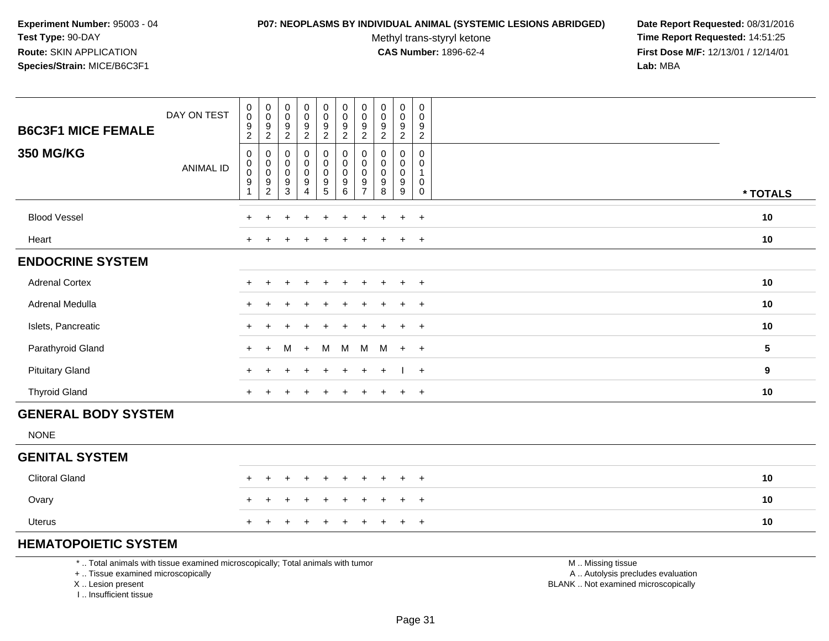#### **P07: NEOPLASMS BY INDIVIDUAL ANIMAL (SYSTEMIC LESIONS ABRIDGED) Date Report Requested:** 08/31/2016

Methyl trans-styryl ketone<br>CAS Number: 1896-62-4

 **Time Report Requested:** 14:51:25 **First Dose M/F:** 12/13/01 / 12/14/01<br>**Lab:** MBA **Lab:** MBA

| <b>B6C3F1 MICE FEMALE</b>  | DAY ON TEST      | $\begin{smallmatrix} 0\\0 \end{smallmatrix}$<br>$\frac{9}{2}$         | $\begin{smallmatrix} 0\\0 \end{smallmatrix}$<br>$\frac{9}{2}$ | $\pmb{0}$<br>$\mathbf 0$<br>$\boldsymbol{9}$<br>$\overline{2}$ | $\pmb{0}$<br>$\pmb{0}$<br>$\frac{9}{2}$                             | $\mathbf 0$<br>$\pmb{0}$<br>$\frac{9}{2}$                                           | $\pmb{0}$<br>$\mathbf 0$<br>$\frac{9}{2}$                                           | $\mathbf 0$<br>0<br>9<br>$\overline{2}$ | $\pmb{0}$<br>$\mathbf 0$<br>$\frac{9}{2}$                      | $\pmb{0}$<br>0<br>$\frac{9}{2}$                                         | $\mathbf 0$<br>$\mathbf 0$<br>9<br>$\overline{2}$              |                  |
|----------------------------|------------------|-----------------------------------------------------------------------|---------------------------------------------------------------|----------------------------------------------------------------|---------------------------------------------------------------------|-------------------------------------------------------------------------------------|-------------------------------------------------------------------------------------|-----------------------------------------|----------------------------------------------------------------|-------------------------------------------------------------------------|----------------------------------------------------------------|------------------|
| <b>350 MG/KG</b>           | <b>ANIMAL ID</b> | $\mathbf 0$<br>$_{\rm 0}^{\rm 0}$<br>$\boldsymbol{9}$<br>$\mathbf{1}$ | $\mathbf 0$<br>$_{\rm 0}^{\rm 0}$<br>$\frac{9}{2}$            | 0<br>$\mathbf 0$<br>$\mathbf 0$<br>9<br>$\mathbf{3}$           | 0<br>$\mathbf 0$<br>$\pmb{0}$<br>$\boldsymbol{9}$<br>$\overline{4}$ | $\pmb{0}$<br>$\ddot{\mathbf{0}}$<br>$\pmb{0}$<br>$\boldsymbol{9}$<br>$\overline{5}$ | $\boldsymbol{0}$<br>$\pmb{0}$<br>$\mathsf{O}\xspace$<br>$\boldsymbol{9}$<br>$\,6\,$ | 0<br>0<br>0<br>9<br>$\overline{7}$      | $\mathbf 0$<br>$\pmb{0}$<br>$\pmb{0}$<br>$\boldsymbol{9}$<br>8 | 0<br>$\mathbf 0$<br>$\mathbf 0$<br>$\boldsymbol{9}$<br>$\boldsymbol{9}$ | $\mathbf 0$<br>$\mathbf 0$<br>$\mathbf{1}$<br>0<br>$\mathbf 0$ | * TOTALS         |
| <b>Blood Vessel</b>        |                  | $+$                                                                   | +                                                             | $\ddot{}$                                                      | $\ddot{}$                                                           | $\ddot{}$                                                                           | $\ddot{}$                                                                           | $+$                                     | $\mathbf +$                                                    | $\ddot{}$                                                               | $+$                                                            | 10               |
| Heart                      |                  | $\pm$                                                                 |                                                               |                                                                |                                                                     |                                                                                     |                                                                                     |                                         |                                                                | $\ddot{}$                                                               | $+$                                                            | 10               |
| <b>ENDOCRINE SYSTEM</b>    |                  |                                                                       |                                                               |                                                                |                                                                     |                                                                                     |                                                                                     |                                         |                                                                |                                                                         |                                                                |                  |
| <b>Adrenal Cortex</b>      |                  | $\pm$                                                                 |                                                               |                                                                |                                                                     |                                                                                     | ÷                                                                                   |                                         |                                                                | $\ddot{}$                                                               | $+$                                                            | 10               |
| Adrenal Medulla            |                  | $\pm$                                                                 |                                                               |                                                                |                                                                     |                                                                                     |                                                                                     |                                         |                                                                | $\ddot{}$                                                               | $\overline{+}$                                                 | 10               |
| Islets, Pancreatic         |                  | $\ddot{}$                                                             |                                                               |                                                                |                                                                     |                                                                                     |                                                                                     |                                         |                                                                | ÷.                                                                      | $\ddot{}$                                                      | 10               |
| Parathyroid Gland          |                  | $+$                                                                   | $+$                                                           | м                                                              | $+$                                                                 | M                                                                                   | M                                                                                   | M                                       | M                                                              | $+$                                                                     | $+$                                                            | $\sqrt{5}$       |
| <b>Pituitary Gland</b>     |                  | $\pm$                                                                 |                                                               |                                                                |                                                                     |                                                                                     | $\ddot{}$                                                                           | $+$                                     | $+$                                                            | $\perp$                                                                 | $+$                                                            | $\boldsymbol{9}$ |
| <b>Thyroid Gland</b>       |                  | $+$                                                                   |                                                               |                                                                | $+$                                                                 |                                                                                     | $+$                                                                                 | $+$                                     |                                                                | $+$                                                                     | $+$                                                            | 10               |
| <b>GENERAL BODY SYSTEM</b> |                  |                                                                       |                                                               |                                                                |                                                                     |                                                                                     |                                                                                     |                                         |                                                                |                                                                         |                                                                |                  |
| <b>NONE</b>                |                  |                                                                       |                                                               |                                                                |                                                                     |                                                                                     |                                                                                     |                                         |                                                                |                                                                         |                                                                |                  |
| <b>GENITAL SYSTEM</b>      |                  |                                                                       |                                                               |                                                                |                                                                     |                                                                                     |                                                                                     |                                         |                                                                |                                                                         |                                                                |                  |
| <b>Clitoral Gland</b>      |                  | $+$                                                                   | $+$                                                           | $\ddot{}$                                                      | $\ddot{}$                                                           | $\ddot{}$                                                                           | $\ddot{}$                                                                           | $\ddot{}$                               | $\ddot{}$                                                      | $+$                                                                     | $+$                                                            | 10               |
| Ovary                      |                  | $\pm$                                                                 |                                                               |                                                                | $\ddot{}$                                                           |                                                                                     | $\ddot{}$                                                                           | $\pm$                                   |                                                                | $+$                                                                     | $+$                                                            | 10               |
| <b>Uterus</b>              |                  | $\ddot{}$                                                             |                                                               |                                                                |                                                                     |                                                                                     |                                                                                     |                                         |                                                                | $\ddot{}$                                                               | $+$                                                            | 10               |

# **HEMATOPOIETIC SYSTEM**

\* .. Total animals with tissue examined microscopically; Total animals with tumor

+ .. Tissue examined microscopically

X .. Lesion present

I .. Insufficient tissue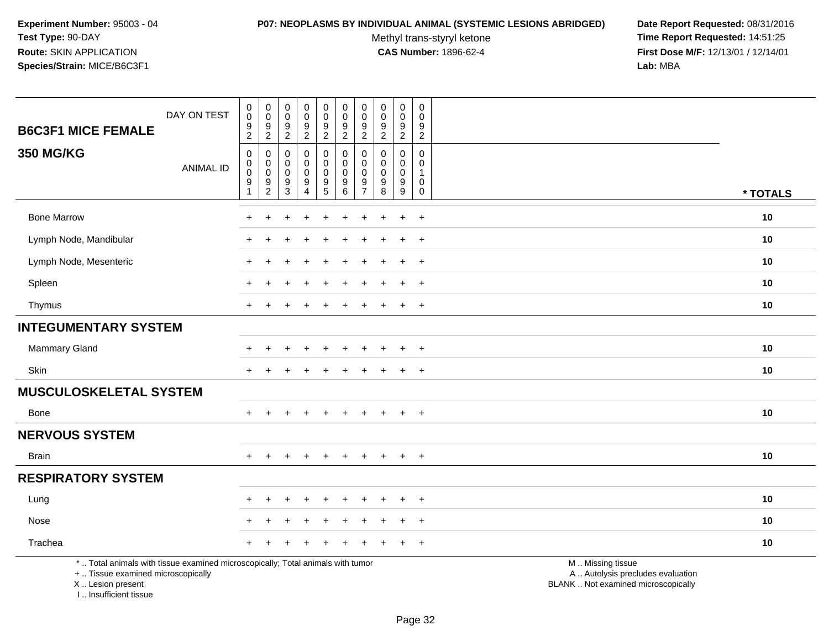I .. Insufficient tissue

#### **P07: NEOPLASMS BY INDIVIDUAL ANIMAL (SYSTEMIC LESIONS ABRIDGED) Date Report Requested:** 08/31/2016

Methyl trans-styryl ketone<br>CAS Number: 1896-62-4

| <b>B6C3F1 MICE FEMALE</b>                                                                                                                  | DAY ON TEST      | $\mathbf 0$<br>$\pmb{0}$<br>$\boldsymbol{9}$<br>$\overline{2}$                  | $\pmb{0}$<br>$\mathbf 0$<br>$\boldsymbol{9}$<br>$\sqrt{2}$ | $\pmb{0}$<br>$\pmb{0}$<br>$\boldsymbol{9}$<br>$\overline{c}$ | $\pmb{0}$<br>$\pmb{0}$<br>9<br>$\overline{a}$ | $\pmb{0}$<br>$\mathsf{O}\xspace$<br>$\frac{9}{2}$                        | $\pmb{0}$<br>$\pmb{0}$<br>$9\,$<br>$\overline{2}$                                  | $\pmb{0}$<br>$\mathbf 0$<br>9<br>$\overline{c}$  | 0<br>$\mathbf 0$<br>9<br>$\overline{2}$                    | $\pmb{0}$<br>$\pmb{0}$<br>$\boldsymbol{9}$<br>$\overline{2}$ | $\mathbf 0$<br>$\mathbf 0$<br>9<br>$\overline{2}$                     |                                                                                               |          |
|--------------------------------------------------------------------------------------------------------------------------------------------|------------------|---------------------------------------------------------------------------------|------------------------------------------------------------|--------------------------------------------------------------|-----------------------------------------------|--------------------------------------------------------------------------|------------------------------------------------------------------------------------|--------------------------------------------------|------------------------------------------------------------|--------------------------------------------------------------|-----------------------------------------------------------------------|-----------------------------------------------------------------------------------------------|----------|
| <b>350 MG/KG</b>                                                                                                                           | <b>ANIMAL ID</b> | $\mathbf 0$<br>$\mathbf 0$<br>$\mathbf 0$<br>$\boldsymbol{9}$<br>$\overline{1}$ | $\mathbf 0$<br>$\pmb{0}$<br>$\mathbf 0$<br>$\frac{9}{2}$   | $\mathbf 0$<br>0<br>$\mathbf 0$<br>$\frac{9}{3}$             | 0<br>0<br>0<br>9<br>$\overline{4}$            | 0<br>$\mathbf 0$<br>$\mathbf 0$<br>$\begin{array}{c} 9 \\ 5 \end{array}$ | $\mathbf 0$<br>$\mathbf 0$<br>$\mathbf 0$<br>$\begin{array}{c} 9 \\ 6 \end{array}$ | $\Omega$<br>0<br>$\Omega$<br>9<br>$\overline{7}$ | $\Omega$<br>$\Omega$<br>$\mathbf 0$<br>9<br>$\overline{8}$ | 0<br>0<br>$\mathbf 0$<br>$^9_9$                              | $\mathbf 0$<br>$\mathbf 0$<br>1<br>$\mathbf 0$<br>$\mathsf{O}\xspace$ |                                                                                               | * TOTALS |
| <b>Bone Marrow</b>                                                                                                                         |                  |                                                                                 |                                                            |                                                              |                                               |                                                                          |                                                                                    |                                                  |                                                            | $\div$                                                       | $\overline{+}$                                                        |                                                                                               | 10       |
| Lymph Node, Mandibular                                                                                                                     |                  |                                                                                 |                                                            |                                                              |                                               |                                                                          |                                                                                    |                                                  |                                                            | $\ddot{}$                                                    | $+$                                                                   |                                                                                               | 10       |
| Lymph Node, Mesenteric                                                                                                                     |                  |                                                                                 |                                                            |                                                              |                                               |                                                                          |                                                                                    |                                                  |                                                            | $\ddot{}$                                                    | $+$                                                                   |                                                                                               | 10       |
| Spleen                                                                                                                                     |                  |                                                                                 |                                                            |                                                              |                                               |                                                                          |                                                                                    |                                                  |                                                            | $\ddot{}$                                                    | $\ddot{}$                                                             |                                                                                               | 10       |
| Thymus                                                                                                                                     |                  | $+$                                                                             |                                                            |                                                              |                                               |                                                                          |                                                                                    |                                                  |                                                            | $\ddot{+}$                                                   | $+$                                                                   |                                                                                               | 10       |
| <b>INTEGUMENTARY SYSTEM</b>                                                                                                                |                  |                                                                                 |                                                            |                                                              |                                               |                                                                          |                                                                                    |                                                  |                                                            |                                                              |                                                                       |                                                                                               |          |
| Mammary Gland                                                                                                                              |                  |                                                                                 |                                                            |                                                              |                                               |                                                                          |                                                                                    |                                                  |                                                            |                                                              | $\ddot{}$                                                             |                                                                                               | 10       |
| Skin                                                                                                                                       |                  |                                                                                 |                                                            |                                                              |                                               | ÷                                                                        |                                                                                    |                                                  |                                                            | $\pm$                                                        | $+$                                                                   |                                                                                               | 10       |
| <b>MUSCULOSKELETAL SYSTEM</b>                                                                                                              |                  |                                                                                 |                                                            |                                                              |                                               |                                                                          |                                                                                    |                                                  |                                                            |                                                              |                                                                       |                                                                                               |          |
| <b>Bone</b>                                                                                                                                |                  |                                                                                 |                                                            |                                                              |                                               | $\ddot{}$                                                                | $\ddot{}$                                                                          | $\pm$                                            | $\ddot{}$                                                  | $\ddot{}$                                                    | $+$                                                                   |                                                                                               | 10       |
| <b>NERVOUS SYSTEM</b>                                                                                                                      |                  |                                                                                 |                                                            |                                                              |                                               |                                                                          |                                                                                    |                                                  |                                                            |                                                              |                                                                       |                                                                                               |          |
| <b>Brain</b>                                                                                                                               |                  | $+$                                                                             | $+$                                                        | $\ddot{}$                                                    | $+$                                           | $+$                                                                      | $+$                                                                                | $+$                                              | $+$                                                        | $+$                                                          | $+$                                                                   |                                                                                               | 10       |
| <b>RESPIRATORY SYSTEM</b>                                                                                                                  |                  |                                                                                 |                                                            |                                                              |                                               |                                                                          |                                                                                    |                                                  |                                                            |                                                              |                                                                       |                                                                                               |          |
| Lung                                                                                                                                       |                  |                                                                                 |                                                            |                                                              |                                               |                                                                          |                                                                                    |                                                  |                                                            |                                                              | $\ddot{}$                                                             |                                                                                               | 10       |
| Nose                                                                                                                                       |                  |                                                                                 |                                                            |                                                              |                                               |                                                                          |                                                                                    |                                                  |                                                            |                                                              | $\ddot{}$                                                             |                                                                                               | 10       |
| Trachea                                                                                                                                    |                  |                                                                                 |                                                            |                                                              |                                               |                                                                          |                                                                                    |                                                  |                                                            |                                                              | $\ddot{}$                                                             |                                                                                               | 10       |
| *  Total animals with tissue examined microscopically; Total animals with tumor<br>+  Tissue examined microscopically<br>X  Lesion present |                  |                                                                                 |                                                            |                                                              |                                               |                                                                          |                                                                                    |                                                  |                                                            |                                                              |                                                                       | M  Missing tissue<br>A  Autolysis precludes evaluation<br>BLANK  Not examined microscopically |          |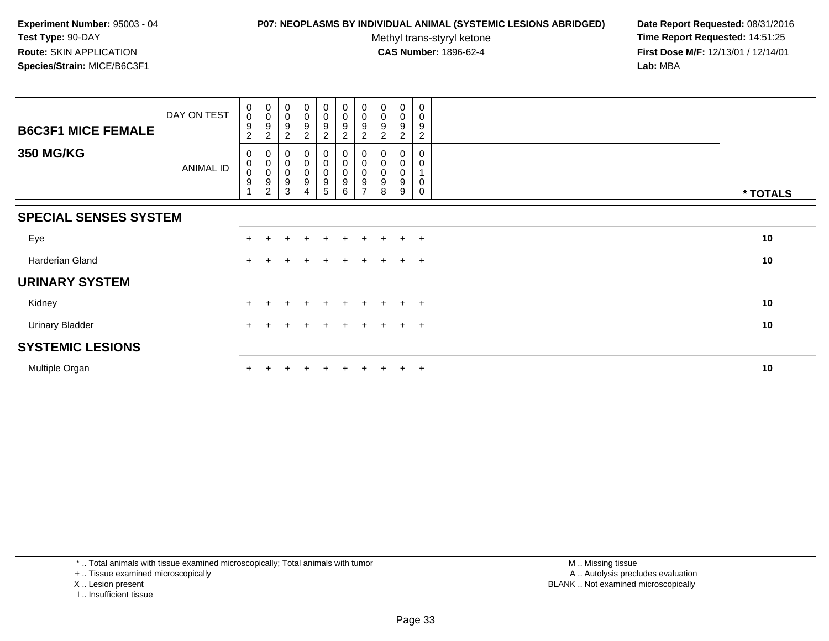### **P07: NEOPLASMS BY INDIVIDUAL ANIMAL (SYSTEMIC LESIONS ABRIDGED) Date Report Requested:** 08/31/2016

Methyl trans-styryl ketone<br>CAS Number: 1896-62-4

 **Time Report Requested:** 14:51:25 **First Dose M/F:** 12/13/01 / 12/14/01<br>**Lab:** MBA **Lab:** MBA

|                              | DAY ON TEST      | $\boldsymbol{0}$<br>$\pmb{0}$ | $_{\rm 0}^{\rm 0}$                                            | $_{\rm 0}^{\rm 0}$                                        | $\begin{smallmatrix}0\0\0\end{smallmatrix}$ | $\mathbf 0$<br>$\mathbf 0$ | $_{\rm 0}^{\rm 0}$       | $\begin{smallmatrix} 0\\0 \end{smallmatrix}$ | $_{\rm 0}^{\rm 0}$  | $\begin{smallmatrix} 0\\0 \end{smallmatrix}$ | 0<br>$\mathbf 0$ |          |
|------------------------------|------------------|-------------------------------|---------------------------------------------------------------|-----------------------------------------------------------|---------------------------------------------|----------------------------|--------------------------|----------------------------------------------|---------------------|----------------------------------------------|------------------|----------|
| <b>B6C3F1 MICE FEMALE</b>    |                  | 9<br>2                        | 9<br>$\overline{2}$                                           | 9<br>$\overline{2}$                                       | 9<br>$\boldsymbol{2}$                       | 9<br>$\overline{2}$        | 9<br>$\overline{c}$      | 9<br>2                                       | 9<br>$\overline{2}$ | 9<br>$\overline{2}$                          | 9<br>2           |          |
| <b>350 MG/KG</b>             | <b>ANIMAL ID</b> | 0<br>0<br>$\pmb{0}$<br>9      | 0<br>$_{\rm 0}^{\rm 0}$<br>$\boldsymbol{9}$<br>$\overline{c}$ | 0<br>$\begin{smallmatrix}0\\0\end{smallmatrix}$<br>9<br>3 | 0<br>$_0^0$<br>$\boldsymbol{9}$<br>4        | 0<br>$\mathbf 0$<br>9<br>5 | 0<br>$\pmb{0}$<br>9<br>6 | 9                                            | 0<br>0<br>9<br>8    | 0<br>$\mathbf 0$<br>$\pmb{0}$<br>9<br>9      | 0<br>0<br>0<br>0 | * TOTALS |
| <b>SPECIAL SENSES SYSTEM</b> |                  |                               |                                                               |                                                           |                                             |                            |                          |                                              |                     |                                              |                  |          |
| Eye                          |                  | $+$                           |                                                               |                                                           | $+$                                         | $\pm$                      |                          | $+$                                          | $\pm$               | $\pm$                                        | $+$              | 10       |
| Harderian Gland              |                  | $+$                           |                                                               |                                                           | $\pm$                                       | $\pm$                      |                          | $+$                                          | $\pm$               | $+$                                          | $+$              | 10       |
| <b>URINARY SYSTEM</b>        |                  |                               |                                                               |                                                           |                                             |                            |                          |                                              |                     |                                              |                  |          |
| Kidney                       |                  |                               |                                                               |                                                           |                                             |                            |                          |                                              | $\pm$               | $+$                                          | $+$              | 10       |
| <b>Urinary Bladder</b>       |                  | $+$                           |                                                               | $\pm$                                                     | $+$                                         | $+$                        | $+$                      | $+$                                          | $+$                 | $+$ $+$                                      |                  | 10       |
| <b>SYSTEMIC LESIONS</b>      |                  |                               |                                                               |                                                           |                                             |                            |                          |                                              |                     |                                              |                  |          |
| Multiple Organ               |                  |                               |                                                               |                                                           | $\div$                                      |                            |                          |                                              | $\pm$               | $+$                                          | $+$              | 10       |

\* .. Total animals with tissue examined microscopically; Total animals with tumor

+ .. Tissue examined microscopically

- X .. Lesion present
- I .. Insufficient tissue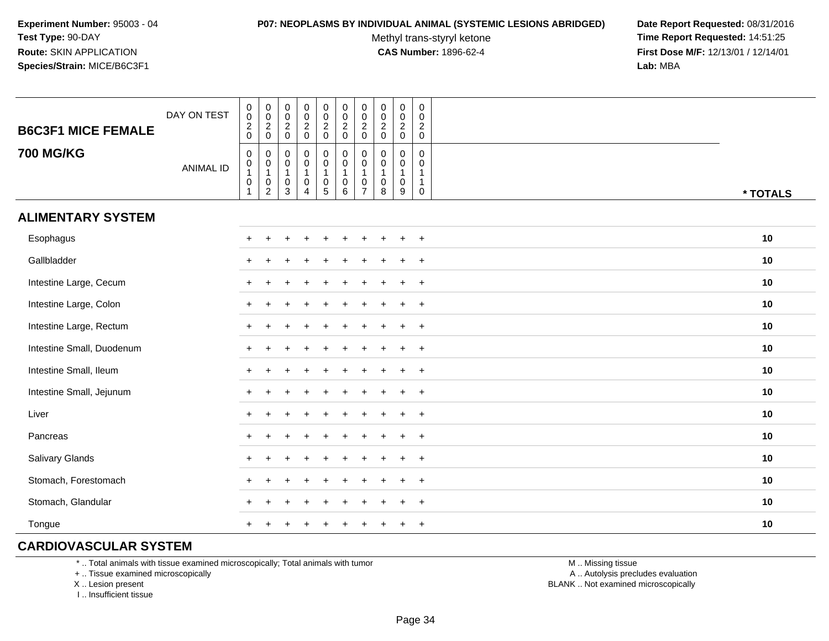#### **P07: NEOPLASMS BY INDIVIDUAL ANIMAL (SYSTEMIC LESIONS ABRIDGED) Date Report Requested:** 08/31/2016

Methyl trans-styryl ketone<br>CAS Number: 1896-62-4

 **Time Report Requested:** 14:51:25 **First Dose M/F:** 12/13/01 / 12/14/01<br>**Lab:** MBA **Lab:** MBA

| <b>B6C3F1 MICE FEMALE</b> | DAY ON TEST      | $\boldsymbol{0}$<br>$\pmb{0}$<br>$\frac{2}{0}$                                  | 0<br>$\mathsf{O}\xspace$<br>$\frac{2}{0}$                               | $\pmb{0}$<br>$\mathsf{O}\xspace$<br>$\frac{2}{0}$                      | $\pmb{0}$<br>$\frac{0}{2}$                                      | $\pmb{0}$<br>$\frac{0}{2}$                                                                  | $\mathbf 0$<br>$\mathbf 0$<br>$\frac{2}{0}$        | 0<br>$\pmb{0}$<br>$\overline{c}$<br>$\mathbf 0$   | $\pmb{0}$<br>$\mathbf 0$<br>$\overline{2}$<br>$\pmb{0}$ | $\pmb{0}$<br>$_{2}^{\rm 0}$<br>$\mathsf 0$       | $\mathbf 0$<br>$\mathbf 0$<br>$\frac{2}{0}$                     |          |
|---------------------------|------------------|---------------------------------------------------------------------------------|-------------------------------------------------------------------------|------------------------------------------------------------------------|-----------------------------------------------------------------|---------------------------------------------------------------------------------------------|----------------------------------------------------|---------------------------------------------------|---------------------------------------------------------|--------------------------------------------------|-----------------------------------------------------------------|----------|
| <b>700 MG/KG</b>          | <b>ANIMAL ID</b> | $\pmb{0}$<br>$\begin{array}{c} 0 \\ 1 \end{array}$<br>$\pmb{0}$<br>$\mathbf{1}$ | $\mathbf 0$<br>$\pmb{0}$<br>$\mathbf{1}$<br>$\pmb{0}$<br>$\overline{2}$ | $\mathbf 0$<br>$\mathbf 0$<br>$\mathbf{1}$<br>$\mathsf{O}\xspace$<br>3 | 0<br>$\mathbf 0$<br>$\mathbf{1}$<br>$\pmb{0}$<br>$\overline{4}$ | $\mathbf 0$<br>$\ddot{\mathbf{0}}$<br>$\mathbf{1}$<br>$\begin{array}{c} 0 \\ 5 \end{array}$ | $\pmb{0}$<br>$\overline{0}$<br>1<br>$\pmb{0}$<br>6 | $\mathbf 0$<br>0<br>$\mathbf 0$<br>$\overline{7}$ | $\mathbf 0$<br>0<br>$\mathbf{1}$<br>0<br>8              | 0<br>$\pmb{0}$<br>$\mathbf{1}$<br>$\pmb{0}$<br>9 | 0<br>$\mathbf 0$<br>$\mathbf{1}$<br>$\mathbf{1}$<br>$\mathbf 0$ | * TOTALS |
| <b>ALIMENTARY SYSTEM</b>  |                  |                                                                                 |                                                                         |                                                                        |                                                                 |                                                                                             |                                                    |                                                   |                                                         |                                                  |                                                                 |          |
| Esophagus                 |                  | $+$                                                                             |                                                                         |                                                                        |                                                                 |                                                                                             |                                                    |                                                   |                                                         |                                                  | $+$                                                             | 10       |
| Gallbladder               |                  |                                                                                 |                                                                         |                                                                        |                                                                 |                                                                                             |                                                    |                                                   |                                                         |                                                  | $^{+}$                                                          | 10       |
| Intestine Large, Cecum    |                  |                                                                                 |                                                                         |                                                                        |                                                                 |                                                                                             |                                                    |                                                   |                                                         |                                                  | $\overline{+}$                                                  | 10       |
| Intestine Large, Colon    |                  |                                                                                 |                                                                         |                                                                        |                                                                 |                                                                                             |                                                    |                                                   |                                                         | ÷                                                | $\ddot{}$                                                       | 10       |
| Intestine Large, Rectum   |                  |                                                                                 |                                                                         |                                                                        |                                                                 |                                                                                             |                                                    |                                                   |                                                         | $\div$                                           | $+$                                                             | 10       |
| Intestine Small, Duodenum |                  |                                                                                 |                                                                         |                                                                        |                                                                 |                                                                                             |                                                    |                                                   |                                                         | $\ddot{}$                                        | $+$                                                             | 10       |
| Intestine Small, Ileum    |                  |                                                                                 |                                                                         |                                                                        |                                                                 |                                                                                             |                                                    |                                                   |                                                         | $\pm$                                            | $+$                                                             | 10       |
| Intestine Small, Jejunum  |                  |                                                                                 |                                                                         |                                                                        |                                                                 |                                                                                             |                                                    |                                                   |                                                         | $\ddot{}$                                        | $+$                                                             | 10       |
| Liver                     |                  | $+$                                                                             |                                                                         |                                                                        |                                                                 |                                                                                             |                                                    |                                                   |                                                         | ÷                                                | $+$                                                             | 10       |
| Pancreas                  |                  | $\pm$                                                                           |                                                                         |                                                                        |                                                                 |                                                                                             |                                                    |                                                   |                                                         | $\ddot{}$                                        | $+$                                                             | 10       |
| Salivary Glands           |                  |                                                                                 |                                                                         |                                                                        |                                                                 |                                                                                             |                                                    |                                                   |                                                         | $\div$                                           | $+$                                                             | 10       |
| Stomach, Forestomach      |                  |                                                                                 |                                                                         |                                                                        |                                                                 |                                                                                             |                                                    |                                                   |                                                         |                                                  | $+$                                                             | 10       |
| Stomach, Glandular        |                  |                                                                                 |                                                                         |                                                                        |                                                                 |                                                                                             |                                                    |                                                   |                                                         |                                                  | $\ddot{}$                                                       | 10       |
| Tongue                    |                  |                                                                                 |                                                                         |                                                                        |                                                                 |                                                                                             |                                                    |                                                   |                                                         |                                                  | $\overline{+}$                                                  | 10       |

# **CARDIOVASCULAR SYSTEM**

\* .. Total animals with tissue examined microscopically; Total animals with tumor

+ .. Tissue examined microscopically

X .. Lesion present

I .. Insufficient tissue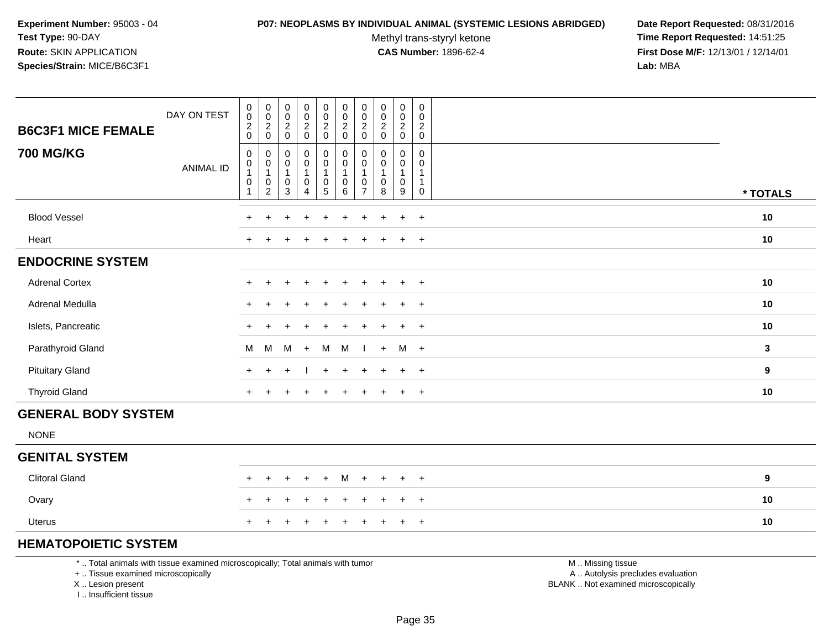#### **P07: NEOPLASMS BY INDIVIDUAL ANIMAL (SYSTEMIC LESIONS ABRIDGED) Date Report Requested:** 08/31/2016

Methyl trans-styryl ketone<br>CAS Number: 1896-62-4

 $\overline{\phantom{a}}$ T T

 **Time Report Requested:** 14:51:25 **First Dose M/F:** 12/13/01 / 12/14/01<br>**Lab:** MBA **Lab:** MBA

| DAY ON TEST<br><b>B6C3F1 MICE FEMALE</b> | $\pmb{0}$<br>$\pmb{0}$<br>$\overline{c}$<br>$\mathbf 0$ | $\boldsymbol{0}$<br>$\mathbf 0$<br>$\overline{c}$<br>$\mathsf{O}\xspace$ | $\begin{smallmatrix}0\0\0\end{smallmatrix}$<br>$\sqrt{2}$<br>$\mathsf 0$                  | $\boldsymbol{0}$<br>$\pmb{0}$<br>$\frac{2}{0}$                      | $\pmb{0}$<br>$\mathbf 0$<br>$\overline{c}$<br>$\mathsf 0$                              | $\pmb{0}$<br>$\mathbf 0$<br>$\overline{2}$<br>0 | 0<br>$\mathbf 0$<br>$\overline{2}$<br>$\mathsf{O}\xspace$ | $\pmb{0}$<br>$\pmb{0}$<br>$\overline{2}$<br>$\pmb{0}$ | $\boldsymbol{0}$<br>$\pmb{0}$<br>$\sqrt{2}$<br>$\pmb{0}$          | 0<br>$\mathbf 0$<br>$\overline{2}$<br>$\mathbf 0$     |                  |
|------------------------------------------|---------------------------------------------------------|--------------------------------------------------------------------------|-------------------------------------------------------------------------------------------|---------------------------------------------------------------------|----------------------------------------------------------------------------------------|-------------------------------------------------|-----------------------------------------------------------|-------------------------------------------------------|-------------------------------------------------------------------|-------------------------------------------------------|------------------|
| <b>700 MG/KG</b><br><b>ANIMAL ID</b>     | 0<br>0<br>1<br>$\pmb{0}$<br>$\mathbf{1}$                | $\pmb{0}$<br>$\pmb{0}$<br>$\mathbf{1}$<br>0<br>$\overline{2}$            | $\begin{smallmatrix} 0\\0 \end{smallmatrix}$<br>$\mathbf{1}$<br>$\pmb{0}$<br>$\mathbf{3}$ | $_{\rm 0}^{\rm 0}$<br>$\overline{1}$<br>$\pmb{0}$<br>$\overline{4}$ | $\pmb{0}$<br>$\overline{0}$<br>$\overline{1}$<br>$\begin{array}{c} 0 \\ 5 \end{array}$ | 0<br>$\pmb{0}$<br>1<br>$\pmb{0}$<br>6           | 0<br>0<br>1<br>0<br>$\overline{7}$                        | 0<br>$\pmb{0}$<br>$\pmb{0}$<br>8                      | 0<br>$\mathbf 0$<br>$\mathbf{1}$<br>$\pmb{0}$<br>$\boldsymbol{9}$ | 0<br>$\mathbf 0$<br>$\mathbf{1}$<br>$\mathbf{1}$<br>0 | * TOTALS         |
| <b>Blood Vessel</b>                      | +                                                       | $\ddot{}$                                                                | $\ddot{}$                                                                                 | $\ddot{}$                                                           | $\ddot{}$                                                                              | ÷                                               |                                                           | ÷                                                     | $\ddot{}$                                                         | $+$                                                   | 10               |
| Heart                                    | $\ddot{}$                                               | $\pm$                                                                    | $\div$                                                                                    |                                                                     |                                                                                        |                                                 |                                                           | $\mathbf +$                                           | $\ddot{}$                                                         | $+$                                                   | 10               |
| <b>ENDOCRINE SYSTEM</b>                  |                                                         |                                                                          |                                                                                           |                                                                     |                                                                                        |                                                 |                                                           |                                                       |                                                                   |                                                       |                  |
| <b>Adrenal Cortex</b>                    | $\pm$                                                   | $\ddot{}$                                                                | $\ddot{}$                                                                                 | $\div$                                                              | $\ddot{}$                                                                              | ÷                                               |                                                           | $\pm$                                                 | $\ddot{}$                                                         | $+$                                                   | 10               |
| Adrenal Medulla                          | $+$                                                     | $\div$                                                                   |                                                                                           | $\div$                                                              | $\ddot{}$                                                                              | $\ddot{}$                                       |                                                           | $\ddot{}$                                             | $+$                                                               | $+$                                                   | 10               |
| Islets, Pancreatic                       | $\div$                                                  |                                                                          |                                                                                           |                                                                     |                                                                                        |                                                 |                                                           | $\pm$                                                 | $+$                                                               | $+$                                                   | 10               |
| Parathyroid Gland                        | M                                                       | M                                                                        | М                                                                                         | $+$                                                                 | M                                                                                      | M                                               |                                                           | $+$                                                   | M +                                                               |                                                       | $\mathbf{3}$     |
| <b>Pituitary Gland</b>                   | $\ddot{}$                                               |                                                                          |                                                                                           |                                                                     |                                                                                        |                                                 |                                                           |                                                       | $\pm$                                                             | $+$                                                   | $\boldsymbol{9}$ |
| <b>Thyroid Gland</b>                     | $+$                                                     | $\ddot{}$                                                                | $\div$                                                                                    | $\div$                                                              | $\ddot{}$                                                                              | $\ddot{}$                                       | $+$                                                       | $\overline{+}$                                        | $+$                                                               | $+$                                                   | 10               |
| <b>GENERAL BODY SYSTEM</b>               |                                                         |                                                                          |                                                                                           |                                                                     |                                                                                        |                                                 |                                                           |                                                       |                                                                   |                                                       |                  |
| <b>NONE</b>                              |                                                         |                                                                          |                                                                                           |                                                                     |                                                                                        |                                                 |                                                           |                                                       |                                                                   |                                                       |                  |
| <b>GENITAL SYSTEM</b>                    |                                                         |                                                                          |                                                                                           |                                                                     |                                                                                        |                                                 |                                                           |                                                       |                                                                   |                                                       |                  |
| <b>Clitoral Gland</b>                    | $\pm$                                                   | $+$                                                                      | $\overline{1}$                                                                            | $+$                                                                 | $\ddot{}$                                                                              | М                                               | $+$                                                       | $+$                                                   | $\ddot{}$                                                         | $+$                                                   | 9                |
| Ovary                                    | +                                                       |                                                                          |                                                                                           |                                                                     |                                                                                        |                                                 |                                                           | ÷                                                     | $+$                                                               | $+$                                                   | 10               |
| <b>Uterus</b>                            |                                                         |                                                                          |                                                                                           |                                                                     |                                                                                        |                                                 |                                                           |                                                       |                                                                   | $+$                                                   | 10               |
|                                          |                                                         |                                                                          |                                                                                           |                                                                     |                                                                                        |                                                 |                                                           |                                                       |                                                                   |                                                       |                  |

# **HEMATOPOIETIC SYSTEM**

\* .. Total animals with tissue examined microscopically; Total animals with tumor

Т and the T

┱

<u> Tanzania de la contrada de la contrada de la contrada de la contrada de la contrada de la contrada de la con</u>

+ .. Tissue examined microscopically

X .. Lesion present

I .. Insufficient tissue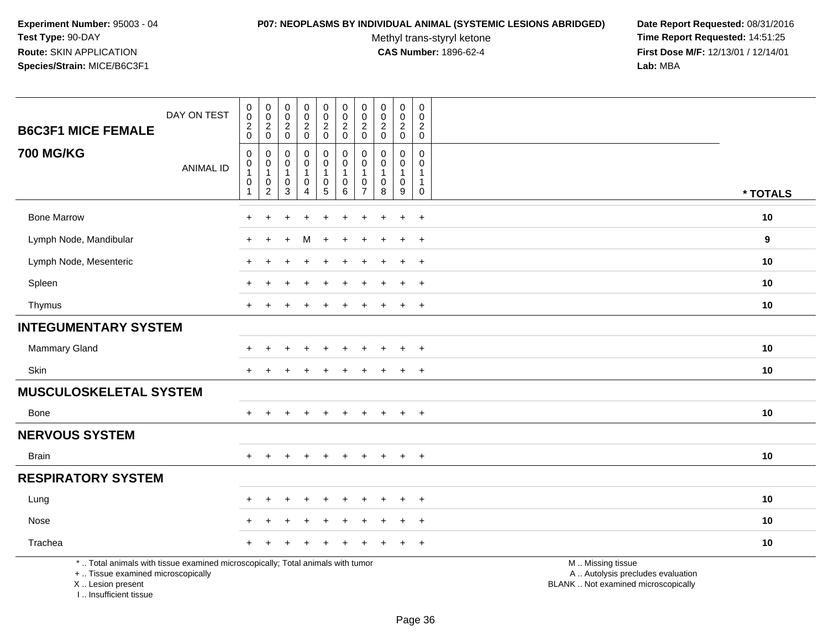#### **P07: NEOPLASMS BY INDIVIDUAL ANIMAL (SYSTEMIC LESIONS ABRIDGED) Date Report Requested:** 08/31/2016

Methyl trans-styryl ketone<br>CAS Number: 1896-62-4

 **Time Report Requested:** 14:51:25 **First Dose M/F:** 12/13/01 / 12/14/01<br>Lab: MBA **Lab:** MBA

| <b>B6C3F1 MICE FEMALE</b>                                                                                                                  | DAY ON TEST      | $\boldsymbol{0}$<br>$\overline{0}$<br>$\boldsymbol{2}$<br>$\mathbf 0$ | $\pmb{0}$<br>$\mathbf 0$<br>$\boldsymbol{2}$<br>$\mathbf 0$ | 0<br>$\mathbf 0$<br>$\overline{c}$<br>$\mathsf{O}\xspace$  | $\pmb{0}$<br>$\pmb{0}$<br>$\overline{2}$<br>$\mathbf 0$                | $\pmb{0}$<br>$\mathbf 0$<br>$\overline{2}$<br>$\mathbf 0$                 | $\pmb{0}$<br>$\mathbf 0$<br>$\overline{c}$<br>$\mathbf 0$     | $\mathbf 0$<br>$\pmb{0}$<br>$\sqrt{2}$<br>$\mathbf 0$   | $\pmb{0}$<br>$\mathsf{O}\xspace$<br>$\sqrt{2}$<br>$\mathbf 0$          | 0<br>$\mathbf 0$<br>$\overline{c}$<br>$\mathbf 0$               | $\mathbf 0$<br>$\mathbf 0$<br>$\sqrt{2}$<br>$\mathbf 0$                |                                                                                               |          |
|--------------------------------------------------------------------------------------------------------------------------------------------|------------------|-----------------------------------------------------------------------|-------------------------------------------------------------|------------------------------------------------------------|------------------------------------------------------------------------|---------------------------------------------------------------------------|---------------------------------------------------------------|---------------------------------------------------------|------------------------------------------------------------------------|-----------------------------------------------------------------|------------------------------------------------------------------------|-----------------------------------------------------------------------------------------------|----------|
| <b>700 MG/KG</b>                                                                                                                           | <b>ANIMAL ID</b> | 0<br>$\pmb{0}$<br>$\mathbf{1}$<br>$\pmb{0}$<br>$\overline{1}$         | $\mathbf 0$<br>0<br>$\mathbf{1}$<br>0<br>$\boldsymbol{2}$   | $\Omega$<br>0<br>$\mathbf{1}$<br>$\,0\,$<br>$\overline{3}$ | 0<br>$\boldsymbol{0}$<br>$\mathbf{1}$<br>$\mathbf 0$<br>$\overline{4}$ | 0<br>$\mathbf 0$<br>$\mathbf{1}$<br>$\begin{array}{c} 0 \\ 5 \end{array}$ | $\mathbf 0$<br>$\pmb{0}$<br>1<br>$\pmb{0}$<br>$6\overline{6}$ | 0<br>$\mathbf 0$<br>$\mathbf{1}$<br>0<br>$\overline{7}$ | $\Omega$<br>$\mathbf 0$<br>$\mathbf{1}$<br>$\pmb{0}$<br>$\overline{8}$ | $\Omega$<br>$\mathbf 0$<br>1<br>$\mathbf 0$<br>$\boldsymbol{9}$ | $\Omega$<br>$\mathbf 0$<br>$\mathbf{1}$<br>$\mathbf{1}$<br>$\mathbf 0$ |                                                                                               | * TOTALS |
| <b>Bone Marrow</b>                                                                                                                         |                  |                                                                       |                                                             |                                                            |                                                                        |                                                                           |                                                               |                                                         |                                                                        | $\ddot{}$                                                       | $\overline{+}$                                                         |                                                                                               | 10       |
| Lymph Node, Mandibular                                                                                                                     |                  |                                                                       | $\div$                                                      |                                                            | м                                                                      | ÷.                                                                        |                                                               |                                                         |                                                                        | $\ddot{}$                                                       | $^{+}$                                                                 |                                                                                               | 9        |
| Lymph Node, Mesenteric                                                                                                                     |                  |                                                                       |                                                             |                                                            |                                                                        |                                                                           |                                                               |                                                         |                                                                        | $\ddot{}$                                                       | $+$                                                                    |                                                                                               | 10       |
| Spleen                                                                                                                                     |                  |                                                                       |                                                             |                                                            |                                                                        |                                                                           |                                                               |                                                         |                                                                        | $\pm$                                                           | $\ddot{}$                                                              |                                                                                               | 10       |
| Thymus                                                                                                                                     |                  | $\ddot{}$                                                             |                                                             |                                                            |                                                                        |                                                                           |                                                               |                                                         |                                                                        | $\ddot{}$                                                       | $+$                                                                    |                                                                                               | 10       |
| <b>INTEGUMENTARY SYSTEM</b>                                                                                                                |                  |                                                                       |                                                             |                                                            |                                                                        |                                                                           |                                                               |                                                         |                                                                        |                                                                 |                                                                        |                                                                                               |          |
| <b>Mammary Gland</b>                                                                                                                       |                  |                                                                       |                                                             |                                                            |                                                                        |                                                                           |                                                               |                                                         |                                                                        |                                                                 |                                                                        |                                                                                               | 10       |
| Skin                                                                                                                                       |                  | $\pm$                                                                 |                                                             |                                                            |                                                                        |                                                                           |                                                               |                                                         |                                                                        | $\overline{+}$                                                  | $^{+}$                                                                 |                                                                                               | 10       |
| <b>MUSCULOSKELETAL SYSTEM</b>                                                                                                              |                  |                                                                       |                                                             |                                                            |                                                                        |                                                                           |                                                               |                                                         |                                                                        |                                                                 |                                                                        |                                                                                               |          |
| <b>Bone</b>                                                                                                                                |                  | $+$                                                                   | $+$                                                         | ÷                                                          | $\ddot{}$                                                              | $\ddot{}$                                                                 | $\ddot{}$                                                     | $+$                                                     | $+$                                                                    | $\ddot{}$                                                       | $+$                                                                    |                                                                                               | 10       |
| <b>NERVOUS SYSTEM</b>                                                                                                                      |                  |                                                                       |                                                             |                                                            |                                                                        |                                                                           |                                                               |                                                         |                                                                        |                                                                 |                                                                        |                                                                                               |          |
| Brain                                                                                                                                      |                  | $+$                                                                   | $+$                                                         | $\div$                                                     | $\overline{+}$                                                         | $+$                                                                       | $\ddot{}$                                                     | $\ddot{}$                                               | $\overline{+}$                                                         | $+$                                                             | $+$                                                                    |                                                                                               | 10       |
| <b>RESPIRATORY SYSTEM</b>                                                                                                                  |                  |                                                                       |                                                             |                                                            |                                                                        |                                                                           |                                                               |                                                         |                                                                        |                                                                 |                                                                        |                                                                                               |          |
| Lung                                                                                                                                       |                  |                                                                       |                                                             |                                                            |                                                                        |                                                                           |                                                               |                                                         |                                                                        |                                                                 | $\overline{+}$                                                         |                                                                                               | 10       |
| Nose                                                                                                                                       |                  |                                                                       |                                                             |                                                            |                                                                        |                                                                           |                                                               |                                                         |                                                                        | ÷.                                                              | $\ddot{}$                                                              |                                                                                               | 10       |
| Trachea                                                                                                                                    |                  |                                                                       |                                                             |                                                            |                                                                        |                                                                           |                                                               |                                                         |                                                                        |                                                                 | $\overline{+}$                                                         |                                                                                               | 10       |
| *  Total animals with tissue examined microscopically; Total animals with tumor<br>+  Tissue examined microscopically<br>X  Lesion present |                  |                                                                       |                                                             |                                                            |                                                                        |                                                                           |                                                               |                                                         |                                                                        |                                                                 |                                                                        | M  Missing tissue<br>A  Autolysis precludes evaluation<br>BLANK  Not examined microscopically |          |

I .. Insufficient tissue

Page 36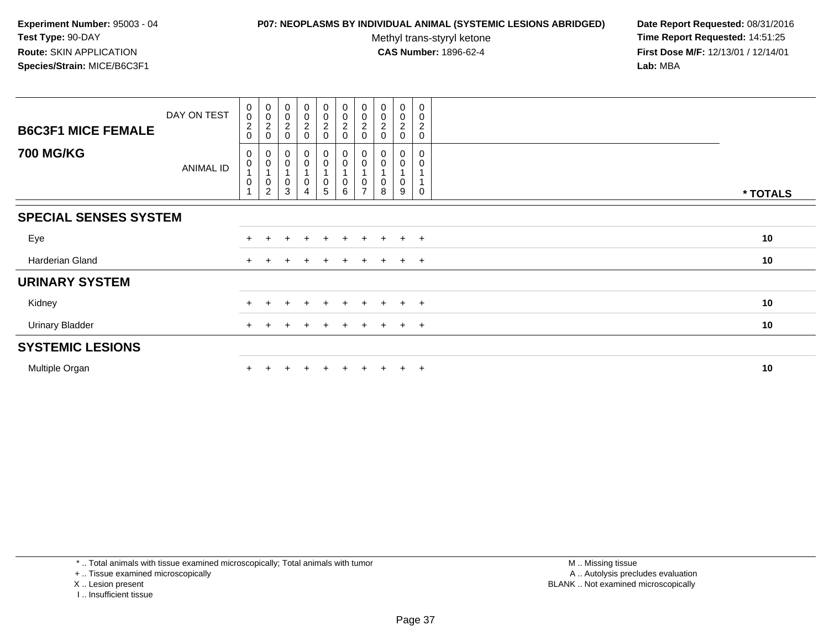### **P07: NEOPLASMS BY INDIVIDUAL ANIMAL (SYSTEMIC LESIONS ABRIDGED) Date Report Requested:** 08/31/2016

Methyl trans-styryl ketone<br>CAS Number: 1896-62-4

 **Time Report Requested:** 14:51:25 **First Dose M/F:** 12/13/01 / 12/14/01<br>**Lab:** MBA **Lab:** MBA

| <b>B6C3F1 MICE FEMALE</b>    | DAY ON TEST | $\begin{smallmatrix} 0\\0\\2 \end{smallmatrix}$<br>$\boldsymbol{0}$    | $_{\rm 0}^{\rm 0}$<br>$\sqrt{2}$<br>$\mathbf 0$ | 00020                              | $\begin{matrix} 0 \\ 0 \\ 2 \\ 0 \end{matrix}$ | $\begin{matrix} 0 \\ 0 \\ 2 \\ 0 \end{matrix}$                    | $\begin{matrix}0\\0\\2\\0\end{matrix}$                                    | $_0^0$<br>$\boldsymbol{2}$<br>$\Omega$ | $_{\rm 0}^{\rm 0}$<br>$\overline{\mathbf{c}}$ | $_{\rm 0}^{\rm 0}$<br>$\overline{c}$<br>0 | 0<br>$\mathbf 0$<br>$\boldsymbol{2}$<br>$\mathbf 0$ |          |
|------------------------------|-------------|------------------------------------------------------------------------|-------------------------------------------------|------------------------------------|------------------------------------------------|-------------------------------------------------------------------|---------------------------------------------------------------------------|----------------------------------------|-----------------------------------------------|-------------------------------------------|-----------------------------------------------------|----------|
| <b>700 MG/KG</b>             | ANIMAL ID   | $\mathbf 0$<br>$\begin{smallmatrix}0\\1\end{smallmatrix}$<br>$\pmb{0}$ | 0<br>$\pmb{0}$<br>$\pmb{0}$<br>$\overline{2}$   | 0<br>0<br>$\overline{A}$<br>0<br>3 | 0<br>0<br>0<br>$\overline{4}$                  | $\mathbf 0$<br>$\pmb{0}$<br>$\begin{array}{c} 0 \\ 5 \end{array}$ | $\pmb{0}$<br>$\begin{smallmatrix}0\\1\end{smallmatrix}$<br>$\pmb{0}$<br>6 | 0<br>0                                 | 8                                             | 0<br>0<br>9                               | $\mathbf 0$<br>0<br>0                               | * TOTALS |
| <b>SPECIAL SENSES SYSTEM</b> |             |                                                                        |                                                 |                                    |                                                |                                                                   |                                                                           |                                        |                                               |                                           |                                                     |          |
| Eye                          |             | $+$                                                                    |                                                 |                                    | $\pm$                                          | $+$                                                               | $\pm$                                                                     | ÷                                      |                                               | $+$                                       | $+$                                                 | 10       |
| <b>Harderian Gland</b>       |             | $+$                                                                    |                                                 |                                    | $\ddot{}$                                      | $\pm$                                                             | $+$                                                                       | $\pm$                                  | $+$                                           | $+$ $+$                                   |                                                     | 10       |
| <b>URINARY SYSTEM</b>        |             |                                                                        |                                                 |                                    |                                                |                                                                   |                                                                           |                                        |                                               |                                           |                                                     |          |
| Kidney                       |             |                                                                        |                                                 |                                    | $\ddot{}$                                      | $+$                                                               |                                                                           |                                        |                                               | $+$                                       | $+$                                                 | 10       |
| <b>Urinary Bladder</b>       |             |                                                                        |                                                 |                                    |                                                |                                                                   | $\pm$                                                                     |                                        |                                               | $+$                                       | $+$                                                 | 10       |
| <b>SYSTEMIC LESIONS</b>      |             |                                                                        |                                                 |                                    |                                                |                                                                   |                                                                           |                                        |                                               |                                           |                                                     |          |
| Multiple Organ               |             |                                                                        |                                                 |                                    | $\div$                                         | $+$                                                               | $+$                                                                       | $\pm$                                  |                                               | $+$                                       | $+$                                                 | 10       |

\* .. Total animals with tissue examined microscopically; Total animals with tumor

+ .. Tissue examined microscopically

- X .. Lesion present
- I .. Insufficient tissue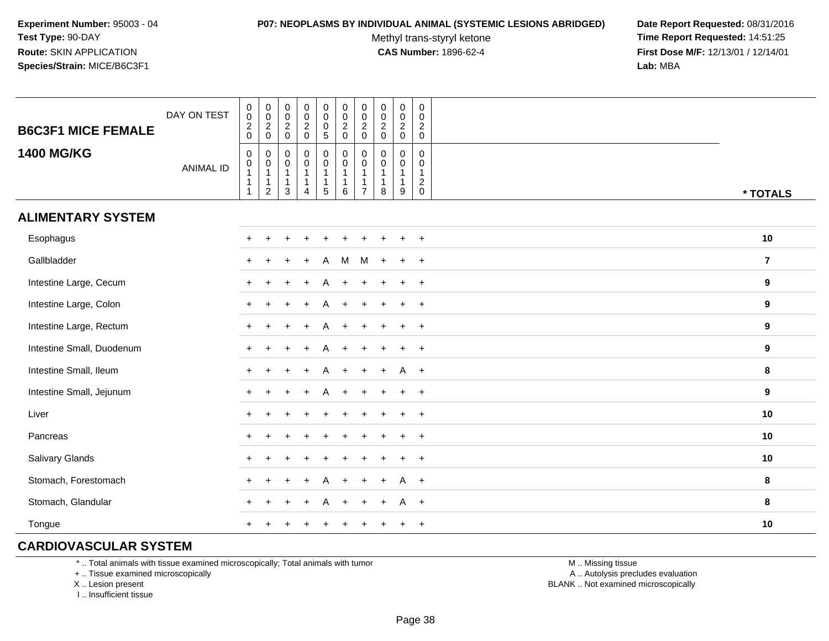#### **P07: NEOPLASMS BY INDIVIDUAL ANIMAL (SYSTEMIC LESIONS ABRIDGED) Date Report Requested:** 08/31/2016

Methyl trans-styryl ketone<br>CAS Number: 1896-62-4

 **Time Report Requested:** 14:51:25 **First Dose M/F:** 12/13/01 / 12/14/01<br>**Lab:** MBA **Lab:** MBA

| <b>B6C3F1 MICE FEMALE</b> | DAY ON TEST      | $\begin{smallmatrix}0\\0\end{smallmatrix}$<br>$\frac{2}{0}$                    | $_{\rm 0}^{\rm 0}$<br>$\frac{2}{0}$                   | $\pmb{0}$<br>$\pmb{0}$<br>$\frac{2}{0}$                       | $\begin{matrix} 0 \\ 0 \\ 2 \\ 0 \end{matrix}$                           | $\pmb{0}$<br>$\mathbf 0$<br>$\frac{0}{5}$                                    | $\begin{smallmatrix} 0\\0 \end{smallmatrix}$<br>$\frac{2}{0}$   | $\pmb{0}$<br>$\mathbf 0$<br>$\frac{2}{0}$ | $\pmb{0}$<br>0<br>$\frac{2}{0}$ | $_{\rm 0}^{\rm 0}$<br>$\frac{2}{0}$         | $\mathbf 0$<br>$\mathbf 0$<br>$^2_{\rm 0}$                              |                         |
|---------------------------|------------------|--------------------------------------------------------------------------------|-------------------------------------------------------|---------------------------------------------------------------|--------------------------------------------------------------------------|------------------------------------------------------------------------------|-----------------------------------------------------------------|-------------------------------------------|---------------------------------|---------------------------------------------|-------------------------------------------------------------------------|-------------------------|
| <b>1400 MG/KG</b>         | <b>ANIMAL ID</b> | $\mathbf 0$<br>$\begin{smallmatrix}0\\1\end{smallmatrix}$<br>$\mathbf{1}$<br>1 | 0<br>$\pmb{0}$<br>$\mathbf{1}$<br>1<br>$\overline{c}$ | $\mathbf 0$<br>$\pmb{0}$<br>$\mathbf{1}$<br>$\mathbf{1}$<br>3 | $\pmb{0}$<br>$\pmb{0}$<br>$\mathbf{1}$<br>$\mathbf{1}$<br>$\overline{4}$ | $\mathbf 0$<br>$\mathbf 0$<br>$\overline{1}$<br>$\overline{1}$<br>$\sqrt{5}$ | $\pmb{0}$<br>$\mathbf 0$<br>$\overline{1}$<br>$\mathbf{1}$<br>6 | 0<br>0<br>$\overline{7}$                  | $\mathbf 0$<br>0<br>1<br>1<br>8 | 0<br>0<br>$\mathbf{1}$<br>$\mathbf{1}$<br>9 | $\mathbf 0$<br>$\mathbf 0$<br>$\mathbf{1}$<br>$\sqrt{2}$<br>$\mathbf 0$ | * TOTALS                |
| <b>ALIMENTARY SYSTEM</b>  |                  |                                                                                |                                                       |                                                               |                                                                          |                                                                              |                                                                 |                                           |                                 |                                             |                                                                         |                         |
| Esophagus                 |                  | $\pm$                                                                          |                                                       |                                                               |                                                                          |                                                                              |                                                                 |                                           |                                 |                                             | $+$                                                                     | 10                      |
| Gallbladder               |                  |                                                                                |                                                       |                                                               |                                                                          | A                                                                            | M                                                               | M                                         |                                 | $\ddot{}$                                   | $+$                                                                     | $\overline{\mathbf{z}}$ |
| Intestine Large, Cecum    |                  |                                                                                |                                                       |                                                               |                                                                          |                                                                              |                                                                 |                                           |                                 |                                             | $\ddot{}$                                                               | 9                       |
| Intestine Large, Colon    |                  |                                                                                |                                                       |                                                               |                                                                          |                                                                              |                                                                 |                                           |                                 |                                             | $\overline{+}$                                                          | $\boldsymbol{9}$        |
| Intestine Large, Rectum   |                  |                                                                                |                                                       |                                                               |                                                                          | Α                                                                            |                                                                 |                                           |                                 | $\ddot{}$                                   | $+$                                                                     | 9                       |
| Intestine Small, Duodenum |                  |                                                                                |                                                       |                                                               |                                                                          | A                                                                            |                                                                 |                                           |                                 | $+$                                         | $+$                                                                     | 9                       |
| Intestine Small, Ileum    |                  |                                                                                |                                                       |                                                               |                                                                          | A                                                                            |                                                                 |                                           | $\ddot{}$                       | A                                           | $+$                                                                     | $\bf8$                  |
| Intestine Small, Jejunum  |                  |                                                                                |                                                       |                                                               |                                                                          | A                                                                            | $+$                                                             |                                           |                                 | $\pm$                                       | $+$                                                                     | 9                       |
| Liver                     |                  | $+$                                                                            |                                                       |                                                               |                                                                          |                                                                              |                                                                 |                                           |                                 | $\ddot{}$                                   | $+$                                                                     | 10                      |
| Pancreas                  |                  | $+$                                                                            |                                                       |                                                               |                                                                          |                                                                              |                                                                 |                                           |                                 | $\ddot{}$                                   | $+$                                                                     | 10                      |
| Salivary Glands           |                  |                                                                                |                                                       |                                                               |                                                                          |                                                                              |                                                                 |                                           |                                 |                                             | $+$                                                                     | 10                      |
| Stomach, Forestomach      |                  |                                                                                |                                                       |                                                               |                                                                          |                                                                              |                                                                 |                                           |                                 | A                                           | $+$                                                                     | 8                       |
| Stomach, Glandular        |                  |                                                                                |                                                       |                                                               |                                                                          | А                                                                            |                                                                 |                                           |                                 | A                                           | $+$                                                                     | 8                       |
| Tongue                    |                  |                                                                                |                                                       |                                                               |                                                                          |                                                                              |                                                                 |                                           |                                 |                                             | $\overline{+}$                                                          | 10                      |

# **CARDIOVASCULAR SYSTEM**

\* .. Total animals with tissue examined microscopically; Total animals with tumor

+ .. Tissue examined microscopically

X .. Lesion present

I .. Insufficient tissue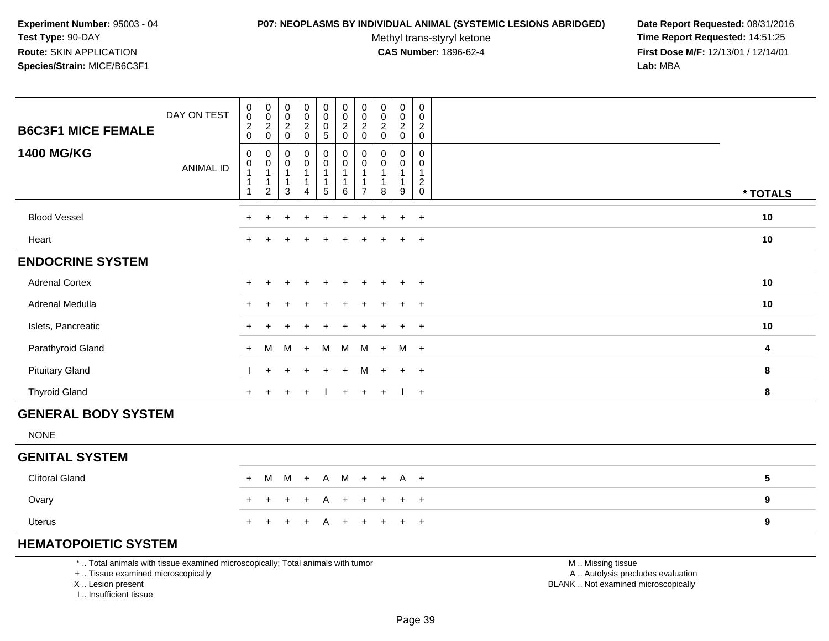#### **P07: NEOPLASMS BY INDIVIDUAL ANIMAL (SYSTEMIC LESIONS ABRIDGED) Date Report Requested:** 08/31/2016

Methyl trans-styryl ketone<br>CAS Number: 1896-62-4

 **Time Report Requested:** 14:51:25 **First Dose M/F:** 12/13/01 / 12/14/01<br>**Lab:** MBA **Lab:** MBA

| DAY ON TEST<br><b>B6C3F1 MICE FEMALE</b> | $\begin{smallmatrix}0\0\0\end{smallmatrix}$<br>$\overline{a}$<br>$\mathbf 0$ | $\begin{smallmatrix} 0\\0 \end{smallmatrix}$<br>$^2_{\rm 0}$     | $\begin{matrix} 0 \\ 0 \\ 2 \\ 0 \end{matrix}$                              | 0<br>$\frac{0}{2}$                 | $\pmb{0}$<br>$\mathbf 0$<br>$\mathbf 0$<br>$\sqrt{5}$         | $\pmb{0}$<br>$\pmb{0}$<br>$\frac{2}{0}$ | $\pmb{0}$<br>$\mathbf 0$<br>$^2_{\rm 0}$                   | $\begin{smallmatrix}0\\0\end{smallmatrix}$<br>$^2_{\rm 0}$ | $\pmb{0}$<br>$\frac{0}{2}$          | $\pmb{0}$<br>$\mathbf 0$<br>$\overline{c}$<br>$\mathbf 0$      |            |
|------------------------------------------|------------------------------------------------------------------------------|------------------------------------------------------------------|-----------------------------------------------------------------------------|------------------------------------|---------------------------------------------------------------|-----------------------------------------|------------------------------------------------------------|------------------------------------------------------------|-------------------------------------|----------------------------------------------------------------|------------|
| <b>1400 MG/KG</b><br><b>ANIMAL ID</b>    | $\mathbf 0$<br>0<br>1<br>1                                                   | $\pmb{0}$<br>0<br>$\mathbf{1}$<br>$\mathbf{1}$<br>$\overline{c}$ | $\pmb{0}$<br>$\boldsymbol{0}$<br>$\mathbf{1}$<br>$\mathbf{1}$<br>$\sqrt{3}$ | 0<br>0<br>$\overline{1}$<br>1<br>4 | $\pmb{0}$<br>$\mathbf 0$<br>$\mathbf{1}$<br>$\mathbf{1}$<br>5 | 0<br>0<br>1<br>1<br>6                   | 0<br>0<br>$\overline{1}$<br>$\mathbf{1}$<br>$\overline{7}$ | 0<br>$\mathbf 0$<br>$\mathbf{1}$<br>$\,8\,$                | 0<br>0<br>$\overline{1}$<br>-1<br>9 | 0<br>$\Omega$<br>$\mathbf{1}$<br>$\overline{c}$<br>$\mathbf 0$ | * TOTALS   |
| <b>Blood Vessel</b>                      | $\ddot{}$                                                                    | $\ddot{}$                                                        |                                                                             | ÷                                  |                                                               |                                         |                                                            |                                                            | $\ddot{}$                           | $+$                                                            | 10         |
| Heart                                    | $+$                                                                          |                                                                  |                                                                             |                                    |                                                               |                                         |                                                            | $\div$                                                     | $+$                                 | $+$                                                            | 10         |
| <b>ENDOCRINE SYSTEM</b>                  |                                                                              |                                                                  |                                                                             |                                    |                                                               |                                         |                                                            |                                                            |                                     |                                                                |            |
| <b>Adrenal Cortex</b>                    | $\ddot{}$                                                                    |                                                                  |                                                                             | $\ddot{}$                          |                                                               | $\ddot{}$                               |                                                            | $\div$                                                     | $\ddot{}$                           | $+$                                                            | 10         |
| Adrenal Medulla                          | $\ddot{}$                                                                    |                                                                  |                                                                             | $\ddot{}$                          |                                                               | $\ddot{}$                               | ÷                                                          | $\div$                                                     | $+$                                 | $+$                                                            | 10         |
| Islets, Pancreatic                       | $\ddot{}$                                                                    |                                                                  |                                                                             |                                    |                                                               |                                         |                                                            | $\div$                                                     | $+$                                 | $+$                                                            | 10         |
| Parathyroid Gland                        | $+$                                                                          | M                                                                | M                                                                           | $+$                                | M                                                             | M                                       | M                                                          | $+$                                                        | M +                                 |                                                                | 4          |
| <b>Pituitary Gland</b>                   |                                                                              | $+$                                                              |                                                                             | $\ddot{}$                          | $\ddot{}$                                                     | $+$                                     | M                                                          | $+$                                                        | $+$                                 | $+$                                                            | 8          |
| <b>Thyroid Gland</b>                     | $+$                                                                          | $\ddot{}$                                                        | $\ddot{}$                                                                   | $\ddot{}$                          |                                                               | $+$                                     | $+$                                                        | $+$                                                        |                                     | $+$                                                            | 8          |
| <b>GENERAL BODY SYSTEM</b>               |                                                                              |                                                                  |                                                                             |                                    |                                                               |                                         |                                                            |                                                            |                                     |                                                                |            |
| <b>NONE</b>                              |                                                                              |                                                                  |                                                                             |                                    |                                                               |                                         |                                                            |                                                            |                                     |                                                                |            |
| <b>GENITAL SYSTEM</b>                    |                                                                              |                                                                  |                                                                             |                                    |                                                               |                                         |                                                            |                                                            |                                     |                                                                |            |
| <b>Clitoral Gland</b>                    | $+$                                                                          |                                                                  | M M                                                                         | $+$                                | $\mathsf{A}$                                                  | M                                       | $+$                                                        | $+$                                                        | $A +$                               |                                                                | $\sqrt{5}$ |
| Ovary                                    | $\ddot{}$                                                                    |                                                                  |                                                                             | $\ddot{}$                          | A                                                             | $\ddot{}$                               |                                                            | $\div$                                                     | $+$                                 | $+$                                                            | 9          |
| Uterus                                   | $\ddot{}$                                                                    |                                                                  |                                                                             | $+$                                | A                                                             | $\ddot{}$                               |                                                            |                                                            | $\ddot{}$                           | $+$                                                            | 9          |

# **HEMATOPOIETIC SYSTEM**

\* .. Total animals with tissue examined microscopically; Total animals with tumor

Τ

┯

┯ ┱

+ .. Tissue examined microscopically

X .. Lesion present

I .. Insufficient tissue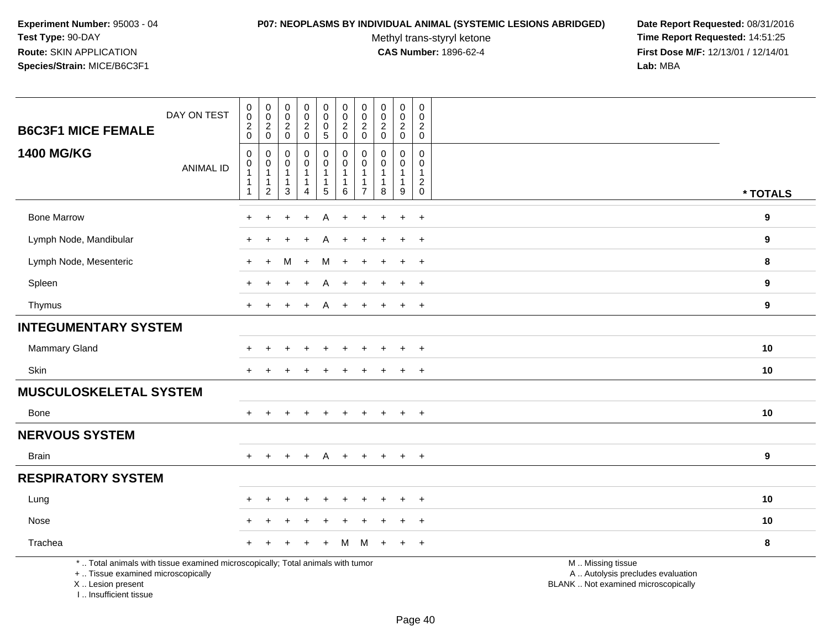#### **P07: NEOPLASMS BY INDIVIDUAL ANIMAL (SYSTEMIC LESIONS ABRIDGED) Date Report Requested:** 08/31/2016

Methyl trans-styryl ketone<br>CAS Number: 1896-62-4

| <b>B6C3F1 MICE FEMALE</b>                                                                                                                                           | DAY ON TEST      | $\begin{smallmatrix} 0\\0 \end{smallmatrix}$<br>$\boldsymbol{2}$<br>$\mathbf 0$ | $\pmb{0}$<br>$\mathbf 0$<br>$\overline{2}$<br>$\mathsf 0$  | $\pmb{0}$<br>$\mathsf{O}$<br>$\overline{2}$<br>$\mathsf{O}$     | $\pmb{0}$<br>$\mathbf 0$<br>$\overline{a}$<br>$\mathbf 0$ | $\mathsf 0$<br>$\mathbf 0$<br>$\mathbf 0$<br>$\overline{5}$                | $\pmb{0}$<br>$\mathbf 0$<br>$\boldsymbol{2}$<br>$\mathbf 0$ | $\pmb{0}$<br>$\mathbf 0$<br>$\sqrt{2}$<br>$\pmb{0}$                  | $\mathsf 0$<br>$\mathbf 0$<br>$\overline{2}$<br>$\mathbf 0$ | $\pmb{0}$<br>$\mathbf 0$<br>$\overline{c}$<br>$\mathbf 0$ | $\pmb{0}$<br>$\mathbf 0$<br>$\overline{2}$<br>$\mathbf 0$ |                                                                                               |                  |
|---------------------------------------------------------------------------------------------------------------------------------------------------------------------|------------------|---------------------------------------------------------------------------------|------------------------------------------------------------|-----------------------------------------------------------------|-----------------------------------------------------------|----------------------------------------------------------------------------|-------------------------------------------------------------|----------------------------------------------------------------------|-------------------------------------------------------------|-----------------------------------------------------------|-----------------------------------------------------------|-----------------------------------------------------------------------------------------------|------------------|
| <b>1400 MG/KG</b>                                                                                                                                                   | <b>ANIMAL ID</b> | $\pmb{0}$<br>$\mathbf 0$<br>$\overline{1}$<br>$\mathbf 1$<br>$\overline{1}$     | 0<br>0<br>$\mathbf{1}$<br>$\mathbf{1}$<br>$\boldsymbol{2}$ | $\mathbf 0$<br>0<br>$\mathbf{1}$<br>$\mathbf 1$<br>$\mathbf{3}$ | 0<br>0<br>$\mathbf{1}$<br>$\mathbf 1$<br>4                | $\pmb{0}$<br>$\pmb{0}$<br>$\overline{1}$<br>$\mathbf{1}$<br>$\overline{5}$ | $\pmb{0}$<br>$\pmb{0}$<br>-1<br>1<br>$\,6\,$                | $\mathbf 0$<br>$\mathbf 0$<br>$\overline{1}$<br>-1<br>$\overline{7}$ | $\mathbf 0$<br>0<br>$\mathbf{1}$<br>$\mathbf{1}$<br>8       | 0<br>0<br>1<br>9                                          | 0<br>$\mathbf 0$<br>$\mathbf{1}$<br>$^2_{\rm 0}$          |                                                                                               | * TOTALS         |
| <b>Bone Marrow</b>                                                                                                                                                  |                  |                                                                                 |                                                            |                                                                 |                                                           |                                                                            |                                                             |                                                                      |                                                             | ÷.                                                        | $\overline{+}$                                            |                                                                                               | $\boldsymbol{9}$ |
| Lymph Node, Mandibular                                                                                                                                              |                  |                                                                                 |                                                            |                                                                 |                                                           |                                                                            |                                                             |                                                                      |                                                             |                                                           | $\ddot{}$                                                 |                                                                                               | 9                |
| Lymph Node, Mesenteric                                                                                                                                              |                  | $\pm$                                                                           | $+$                                                        | м                                                               | $+$                                                       | M                                                                          | $\div$                                                      |                                                                      |                                                             | $\ddot{}$                                                 | $\overline{ }$                                            |                                                                                               | 8                |
| Spleen                                                                                                                                                              |                  |                                                                                 |                                                            |                                                                 |                                                           | A                                                                          |                                                             |                                                                      |                                                             | $\ddot{}$                                                 | $^{+}$                                                    |                                                                                               | 9                |
| Thymus                                                                                                                                                              |                  | $\div$                                                                          |                                                            |                                                                 | $\div$                                                    | A                                                                          | $\ddot{}$                                                   |                                                                      |                                                             | $\ddot{}$                                                 | $+$                                                       |                                                                                               | 9                |
| <b>INTEGUMENTARY SYSTEM</b>                                                                                                                                         |                  |                                                                                 |                                                            |                                                                 |                                                           |                                                                            |                                                             |                                                                      |                                                             |                                                           |                                                           |                                                                                               |                  |
| <b>Mammary Gland</b>                                                                                                                                                |                  |                                                                                 |                                                            |                                                                 |                                                           |                                                                            |                                                             |                                                                      |                                                             |                                                           | $\overline{+}$                                            |                                                                                               | 10               |
| Skin                                                                                                                                                                |                  | $\ddot{}$                                                                       | $\ddot{}$                                                  |                                                                 |                                                           |                                                                            |                                                             |                                                                      |                                                             | $\ddot{}$                                                 | $+$                                                       |                                                                                               | 10               |
| <b>MUSCULOSKELETAL SYSTEM</b>                                                                                                                                       |                  |                                                                                 |                                                            |                                                                 |                                                           |                                                                            |                                                             |                                                                      |                                                             |                                                           |                                                           |                                                                                               |                  |
| Bone                                                                                                                                                                |                  |                                                                                 |                                                            |                                                                 |                                                           |                                                                            |                                                             |                                                                      |                                                             |                                                           | $\overline{+}$                                            |                                                                                               | 10               |
| <b>NERVOUS SYSTEM</b>                                                                                                                                               |                  |                                                                                 |                                                            |                                                                 |                                                           |                                                                            |                                                             |                                                                      |                                                             |                                                           |                                                           |                                                                                               |                  |
| <b>Brain</b>                                                                                                                                                        |                  | $+$                                                                             | $+$                                                        | $\div$                                                          | $\overline{+}$                                            | A                                                                          | $+$                                                         | $\ddot{}$                                                            | $+$                                                         | $+$                                                       | $+$                                                       |                                                                                               | 9                |
| <b>RESPIRATORY SYSTEM</b>                                                                                                                                           |                  |                                                                                 |                                                            |                                                                 |                                                           |                                                                            |                                                             |                                                                      |                                                             |                                                           |                                                           |                                                                                               |                  |
| Lung                                                                                                                                                                |                  |                                                                                 |                                                            |                                                                 |                                                           |                                                                            |                                                             |                                                                      |                                                             |                                                           | $\pm$                                                     |                                                                                               | 10               |
| Nose                                                                                                                                                                |                  |                                                                                 |                                                            |                                                                 |                                                           |                                                                            |                                                             |                                                                      |                                                             |                                                           | $\ddot{}$                                                 |                                                                                               | 10               |
| Trachea                                                                                                                                                             |                  |                                                                                 |                                                            |                                                                 |                                                           | ÷.                                                                         | м                                                           | м                                                                    |                                                             | $\ddot{}$                                                 | $+$                                                       |                                                                                               | 8                |
| *  Total animals with tissue examined microscopically; Total animals with tumor<br>+  Tissue examined microscopically<br>X  Lesion present<br>I Insufficient tissue |                  |                                                                                 |                                                            |                                                                 |                                                           |                                                                            |                                                             |                                                                      |                                                             |                                                           |                                                           | M  Missing tissue<br>A  Autolysis precludes evaluation<br>BLANK  Not examined microscopically |                  |